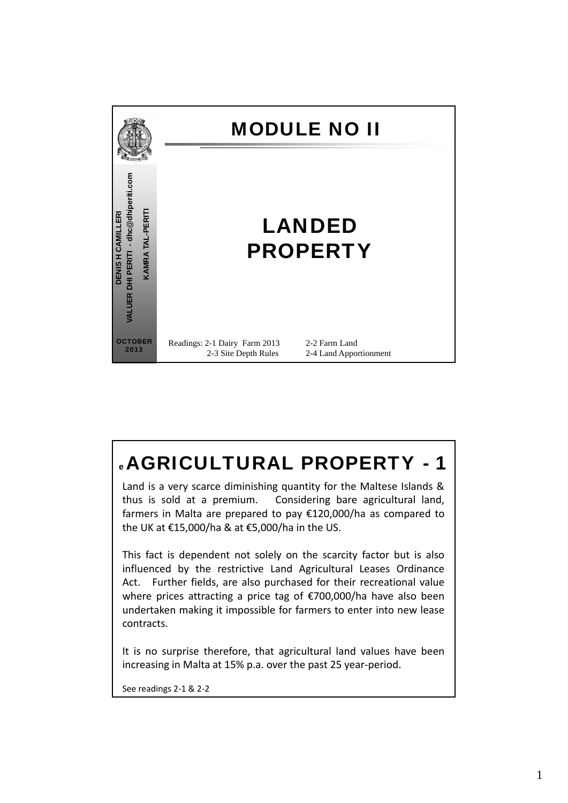

# **<sup>e</sup>**AGRICULTURAL PROPERTY - 1

Land is a very scarce diminishing quantity for the Maltese Islands & thus is sold at a premium. Considering bare agricultural land, farmers in Malta are prepared to pay €120,000/ha as compared to the UK at €15,000/ha & at €5,000/ha in the US.

This fact is dependent not solely on the scarcity factor but is also influenced by the restrictive Land Agricultural Leases Ordinance Act. Further fields, are also purchased for their recreational value where prices attracting a price tag of €700,000/ha have also been undertaken making it impossible for farmers to enter into new lease contracts.

It is no surprise therefore, that agricultural land values have been increasing in Malta at 15% p.a. over the past 25 year‐period.

See readings 2-1 & 2-2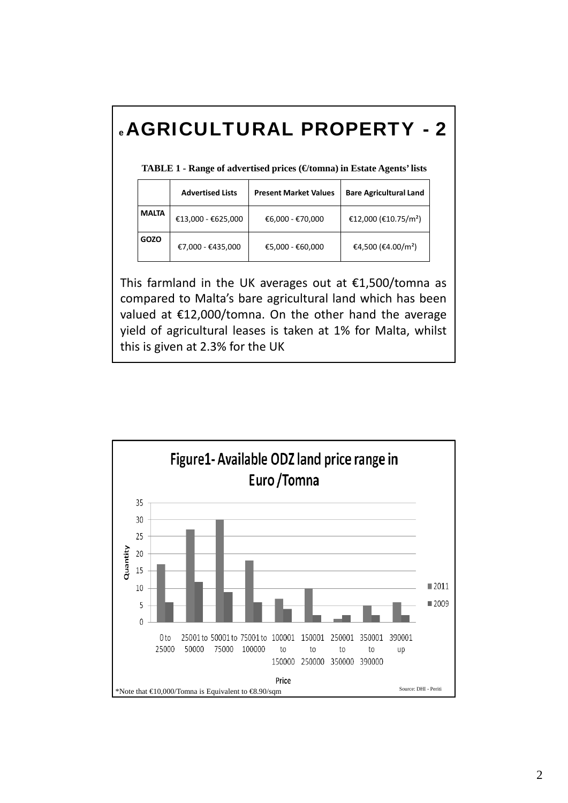# **<sup>e</sup>**AGRICULTURAL PROPERTY - 2

TABLE 1 - Range of advertised prices (€tomna) in Estate Agents' lists

|              | <b>Advertised Lists</b> | <b>Present Market Values</b> | <b>Bare Agricultural Land</b>    |
|--------------|-------------------------|------------------------------|----------------------------------|
| <b>MALTA</b> | €13,000 - €625,000      | €6,000 - €70,000             | €12,000 (€10.75/m <sup>2</sup> ) |
| <b>GOZO</b>  | €7,000 - €435,000       | €5,000 - €60,000             | €4,500 (€4.00/m <sup>2</sup> )   |

This farmland in the UK averages out at  $£1,500/tom$ na as compared to Malta's bare agricultural land which has been valued at €12,000/tomna. On the other hand the average yield of agricultural leases is taken at 1% for Malta, whilst this is given at 2.3% for the UK

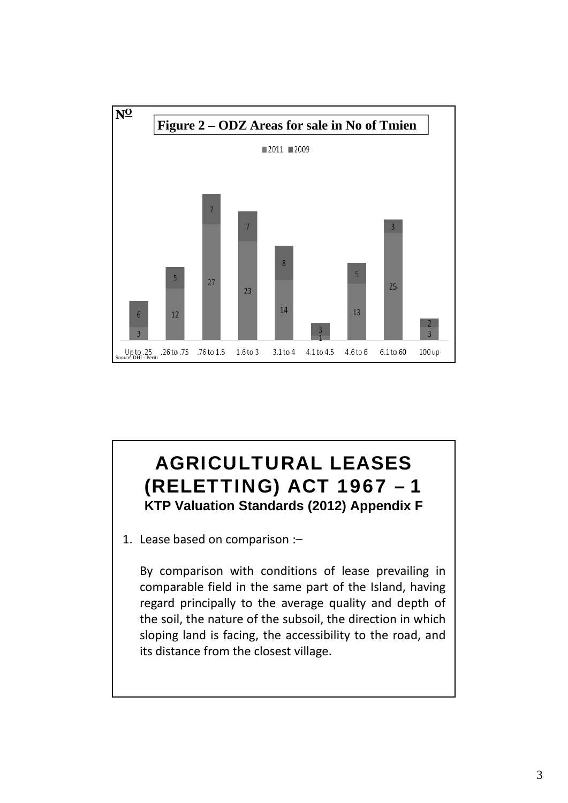

# AGRICULTURAL LEASES (RELETTING) ACT 1967 – 1 **KTP Valuation Standards (2012) Appendix F**

1. Lease based on comparison :–

By comparison with conditions of lease prevailing in comparable field in the same part of the Island, having regard principally to the average quality and depth of the soil, the nature of the subsoil, the direction in which sloping land is facing, the accessibility to the road, and its distance from the closest village.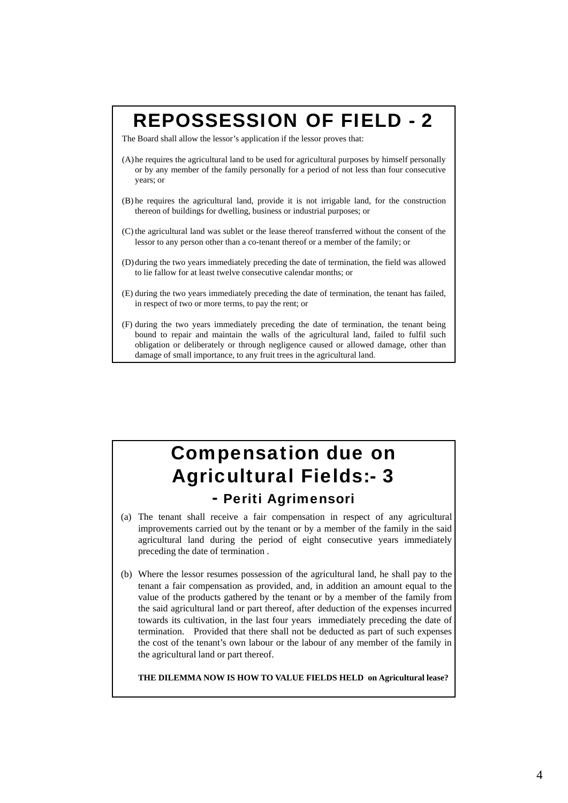# REPOSSESSION OF FIELD - 2

The Board shall allow the lessor's application if the lessor proves that:

- (A)he requires the agricultural land to be used for agricultural purposes by himself personally or by any member of the family personally for a period of not less than four consecutive years; or
- (B) he requires the agricultural land, provide it is not irrigable land, for the construction thereon of buildings for dwelling, business or industrial purposes; or
- (C) the agricultural land was sublet or the lease thereof transferred without the consent of the lessor to any person other than a co-tenant thereof or a member of the family; or
- (D)during the two years immediately preceding the date of termination, the field was allowed to lie fallow for at least twelve consecutive calendar months; or
- (E) during the two years immediately preceding the date of termination, the tenant has failed, in respect of two or more terms, to pay the rent; or
- (F) during the two years immediately preceding the date of termination, the tenant being bound to repair and maintain the walls of the agricultural land, failed to fulfil such obligation or deliberately or through negligence caused or allowed damage, other than damage of small importance, to any fruit trees in the agricultural land.

# Compensation due on Agricultural Fields:- 3

### - Periti Agrimensori

- (a) The tenant shall receive a fair compensation in respect of any agricultural improvements carried out by the tenant or by a member of the family in the said agricultural land during the period of eight consecutive years immediately preceding the date of termination .
- (b) Where the lessor resumes possession of the agricultural land, he shall pay to the tenant a fair compensation as provided, and, in addition an amount equal to the value of the products gathered by the tenant or by a member of the family from the said agricultural land or part thereof, after deduction of the expenses incurred towards its cultivation, in the last four years immediately preceding the date of termination. Provided that there shall not be deducted as part of such expenses the cost of the tenant's own labour or the labour of any member of the family in the agricultural land or part thereof.

**THE DILEMMA NOW IS HOW TO VALUE FIELDS HELD on Agricultural lease?**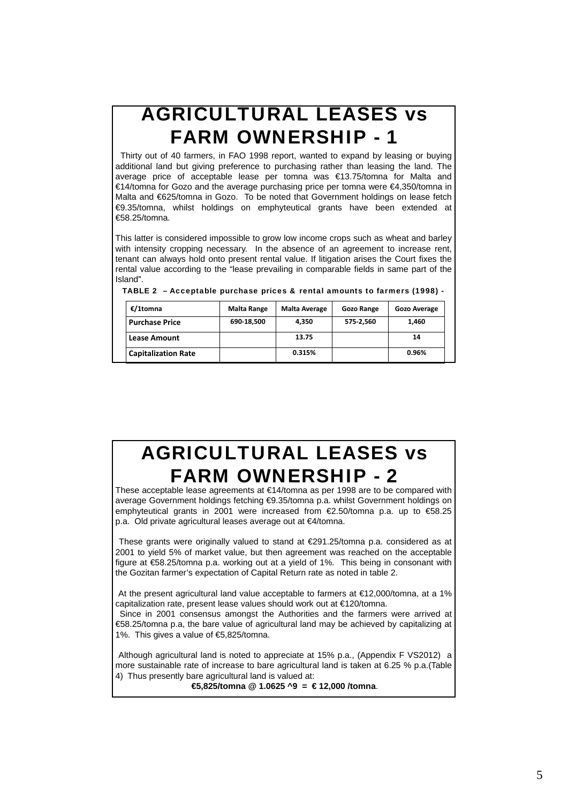### AGRICULTURAL LEASES vs FARM OWNERSHIP - 1

Thirty out of 40 farmers, in FAO 1998 report, wanted to expand by leasing or buying additional land but giving preference to purchasing rather than leasing the land. The average price of acceptable lease per tomna was €13.75/tomna for Malta and €14/tomna for Gozo and the average purchasing price per tomna were €4,350/tomna in Malta and €625/tomna in Gozo. To be noted that Government holdings on lease fetch €9.35/tomna, whilst holdings on emphyteutical grants have been extended at €58.25/tomna.

This latter is considered impossible to grow low income crops such as wheat and barley with intensity cropping necessary. In the absence of an agreement to increase rent, tenant can always hold onto present rental value. If litigation arises the Court fixes the rental value according to the "lease prevailing in comparable fields in same part of the Island".

| €/1tomna                   | <b>Malta Range</b> | <b>Malta Average</b> | Gozo Range | Gozo Average |
|----------------------------|--------------------|----------------------|------------|--------------|
| <b>Purchase Price</b>      | 690-18,500         | 4.350                | 575-2,560  | 1.460        |
| <b>Lease Amount</b>        |                    | 13.75                |            | 14           |
| <b>Capitalization Rate</b> |                    | 0.315%               |            | 0.96%        |

TABLE 2 – Acceptable purchase prices & rental amounts to farmers (1998) -

### AGRICULTURAL LEASES vs FARM OWNERSHIP - 2

These acceptable lease agreements at €14/tomna as per 1998 are to be compared with average Government holdings fetching €9.35/tomna p.a. whilst Government holdings on emphyteutical grants in 2001 were increased from €2.50/tomna p.a. up to €58.25 p.a. Old private agricultural leases average out at €4/tomna.

These grants were originally valued to stand at €291.25/tomna p.a. considered as at 2001 to yield 5% of market value, but then agreement was reached on the acceptable figure at €58.25/tomna p.a. working out at a yield of 1%. This being in consonant with the Gozitan farmer's expectation of Capital Return rate as noted in table 2.

At the present agricultural land value acceptable to farmers at  $\epsilon$ 12,000/tomna, at a 1% capitalization rate, present lease values should work out at €120/tomna.

Since in 2001 consensus amongst the Authorities and the farmers were arrived at €58.25/tomna p.a, the bare value of agricultural land may be achieved by capitalizing at 1%. This gives a value of €5,825/tomna.

Although agricultural land is noted to appreciate at 15% p.a., (Appendix F VS2012) a more sustainable rate of increase to bare agricultural land is taken at 6.25 % p.a.(Table 4) Thus presently bare agricultural land is valued at:

**€5,825/tomna @ 1.0625 ^9 = € 12,000 /tomna**.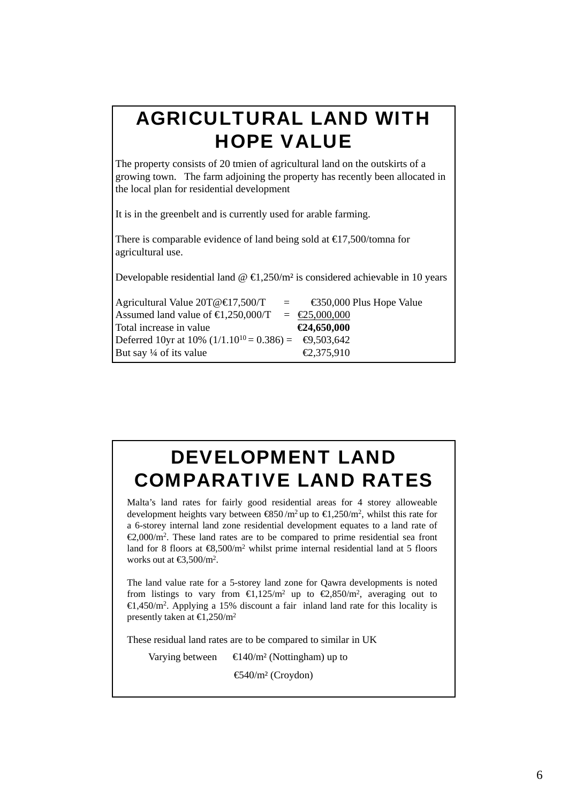## AGRICULTURAL LAND WITH HOPE VALUE

The property consists of 20 tmien of agricultural land on the outskirts of a growing town. The farm adjoining the property has recently been allocated in the local plan for residential development

It is in the greenbelt and is currently used for arable farming.

There is comparable evidence of land being sold at  $\bigoplus$  7,500/tomna for agricultural use.

Developable residential land  $\omega \in 1,250/m^2$  is considered achievable in 10 years

| Agricultural Value $20T@\in 7,500/T$                                            | $\equiv$ | $\text{\textsterling}50,000$ Plus Hope Value |
|---------------------------------------------------------------------------------|----------|----------------------------------------------|
| Assumed land value of $\bigoplus$ , 250,000/T                                   |          | $=$ $\epsilon$ 25.000.000                    |
| Total increase in value                                                         |          | €24,650,000                                  |
| Deferred 10yr at 10% $(1/1.10^{10} = 0.386) = \text{\textdegree}\Theta,503,642$ |          |                                              |
| But say $\frac{1}{4}$ of its value                                              |          | €2,375,910                                   |

### DEVELOPMENT LAND COMPARATIVE LAND RATES

Malta's land rates for fairly good residential areas for 4 storey alloweable development heights vary between  $\bigoplus 50/m^2$  up to  $\bigoplus .250/m^2$ , whilst this rate for a 6-storey internal land zone residential development equates to a land rate of  $\epsilon$ 2,000/m<sup>2</sup>. These land rates are to be compared to prime residential sea front land for 8 floors at  $\left(\frac{48,500}{m^2}\right)$  whilst prime internal residential land at 5 floors works out at  $\epsilon$ 3,500/m<sup>2</sup>.

The land value rate for a 5-storey land zone for Qawra developments is noted from listings to vary from  $\bigoplus$ , 125/m<sup>2</sup> up to  $\bigoplus$ , 850/m<sup>2</sup>, averaging out to  $\triangleleft$ ,450/m<sup>2</sup>. Applying a 15% discount a fair inland land rate for this locality is presently taken at  $\text{E}1,250/m^2$ 

These residual land rates are to be compared to similar in UK

Varying between  $\qquad \in \mathbb{R}^{40/m^2}$  (Nottingham) up to

€540/m² (Croydon)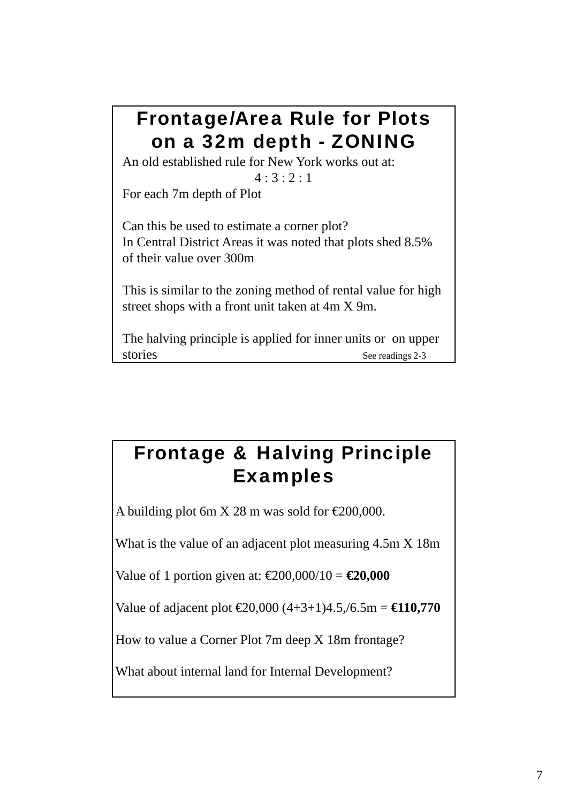## Frontage/Area Rule for Plots on a 32m depth - ZONING

An old established rule for New York works out at:  $4:3:2:1$ 

For each 7m depth of Plot

Can this be used to estimate a corner plot? In Central District Areas it was noted that plots shed 8.5% of their value over 300m

This is similar to the zoning method of rental value for high street shops with a front unit taken at 4m X 9m.

The halving principle is applied for inner units or on upper stories See readings 2-3

# Frontage & Halving Principle Examples

A building plot 6m X 28 m was sold for  $\text{\textsterling}200,000$ .

What is the value of an adjacent plot measuring 4.5m X 18m

Value of 1 portion given at:  $€200,000/10 = €20,000$ 

Value of adjacent plot  $€20,000 (4+3+1)4.5/6.5m = €110,770$ 

How to value a Corner Plot 7m deep X 18m frontage?

What about internal land for Internal Development?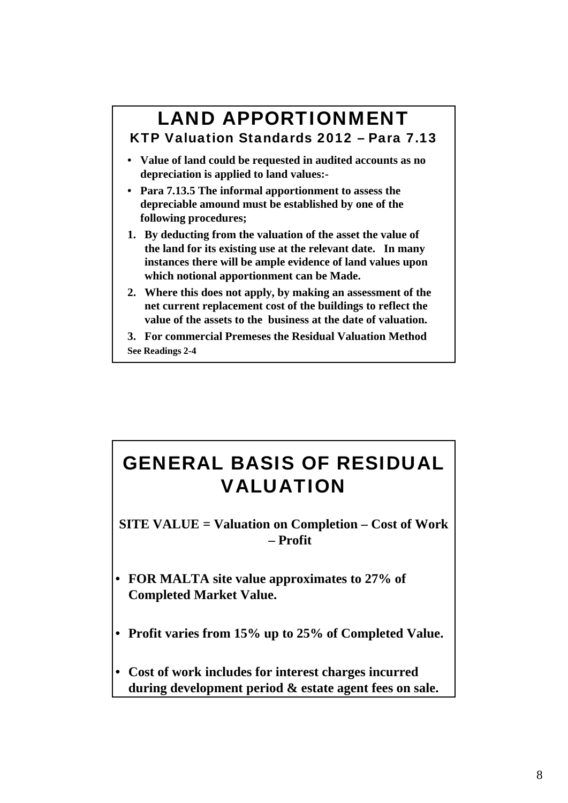### LAND APPORTIONMENT KTP Valuation Standards 2012 – Para 7.13

- **Value of land could be requested in audited accounts as no depreciation is applied to land values:-**
- **Para 7.13.5** The informal apportionment to assess the **depreciable amound must be established by one of the following procedures;**
- **1. By deducting from the valuation of the asset the value of the land for its existing use at the relevant date. In many instances there will be ample evidence of land values upon which notional apportionment can be Made.**
- **2. Where this does not apply, by making an assessment of the net current replacement cost of the buildings to reflect the value of the assets to the business at the date of valuation.**
- **3. For commercial Premeses the Residual Valuation Method See Readings 2-4**

### GENERAL BASIS OF RESIDUAL VALUATION

**SITE** VALUE = Valuation on Completion – Cost of Work **– Profit**

- **FOR MALTA site value approximates to 27% of Completed Market Value.**
- **Profit varies from 15% up to 25% of Completed Value.**
- **Cost of work includes for interest charges incurred during development period & estate agent fees on sale.**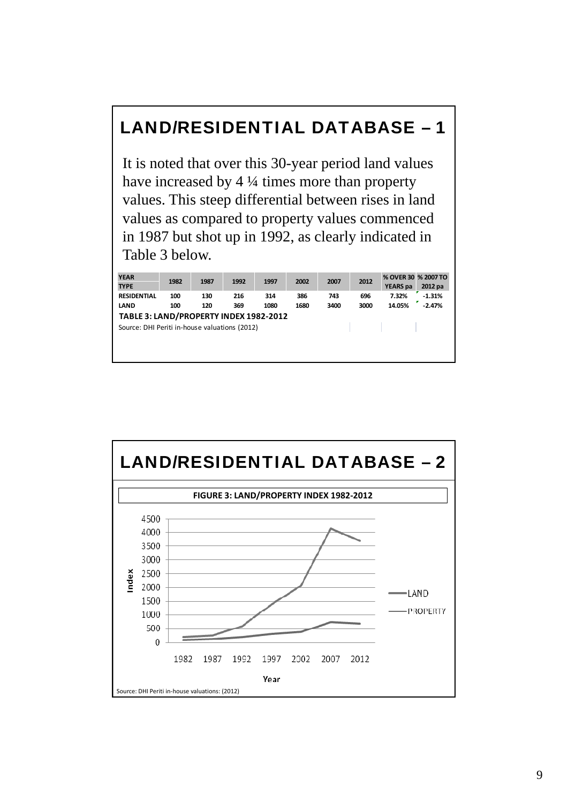### LAND/RESIDENTIAL DATABASE – 1

It is noted that over this 30-year period land values have increased by 4 ¼ times more than property values. This steep differential between rises in land values as compared to property values commenced in 1987 but shot up in 1992, as clearly indicated in Table 3 below.

| <b>YEAR</b><br><b>TYPE</b>                    | 1982 | 1987 | 1992 | 1997 | 2002 | 2007 | 2012 | % OVER 30 % 2007 TO<br>YEARS pa | 2012 pa  |
|-----------------------------------------------|------|------|------|------|------|------|------|---------------------------------|----------|
| <b>RESIDENTIAL</b>                            | 100  | 130  | 216  | 314  | 386  | 743  | 696  | 7.32%                           | $-1.31%$ |
| LAND                                          | 100  | 120  | 369  | 1080 | 1680 | 3400 | 3000 | 14.05%                          | $-2.47%$ |
| TABLE 3: LAND/PROPERTY INDEX 1982-2012        |      |      |      |      |      |      |      |                                 |          |
| Source: DHI Periti in-house valuations (2012) |      |      |      |      |      |      |      |                                 |          |
|                                               |      |      |      |      |      |      |      |                                 |          |
|                                               |      |      |      |      |      |      |      |                                 |          |
|                                               |      |      |      |      |      |      |      |                                 |          |

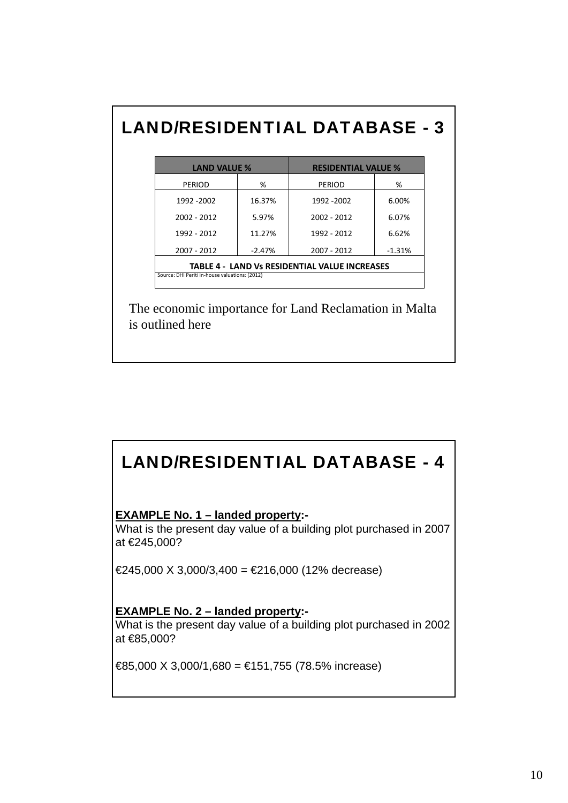| <b>LAND VALUE %</b> |          | <b>RESIDENTIAL VALUE %</b> |          |
|---------------------|----------|----------------------------|----------|
| PERIOD              | %        | <b>PERIOD</b>              | %        |
| 1992 - 2002         | 16.37%   | 1992 - 2002                | 6.00%    |
| 2002 - 2012         | 5.97%    | 2002 - 2012                | 6.07%    |
| 1992 - 2012         | 11.27%   | 1992 - 2012                | 6.62%    |
| 2007 - 2012         | $-2.47%$ | 2007 - 2012                | $-1.31%$ |

The economic importance for Land Reclamation in Malta is outlined here

### LAND/RESIDENTIAL DATABASE - 4

**EXAMPLE No. 1 – landed property:-**

What is the present day value of a building plot purchased in 2007 at €245,000?

€245,000 X 3,000/3,400 = €216,000 (12% decrease)

### **EXAMPLE No. 2 - landed property:-**

What is the present day value of a building plot purchased in 2002 at €85,000?

€85,000 X 3,000/1,680 = €151,755 (78.5% increase)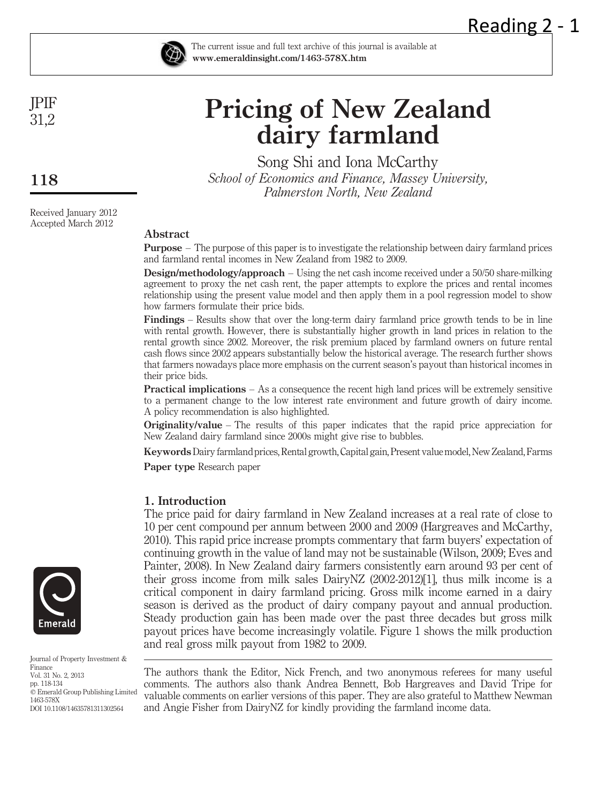

The current issue and full text archive of this journal is available at www.emeraldinsight.com/1463-578X.htm

JPIF 31,2

118

Received January 2012 Accepted March 2012

### Pricing of New Zealand dairy farmland

Song Shi and Iona McCarthy School of Economics and Finance, Massey University, Palmerston North, New Zealand

### Abstract

Purpose – The purpose of this paper is to investigate the relationship between dairy farmland prices and farmland rental incomes in New Zealand from 1982 to 2009.

Design/methodology/approach – Using the net cash income received under a 50/50 share-milking agreement to proxy the net cash rent, the paper attempts to explore the prices and rental incomes relationship using the present value model and then apply them in a pool regression model to show how farmers formulate their price bids.

Findings – Results show that over the long-term dairy farmland price growth tends to be in line with rental growth. However, there is substantially higher growth in land prices in relation to the rental growth since 2002. Moreover, the risk premium placed by farmland owners on future rental cash flows since 2002 appears substantially below the historical average. The research further shows that farmers nowadays place more emphasis on the current season's payout than historical incomes in their price bids.

Practical implications – As a consequence the recent high land prices will be extremely sensitive to a permanent change to the low interest rate environment and future growth of dairy income. A policy recommendation is also highlighted.

Originality/value – The results of this paper indicates that the rapid price appreciation for New Zealand dairy farmland since 2000s might give rise to bubbles.

KeywordsDairy farmland prices, Rental growth, Capital gain, Present value model, New Zealand, Farms

Paper type Research paper

### 1. Introduction

The price paid for dairy farmland in New Zealand increases at a real rate of close to 10 per cent compound per annum between 2000 and 2009 (Hargreaves and McCarthy, 2010). This rapid price increase prompts commentary that farm buyers' expectation of continuing growth in the value of land may not be sustainable (Wilson, 2009; Eves and Painter, 2008). In New Zealand dairy farmers consistently earn around 93 per cent of their gross income from milk sales DairyNZ (2002-2012)[1], thus milk income is a critical component in dairy farmland pricing. Gross milk income earned in a dairy season is derived as the product of dairy company payout and annual production. Steady production gain has been made over the past three decades but gross milk payout prices have become increasingly volatile. Figure 1 shows the milk production and real gross milk payout from 1982 to 2009.





Journal of Property Investment & Finance Vol. 31 No. 2, 2013 pp. 118-134  $\degree$  Emerald Group Publishing Limited 1463-578X DOI 10.1108/14635781311302564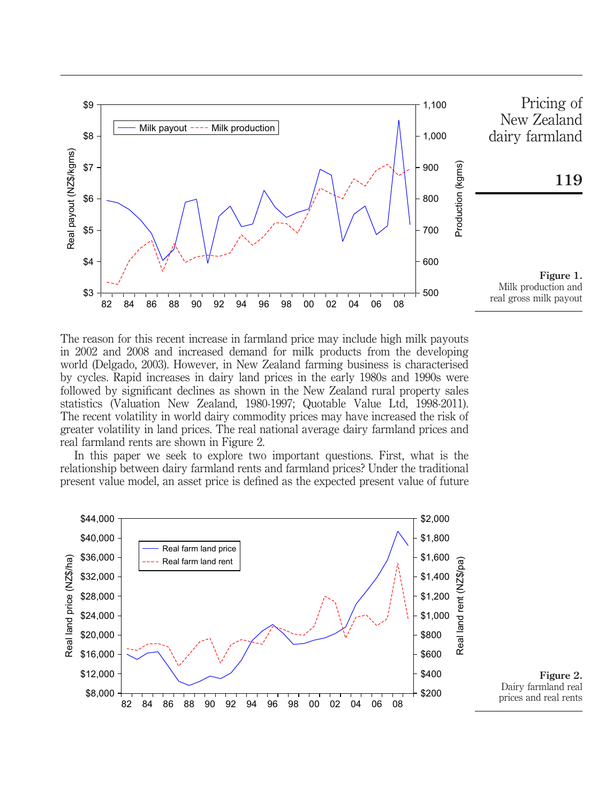

The reason for this recent increase in farmland price may include high milk payouts in 2002 and 2008 and increased demand for milk products from the developing world (Delgado, 2003). However, in New Zealand farming business is characterised by cycles. Rapid increases in dairy land prices in the early 1980s and 1990s were followed by significant declines as shown in the New Zealand rural property sales statistics (Valuation New Zealand, 1980-1997; Quotable Value Ltd, 1998-2011). The recent volatility in world dairy commodity prices may have increased the risk of greater volatility in land prices. The real national average dairy farmland prices and real farmland rents are shown in Figure 2.

In this paper we seek to explore two important questions. First, what is the relationship between dairy farmland rents and farmland prices? Under the traditional present value model, an asset price is defined as the expected present value of future



Figure 2.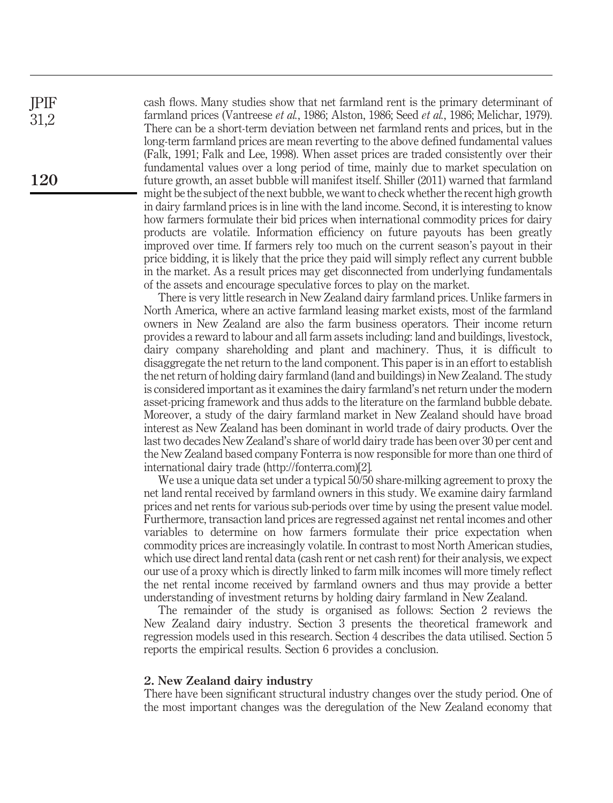cash flows. Many studies show that net farmland rent is the primary determinant of farmland prices (Vantreese et al., 1986; Alston, 1986; Seed et al., 1986; Melichar, 1979). There can be a short-term deviation between net farmland rents and prices, but in the long-term farmland prices are mean reverting to the above defined fundamental values (Falk, 1991; Falk and Lee, 1998). When asset prices are traded consistently over their fundamental values over a long period of time, mainly due to market speculation on future growth, an asset bubble will manifest itself. Shiller (2011) warned that farmland might be the subject of the next bubble, we want to check whether the recent high growth in dairy farmland prices is in line with the land income. Second, it is interesting to know how farmers formulate their bid prices when international commodity prices for dairy products are volatile. Information efficiency on future payouts has been greatly improved over time. If farmers rely too much on the current season's payout in their price bidding, it is likely that the price they paid will simply reflect any current bubble in the market. As a result prices may get disconnected from underlying fundamentals of the assets and encourage speculative forces to play on the market.

There is very little research in New Zealand dairy farmland prices. Unlike farmers in North America, where an active farmland leasing market exists, most of the farmland owners in New Zealand are also the farm business operators. Their income return provides a reward to labour and all farm assets including: land and buildings, livestock, dairy company shareholding and plant and machinery. Thus, it is difficult to disaggregate the net return to the land component. This paper is in an effort to establish the net return of holding dairy farmland (land and buildings) in New Zealand. The study is considered important as it examines the dairy farmland's net return under the modern asset-pricing framework and thus adds to the literature on the farmland bubble debate. Moreover, a study of the dairy farmland market in New Zealand should have broad interest as New Zealand has been dominant in world trade of dairy products. Over the last two decades New Zealand's share of world dairy trade has been over 30 per cent and the New Zealand based company Fonterra is now responsible for more than one third of international dairy trade (http://fonterra.com)[2].

We use a unique data set under a typical 50/50 share-milking agreement to proxy the net land rental received by farmland owners in this study. We examine dairy farmland prices and net rents for various sub-periods over time by using the present value model. Furthermore, transaction land prices are regressed against net rental incomes and other variables to determine on how farmers formulate their price expectation when commodity prices are increasingly volatile. In contrast to most North American studies, which use direct land rental data (cash rent or net cash rent) for their analysis, we expect our use of a proxy which is directly linked to farm milk incomes will more timely reflect the net rental income received by farmland owners and thus may provide a better understanding of investment returns by holding dairy farmland in New Zealand.

The remainder of the study is organised as follows: Section 2 reviews the New Zealand dairy industry. Section 3 presents the theoretical framework and regression models used in this research. Section 4 describes the data utilised. Section 5 reports the empirical results. Section 6 provides a conclusion.

#### 2. New Zealand dairy industry

There have been significant structural industry changes over the study period. One of the most important changes was the deregulation of the New Zealand economy that

JPIF 31,2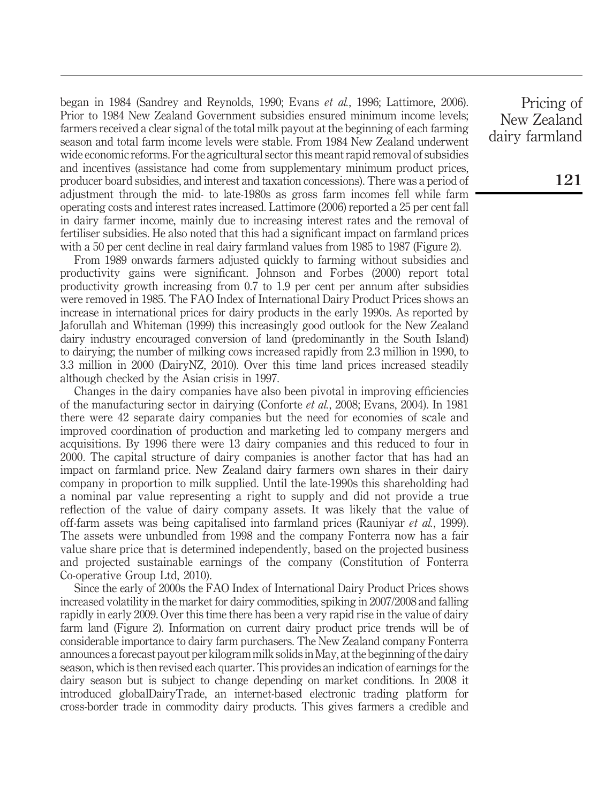began in 1984 (Sandrey and Reynolds, 1990; Evans et al., 1996; Lattimore, 2006). Prior to 1984 New Zealand Government subsidies ensured minimum income levels; farmers received a clear signal of the total milk payout at the beginning of each farming season and total farm income levels were stable. From 1984 New Zealand underwent wide economic reforms. For the agricultural sector this meant rapid removal of subsidies and incentives (assistance had come from supplementary minimum product prices, producer board subsidies, and interest and taxation concessions). There was a period of adjustment through the mid- to late-1980s as gross farm incomes fell while farm operating costs and interest rates increased. Lattimore (2006) reported a 25 per cent fall in dairy farmer income, mainly due to increasing interest rates and the removal of fertiliser subsidies. He also noted that this had a significant impact on farmland prices with a 50 per cent decline in real dairy farmland values from 1985 to 1987 (Figure 2).

From 1989 onwards farmers adjusted quickly to farming without subsidies and productivity gains were significant. Johnson and Forbes (2000) report total productivity growth increasing from 0.7 to 1.9 per cent per annum after subsidies were removed in 1985. The FAO Index of International Dairy Product Prices shows an increase in international prices for dairy products in the early 1990s. As reported by Jaforullah and Whiteman (1999) this increasingly good outlook for the New Zealand dairy industry encouraged conversion of land (predominantly in the South Island) to dairying; the number of milking cows increased rapidly from 2.3 million in 1990, to 3.3 million in 2000 (DairyNZ, 2010). Over this time land prices increased steadily although checked by the Asian crisis in 1997.

Changes in the dairy companies have also been pivotal in improving efficiencies of the manufacturing sector in dairying (Conforte et al., 2008; Evans, 2004). In 1981 there were 42 separate dairy companies but the need for economies of scale and improved coordination of production and marketing led to company mergers and acquisitions. By 1996 there were 13 dairy companies and this reduced to four in 2000. The capital structure of dairy companies is another factor that has had an impact on farmland price. New Zealand dairy farmers own shares in their dairy company in proportion to milk supplied. Until the late-1990s this shareholding had a nominal par value representing a right to supply and did not provide a true reflection of the value of dairy company assets. It was likely that the value of off-farm assets was being capitalised into farmland prices (Rauniyar et al., 1999). The assets were unbundled from 1998 and the company Fonterra now has a fair value share price that is determined independently, based on the projected business and projected sustainable earnings of the company (Constitution of Fonterra Co-operative Group Ltd, 2010).

Since the early of 2000s the FAO Index of International Dairy Product Prices shows increased volatility in the market for dairy commodities, spiking in 2007/2008 and falling rapidly in early 2009. Over this time there has been a very rapid rise in the value of dairy farm land (Figure 2). Information on current dairy product price trends will be of considerable importance to dairy farm purchasers. The New Zealand company Fonterra announces a forecast payout per kilogram milk solids in May, at the beginning of the dairy season, which is then revised each quarter. This provides an indication of earnings for the dairy season but is subject to change depending on market conditions. In 2008 it introduced globalDairyTrade, an internet-based electronic trading platform for cross-border trade in commodity dairy products. This gives farmers a credible and

Pricing of New Zealand dairy farmland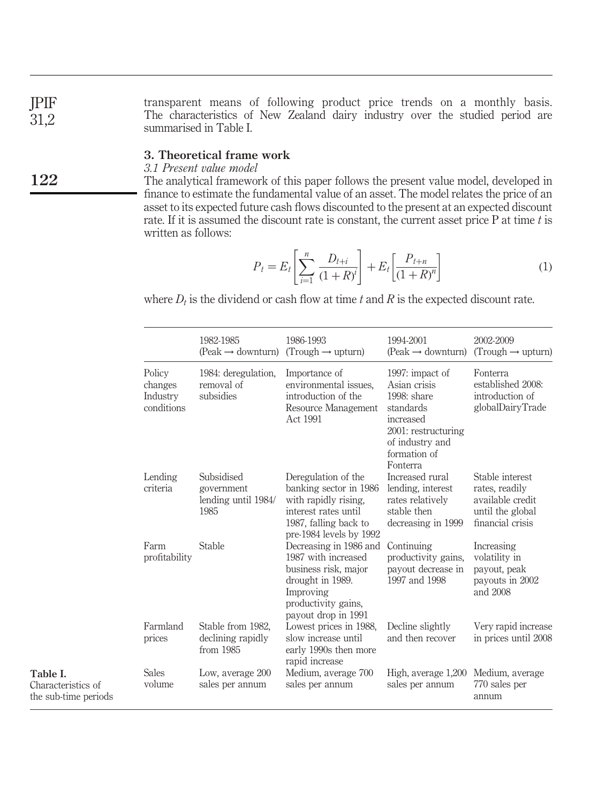transparent means of following product price trends on a monthly basis. The characteristics of New Zealand dairy industry over the studied period are summarised in Table I.

#### 3. Theoretical frame work

#### 3.1 Present value model

The analytical framework of this paper follows the present value model, developed in finance to estimate the fundamental value of an asset. The model relates the price of an asset to its expected future cash flows discounted to the present at an expected discount rate. If it is assumed the discount rate is constant, the current asset price  $P$  at time  $t$  is written as follows:

$$
P_t = E_t \left[ \sum_{i=1}^n \frac{D_{t+i}}{(1+R)^i} \right] + E_t \left[ \frac{P_{t+n}}{(1+R)^n} \right] \tag{1}
$$

where  $D_t$  is the dividend or cash flow at time t and R is the expected discount rate.

|                                                        |                                             | 1982-1985<br>$(Peak \rightarrow downturn)$              | 1986-1993<br>$(Trough \rightarrow upturn)$                                                                                                           | 1994-2001<br>$(Peak \rightarrow downturn)$                                                                                                     | 2002-2009<br>$(Trough \rightarrow upturn)$                                                    |
|--------------------------------------------------------|---------------------------------------------|---------------------------------------------------------|------------------------------------------------------------------------------------------------------------------------------------------------------|------------------------------------------------------------------------------------------------------------------------------------------------|-----------------------------------------------------------------------------------------------|
|                                                        | Policy<br>changes<br>Industry<br>conditions | 1984: deregulation,<br>removal of<br>subsidies          | Importance of<br>environmental issues.<br>introduction of the<br>Resource Management<br>Act 1991                                                     | 1997: impact of<br>Asian crisis<br>1998: share<br>standards<br>increased<br>2001: restructuring<br>of industry and<br>formation of<br>Fonterra | Fonterra<br>established 2008:<br>introduction of<br>globalDairyTrade                          |
|                                                        | Lending<br>criteria                         | Subsidised<br>government<br>lending until 1984/<br>1985 | Deregulation of the<br>banking sector in 1986<br>with rapidly rising.<br>interest rates until<br>1987, falling back to<br>pre-1984 levels by 1992    | Increased rural<br>lending, interest<br>rates relatively<br>stable then<br>decreasing in 1999                                                  | Stable interest<br>rates, readily<br>available credit<br>until the global<br>financial crisis |
|                                                        | Farm<br>profitability                       | <b>Stable</b>                                           | Decreasing in 1986 and<br>1987 with increased<br>business risk, major<br>drought in 1989.<br>Improving<br>productivity gains.<br>payout drop in 1991 | Continuing<br>productivity gains.<br>payout decrease in<br>1997 and 1998                                                                       | Increasing<br>volatility in<br>payout, peak<br>payouts in 2002<br>and 2008                    |
|                                                        | Farmland<br>prices                          | Stable from 1982,<br>declining rapidly<br>from 1985     | Lowest prices in 1988.<br>slow increase until<br>early 1990s then more<br>rapid increase                                                             | Decline slightly<br>and then recover                                                                                                           | Very rapid increase<br>in prices until 2008                                                   |
| Table I.<br>Characteristics of<br>the sub-time periods | <b>Sales</b><br>volume                      | Low, average 200<br>sales per annum                     | Medium, average 700<br>sales per annum                                                                                                               | High, average 1,200<br>sales per annum                                                                                                         | Medium, average<br>770 sales per<br>annum                                                     |

122

JPIF 31,2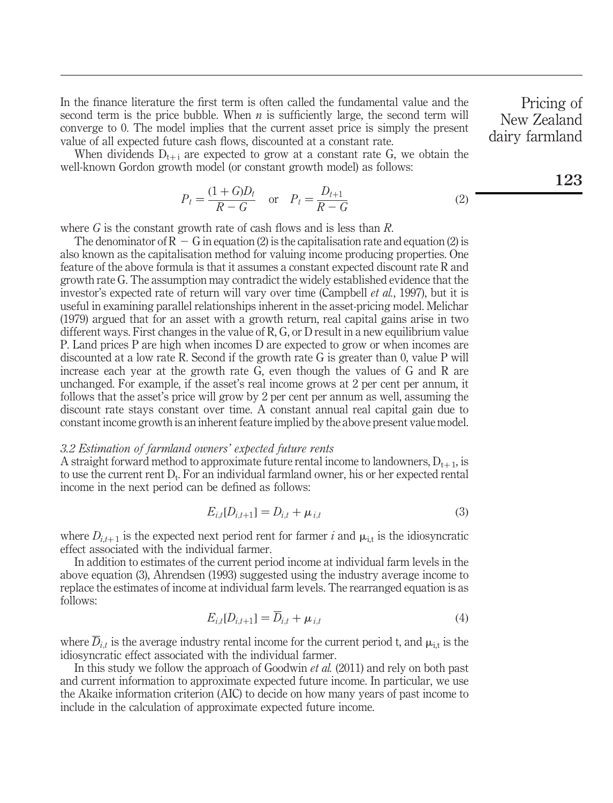In the finance literature the first term is often called the fundamental value and the second term is the price bubble. When  $n$  is sufficiently large, the second term will converge to 0. The model implies that the current asset price is simply the present value of all expected future cash flows, discounted at a constant rate.

When dividends  $D_{t+1}$  are expected to grow at a constant rate G, we obtain the well-known Gordon growth model (or constant growth model) as follows:

$$
P_t = \frac{(1+G)D_t}{R-G} \quad \text{or} \quad P_t = \frac{D_{t+1}}{R-G}
$$
 (2)

where G is the constant growth rate of cash flows and is less than R.

The denominator of  $R - G$  in equation (2) is the capitalisation rate and equation (2) is also known as the capitalisation method for valuing income producing properties. One feature of the above formula is that it assumes a constant expected discount rate R and growth rate G. The assumption may contradict the widely established evidence that the investor's expected rate of return will vary over time (Campbell *et al.*, 1997), but it is useful in examining parallel relationships inherent in the asset-pricing model. Melichar (1979) argued that for an asset with a growth return, real capital gains arise in two different ways. First changes in the value of R, G, or D result in a new equilibrium value P. Land prices P are high when incomes D are expected to grow or when incomes are discounted at a low rate R. Second if the growth rate G is greater than 0, value P will increase each year at the growth rate G, even though the values of G and R are unchanged. For example, if the asset's real income grows at 2 per cent per annum, it follows that the asset's price will grow by 2 per cent per annum as well, assuming the discount rate stays constant over time. A constant annual real capital gain due to constant income growth is an inherent feature implied by the above present value model.

#### 3.2 Estimation of farmland owners' expected future rents

A straight forward method to approximate future rental income to landowners,  $D_{t+1}$ , is to use the current rent  $D_t$ . For an individual farmland owner, his or her expected rental income in the next period can be defined as follows:

$$
E_{i,t}[D_{i,t+1}] = D_{i,t} + \mu_{i,t}
$$
\n(3)

where  $D_{i,t+1}$  is the expected next period rent for farmer i and  $\mu_{i,t}$  is the idiosyncratic effect associated with the individual farmer.

In addition to estimates of the current period income at individual farm levels in the above equation (3), Ahrendsen (1993) suggested using the industry average income to replace the estimates of income at individual farm levels. The rearranged equation is as follows:

$$
E_{i,t}[D_{i,t+1}] = \overline{D}_{i,t} + \mu_{i,t} \tag{4}
$$

where  $D_{i,t}$  is the average industry rental income for the current period t, and  $\mu_{i,t}$  is the idiosyncratic effect associated with the individual farmer.

In this study we follow the approach of Goodwin *et al.* (2011) and rely on both past and current information to approximate expected future income. In particular, we use the Akaike information criterion (AIC) to decide on how many years of past income to include in the calculation of approximate expected future income.

Pricing of New Zealand dairy farmland

123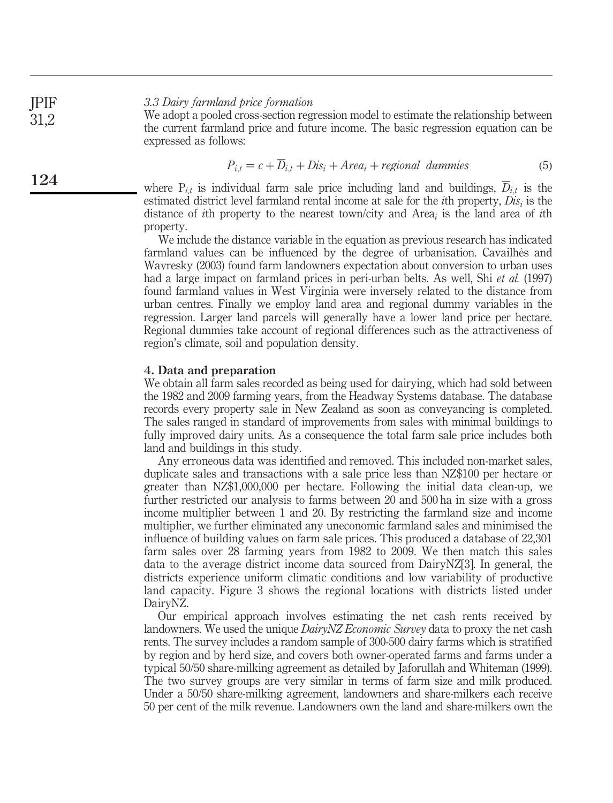#### 3.3 Dairy farmland price formation

We adopt a pooled cross-section regression model to estimate the relationship between the current farmland price and future income. The basic regression equation can be expressed as follows:

$$
P_{i,t} = c + \overline{D}_{i,t} + Dis_i + Area_i + regional \; dummies \tag{5}
$$

where  $P_{i,t}$  is individual farm sale price including land and buildings,  $D_{i,t}$  is the estimated district level farmland rental income at sale for the *i*th property,  $Dis<sub>i</sub>$  is the distance of *i*th property to the nearest town/city and Area<sub>i</sub> is the land area of *i*th property.

We include the distance variable in the equation as previous research has indicated farmland values can be influenced by the degree of urbanisation. Cavailhees and Wavresky (2003) found farm landowners expectation about conversion to urban uses had a large impact on farmland prices in peri-urban belts. As well, Shi et al. (1997) found farmland values in West Virginia were inversely related to the distance from urban centres. Finally we employ land area and regional dummy variables in the regression. Larger land parcels will generally have a lower land price per hectare. Regional dummies take account of regional differences such as the attractiveness of region's climate, soil and population density.

#### 4. Data and preparation

We obtain all farm sales recorded as being used for dairying, which had sold between the 1982 and 2009 farming years, from the Headway Systems database. The database records every property sale in New Zealand as soon as conveyancing is completed. The sales ranged in standard of improvements from sales with minimal buildings to fully improved dairy units. As a consequence the total farm sale price includes both land and buildings in this study.

Any erroneous data was identified and removed. This included non-market sales, duplicate sales and transactions with a sale price less than NZ\$100 per hectare or greater than NZ\$1,000,000 per hectare. Following the initial data clean-up, we further restricted our analysis to farms between 20 and 500 ha in size with a gross income multiplier between 1 and 20. By restricting the farmland size and income multiplier, we further eliminated any uneconomic farmland sales and minimised the influence of building values on farm sale prices. This produced a database of 22,301 farm sales over 28 farming years from 1982 to 2009. We then match this sales data to the average district income data sourced from DairyNZ[3]. In general, the districts experience uniform climatic conditions and low variability of productive land capacity. Figure 3 shows the regional locations with districts listed under DairyNZ.

Our empirical approach involves estimating the net cash rents received by landowners. We used the unique *DairyNZ Economic Survey* data to proxy the net cash rents. The survey includes a random sample of 300-500 dairy farms which is stratified by region and by herd size, and covers both owner-operated farms and farms under a typical 50/50 share-milking agreement as detailed by Jaforullah and Whiteman (1999). The two survey groups are very similar in terms of farm size and milk produced. Under a 50/50 share-milking agreement, landowners and share-milkers each receive 50 per cent of the milk revenue. Landowners own the land and share-milkers own the

JPIF 31,2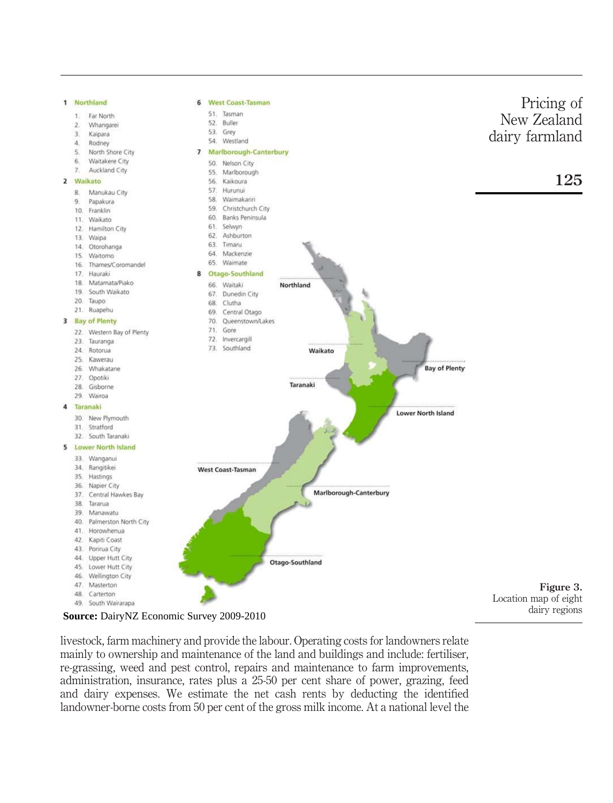

livestock, farm machinery and provide the labour. Operating costs for landowners relate mainly to ownership and maintenance of the land and buildings and include: fertiliser, re-grassing, weed and pest control, repairs and maintenance to farm improvements, administration, insurance, rates plus a 25-50 per cent share of power, grazing, feed and dairy expenses. We estimate the net cash rents by deducting the identified landowner-borne costs from 50 per cent of the gross milk income. At a national level the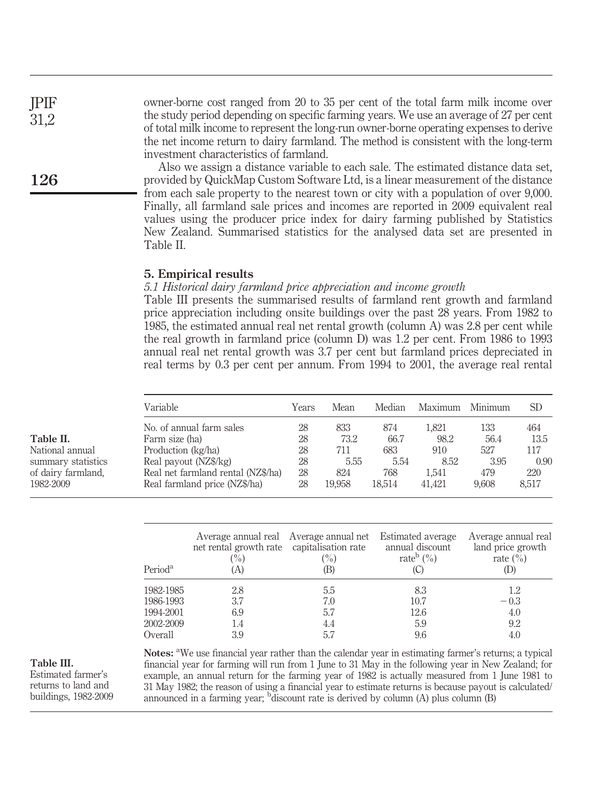owner-borne cost ranged from 20 to 35 per cent of the total farm milk income over the study period depending on specific farming years. We use an average of 27 per cent of total milk income to represent the long-run owner-borne operating expenses to derive the net income return to dairy farmland. The method is consistent with the long-term investment characteristics of farmland.

Also we assign a distance variable to each sale. The estimated distance data set, provided by QuickMap Custom Software Ltd, is a linear measurement of the distance from each sale property to the nearest town or city with a population of over 9,000. Finally, all farmland sale prices and incomes are reported in 2009 equivalent real values using the producer price index for dairy farming published by Statistics New Zealand. Summarised statistics for the analysed data set are presented in Table II.

#### 5. Empirical results

#### 5.1 Historical dairy farmland price appreciation and income growth

Table III presents the summarised results of farmland rent growth and farmland price appreciation including onsite buildings over the past 28 years. From 1982 to 1985, the estimated annual real net rental growth (column A) was 2.8 per cent while the real growth in farmland price (column D) was 1.2 per cent. From 1986 to 1993 annual real net rental growth was 3.7 per cent but farmland prices depreciated in real terms by 0.3 per cent per annum. From 1994 to 2001, the average real rental

| Variable                                                 | Years | Mean   | Median | Maximum | Minimum | SD    |
|----------------------------------------------------------|-------|--------|--------|---------|---------|-------|
| No. of annual farm sales                                 | 28    | 833    | 874    | 1.821   | 133     | 464   |
| Table II.<br>Farm size (ha)                              | 28    | 73.2   | 66.7   | 98.2    | 56.4    | 13.5  |
| National annual<br>Production (kg/ha)                    | 28    | 711    | 683    | 910     | 527     | 117   |
| Real payout (NZ\$/kg)<br>summary statistics              | 28    | 5.55   | 5.54   | 8.52    | 3.95    | 0.90  |
| Real net farmland rental (NZ\$/ha)<br>of dairy farmland, | 28    | 824    | 768    | 1.541   | 479     | 220   |
| Real farmland price (NZ\$/ha)<br>1982-2009               | 28    | 19.958 | 18.514 | 41.421  | 9.608   | 8,517 |

| Period <sup>a</sup> | Average annual real Average annual net<br>net rental growth rate capitalisation rate<br>$(\%)$<br>(A) | $(\%)$<br>(B) | Estimated average<br>annual discount<br>rate <sup>b</sup> $(\% )$ | Average annual real<br>land price growth<br>rate $\binom{0}{0}$<br>(D) |
|---------------------|-------------------------------------------------------------------------------------------------------|---------------|-------------------------------------------------------------------|------------------------------------------------------------------------|
| 1982-1985           | 2.8                                                                                                   | 5.5           | 8.3                                                               | 1.2                                                                    |
| 1986-1993           | 3.7                                                                                                   | 7.0           | 10.7                                                              | $-0.3$                                                                 |
| 1994-2001           | 6.9                                                                                                   | 5.7           | 12.6                                                              | 4.0                                                                    |
| 2002-2009           | 1.4                                                                                                   | 4.4           | 5.9                                                               | 9.2                                                                    |
| Overall             | 3.9                                                                                                   | 5.7           | 9.6                                                               | 4.0                                                                    |

Table III.

Estimated farmer's returns to land and buildings, 1982-2009

Notes: <sup>a</sup>We use financial year rather than the calendar year in estimating farmer's returns; a typical financial year for farming will run from 1 June to 31 May in the following year in New Zealand; for example, an annual return for the farming year of 1982 is actually measured from 1 June 1981 to 31 May 1982; the reason of using a financial year to estimate returns is because payout is calculated/ announced in a farming year; <sup>b</sup>discount rate is derived by column (A) plus column (B)

JPIF 31,2

126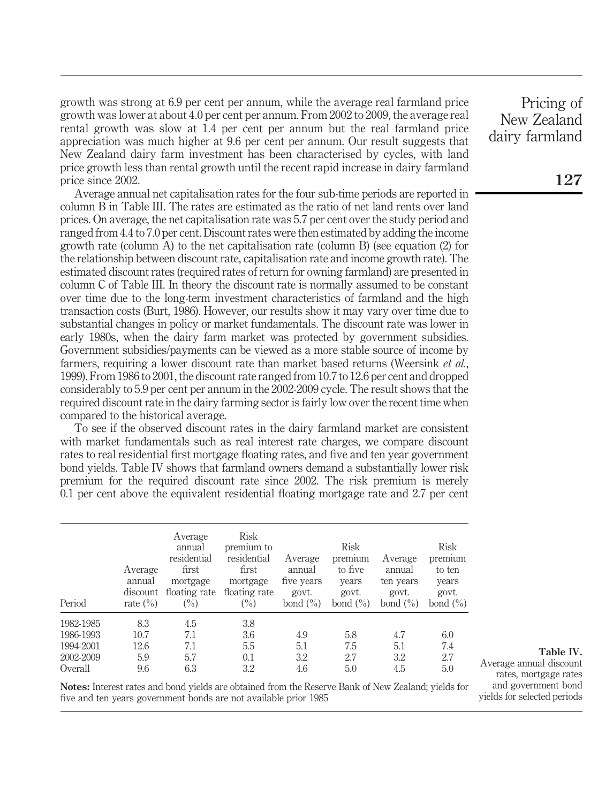growth was strong at 6.9 per cent per annum, while the average real farmland price growth was lower at about 4.0 per cent per annum. From 2002 to 2009, the average real rental growth was slow at 1.4 per cent per annum but the real farmland price appreciation was much higher at 9.6 per cent per annum. Our result suggests that New Zealand dairy farm investment has been characterised by cycles, with land price growth less than rental growth until the recent rapid increase in dairy farmland price since 2002.

Average annual net capitalisation rates for the four sub-time periods are reported in column B in Table III. The rates are estimated as the ratio of net land rents over land prices. On average, the net capitalisation rate was 5.7 per cent over the study period and ranged from 4.4 to 7.0 per cent. Discount rates were then estimated by adding the income growth rate (column A) to the net capitalisation rate (column B) (see equation (2) for the relationship between discount rate, capitalisation rate and income growth rate). The estimated discount rates (required rates of return for owning farmland) are presented in column C of Table III. In theory the discount rate is normally assumed to be constant over time due to the long-term investment characteristics of farmland and the high transaction costs (Burt, 1986). However, our results show it may vary over time due to substantial changes in policy or market fundamentals. The discount rate was lower in early 1980s, when the dairy farm market was protected by government subsidies. Government subsidies/payments can be viewed as a more stable source of income by farmers, requiring a lower discount rate than market based returns (Weersink et al., 1999). From 1986 to 2001, the discount rate ranged from 10.7 to 12.6 per cent and dropped considerably to 5.9 per cent per annum in the 2002-2009 cycle. The result shows that the required discount rate in the dairy farming sector is fairly low over the recent time when compared to the historical average.

To see if the observed discount rates in the dairy farmland market are consistent with market fundamentals such as real interest rate charges, we compare discount rates to real residential first mortgage floating rates, and five and ten year government bond yields. Table IV shows that farmland owners demand a substantially lower risk premium for the required discount rate since 2002. The risk premium is merely 0.1 per cent above the equivalent residential floating mortgage rate and 2.7 per cent

| Period                            | Average<br>annual<br>discount<br>rate $(\% )$ | Average<br>annual<br>residential<br>first<br>mortgage<br>floating rate<br>(%) | Risk<br>premium to<br>residential<br>first<br>mortgage<br>floating rate<br>(%) | Average<br>annual<br>five years<br>govt.<br>bond $(\% )$ | <b>Risk</b><br>premium<br>to five<br>vears<br>govt.<br>bond $(\% )$ | Average<br>annual<br>ten years<br>govt.<br>bond $(\% )$ | Risk<br>premium<br>to ten<br>vears<br>govt.<br>bond $(\% )$ |
|-----------------------------------|-----------------------------------------------|-------------------------------------------------------------------------------|--------------------------------------------------------------------------------|----------------------------------------------------------|---------------------------------------------------------------------|---------------------------------------------------------|-------------------------------------------------------------|
| 1982-1985<br>1986-1993            | 8.3<br>10.7                                   | 4.5<br>7.1                                                                    | 3.8<br>3.6                                                                     | 4.9                                                      | 5.8                                                                 | 4.7                                                     | 6.0                                                         |
| 1994-2001<br>2002-2009<br>Overall | 12.6<br>5.9<br>9.6                            | 7.1<br>5.7<br>6.3                                                             | 5.5<br>0.1<br>3.2                                                              | 5.1<br>3.2<br>4.6                                        | 7.5<br>2.7<br>5.0                                                   | 5.1<br>3.2<br>4.5                                       | 7.4<br>2.7<br>5.0                                           |

Notes: Interest rates and bond yields are obtained from the Reserve Bank of New Zealand; yields for five and ten years government bonds are not available prior 1985

Pricing of New Zealand dairy farmland

Table IV.

Average annual discount rates, mortgage rates and government bond yields for selected periods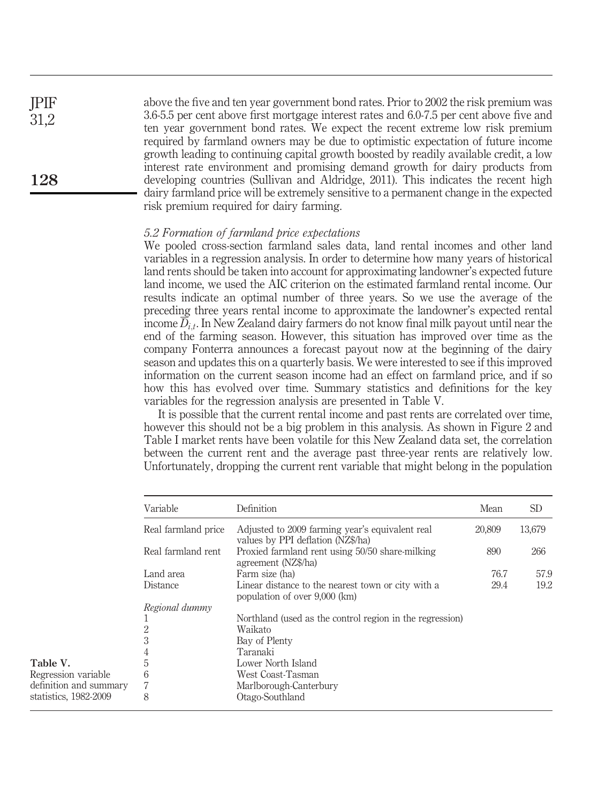| JPIF | above the five and ten year government bond rates. Prior to 2002 the risk premium was    |
|------|------------------------------------------------------------------------------------------|
| 31,2 | 3.6-5.5 per cent above first mortgage interest rates and 6.0-7.5 per cent above five and |
|      | ten year government bond rates. We expect the recent extreme low risk premium            |
|      | required by farmland owners may be due to optimistic expectation of future income        |
|      | growth leading to continuing capital growth boosted by readily available credit, a low   |
|      | interest rate environment and promising demand growth for dairy products from            |
| 128  | developing countries (Sullivan and Aldridge, 2011). This indicates the recent high       |
|      | dairy farmland price will be extremely sensitive to a permanent change in the expected   |
|      | risk premium required for dairy farming.                                                 |
|      |                                                                                          |

#### 5.2 Formation of farmland price expectations

We pooled cross-section farmland sales data, land rental incomes and other land variables in a regression analysis. In order to determine how many years of historical land rents should be taken into account for approximating landowner's expected future land income, we used the AIC criterion on the estimated farmland rental income. Our results indicate an optimal number of three years. So we use the average of the preceding three years rental income to approximate the landowner's expected rental income  $\overline{D}_{i,t}$ . In New Zealand dairy farmers do not know final milk payout until near the end of the farming season. However, this situation has improved over time as the company Fonterra announces a forecast payout now at the beginning of the dairy season and updates this on a quarterly basis. We were interested to see if this improved information on the current season income had an effect on farmland price, and if so how this has evolved over time. Summary statistics and definitions for the key variables for the regression analysis are presented in Table V.

It is possible that the current rental income and past rents are correlated over time, however this should not be a big problem in this analysis. As shown in Figure 2 and Table I market rents have been volatile for this New Zealand data set, the correlation between the current rent and the average past three-year rents are relatively low. Unfortunately, dropping the current rent variable that might belong in the population

|                        | Variable            | <b>Definition</b>                                                                    | Mean   | SD.    |
|------------------------|---------------------|--------------------------------------------------------------------------------------|--------|--------|
|                        | Real farmland price | Adjusted to 2009 farming year's equivalent real<br>values by PPI deflation (NZ\$/ha) | 20,809 | 13,679 |
|                        | Real farmland rent  | Proxied farmland rent using 50/50 share-milking<br>agreement (NZ\$/ha)               | 890    | 266    |
|                        | Land area           | Farm size (ha)                                                                       | 76.7   | 57.9   |
|                        | Distance            | Linear distance to the nearest town or city with a<br>population of over 9,000 (km)  | 29.4   | 19.2   |
|                        | Regional dummy      |                                                                                      |        |        |
|                        |                     | Northland (used as the control region in the regression)                             |        |        |
|                        | 2                   | Waikato                                                                              |        |        |
|                        | 3                   | Bay of Plenty                                                                        |        |        |
|                        | 4                   | Taranaki                                                                             |        |        |
| Table V.               | 5                   | Lower North Island                                                                   |        |        |
| Regression variable    | 6                   | West Coast-Tasman                                                                    |        |        |
| definition and summary | 7                   | Marlborough-Canterbury                                                               |        |        |
| statistics, 1982-2009  | 8                   | Otago-Southland                                                                      |        |        |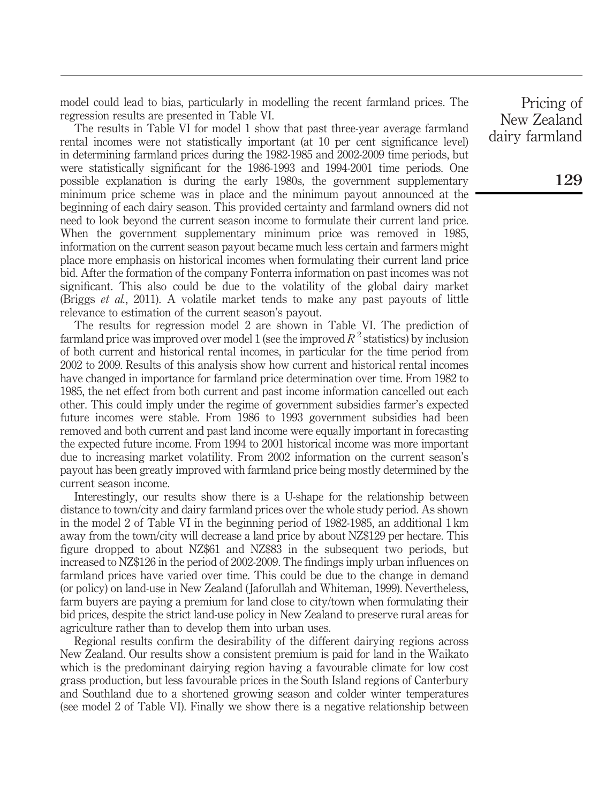model could lead to bias, particularly in modelling the recent farmland prices. The regression results are presented in Table VI.

The results in Table VI for model 1 show that past three-year average farmland rental incomes were not statistically important (at 10 per cent significance level) in determining farmland prices during the 1982-1985 and 2002-2009 time periods, but were statistically significant for the 1986-1993 and 1994-2001 time periods. One possible explanation is during the early 1980s, the government supplementary minimum price scheme was in place and the minimum payout announced at the beginning of each dairy season. This provided certainty and farmland owners did not need to look beyond the current season income to formulate their current land price. When the government supplementary minimum price was removed in 1985, information on the current season payout became much less certain and farmers might place more emphasis on historical incomes when formulating their current land price bid. After the formation of the company Fonterra information on past incomes was not significant. This also could be due to the volatility of the global dairy market (Briggs et al., 2011). A volatile market tends to make any past payouts of little relevance to estimation of the current season's payout.

The results for regression model 2 are shown in Table VI. The prediction of farmland price was improved over model 1 (see the improved  $R^2$  statistics) by inclusion of both current and historical rental incomes, in particular for the time period from 2002 to 2009. Results of this analysis show how current and historical rental incomes have changed in importance for farmland price determination over time. From 1982 to 1985, the net effect from both current and past income information cancelled out each other. This could imply under the regime of government subsidies farmer's expected future incomes were stable. From 1986 to 1993 government subsidies had been removed and both current and past land income were equally important in forecasting the expected future income. From 1994 to 2001 historical income was more important due to increasing market volatility. From 2002 information on the current season's payout has been greatly improved with farmland price being mostly determined by the current season income.

Interestingly, our results show there is a U-shape for the relationship between distance to town/city and dairy farmland prices over the whole study period. As shown in the model 2 of Table VI in the beginning period of 1982-1985, an additional 1 km away from the town/city will decrease a land price by about NZ\$129 per hectare. This figure dropped to about NZ\$61 and NZ\$83 in the subsequent two periods, but increased to NZ\$126 in the period of 2002-2009. The findings imply urban influences on farmland prices have varied over time. This could be due to the change in demand (or policy) on land-use in New Zealand (Jaforullah and Whiteman, 1999). Nevertheless, farm buyers are paying a premium for land close to city/town when formulating their bid prices, despite the strict land-use policy in New Zealand to preserve rural areas for agriculture rather than to develop them into urban uses.

Regional results confirm the desirability of the different dairying regions across New Zealand. Our results show a consistent premium is paid for land in the Waikato which is the predominant dairying region having a favourable climate for low cost grass production, but less favourable prices in the South Island regions of Canterbury and Southland due to a shortened growing season and colder winter temperatures (see model 2 of Table VI). Finally we show there is a negative relationship between

Pricing of New Zealand dairy farmland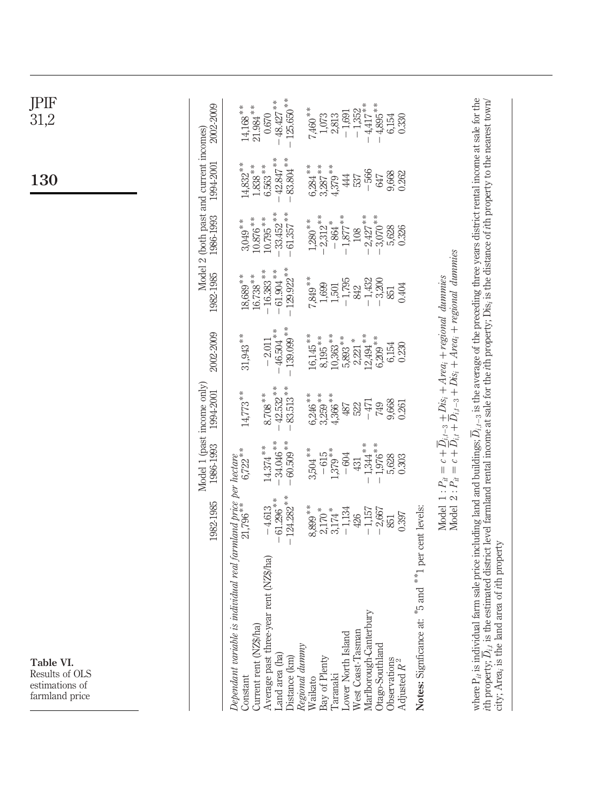130

Table VI. Results of OLS estimations of farmland price

|                                                                              | 1982-1985                                                                                                 | Model 1 (past income only)<br>1986-1993                                     | 1994-2001                                                                                                                                    | 2002-2009                                                                                                                                              | 1982-1985                                                                             | 1986-1993                                                     | Model 2 (both past and current incomes)<br>1994-2001 | 2002-2009                                                 |
|------------------------------------------------------------------------------|-----------------------------------------------------------------------------------------------------------|-----------------------------------------------------------------------------|----------------------------------------------------------------------------------------------------------------------------------------------|--------------------------------------------------------------------------------------------------------------------------------------------------------|---------------------------------------------------------------------------------------|---------------------------------------------------------------|------------------------------------------------------|-----------------------------------------------------------|
| Dependant variable is individual real farmland price per hectare<br>Constant |                                                                                                           | $6,722**$                                                                   | $14,773**$                                                                                                                                   | $31,943**$                                                                                                                                             | $18,689**$                                                                            | $3,049**$                                                     | $14,832***$                                          |                                                           |
| Jurrent rent (NZ\$/ha)                                                       |                                                                                                           |                                                                             |                                                                                                                                              |                                                                                                                                                        | $16.738***$                                                                           | $10.876***$                                                   | $\frac{1.838}{6.563}$ **                             | $\begin{array}{l} 14{,}168 \\ 21.984 \\ \end{array}^{**}$ |
| Average past three-year rent $(NZ\$ /ha) Land area (ha)                      | $-4.613$                                                                                                  | $14.374***$                                                                 | $8.708***$                                                                                                                                   | $-2.011$                                                                                                                                               | $-16.383**$<br>$-61.904**$                                                            | $10.795***$                                                   |                                                      | 0.670                                                     |
|                                                                              | $-61.296***$                                                                                              |                                                                             | $-42.532***$<br>$-83.513***$                                                                                                                 | $-46.504***$                                                                                                                                           |                                                                                       | $-33.452**$                                                   | $-42.847***$<br>$-83.804***$                         | $-48.427***$                                              |
| Distance (km)                                                                | $-124.282**$                                                                                              | $-34.046$ <sup>**</sup><br>-60.509 <sup>**</sup>                            |                                                                                                                                              | $-139.099***$                                                                                                                                          | $-129.922**$                                                                          | $-61.357***$                                                  |                                                      | $-125.650**$                                              |
|                                                                              |                                                                                                           |                                                                             |                                                                                                                                              |                                                                                                                                                        |                                                                                       |                                                               |                                                      |                                                           |
| Regional dummy<br>Waikato                                                    |                                                                                                           | $3,504***$                                                                  |                                                                                                                                              |                                                                                                                                                        | $7,849**$                                                                             |                                                               | $6,284***$                                           |                                                           |
|                                                                              |                                                                                                           |                                                                             |                                                                                                                                              |                                                                                                                                                        |                                                                                       |                                                               |                                                      |                                                           |
| Bay of Plenty<br>Taranaki                                                    |                                                                                                           | $\frac{-615}{1,379}$ **                                                     |                                                                                                                                              |                                                                                                                                                        |                                                                                       |                                                               |                                                      |                                                           |
| Lower North Island                                                           | $\begin{array}{l} * \\ 8.899^{**} \\ 2.170^{*} \\ 3.174^{*} \\ -1.134 \\ -1.157 \\ -2.667 \\ \end{array}$ | $-604$                                                                      | $\begin{array}{l} 6.246^{**} \\ 3.259^{**} \\ 3.366^{**} \\ 4.366^{**} \\ 4.367^{**} \\ 5.22 & 7.49 \\ 7.49 & 0.668 \\ 0.261 \\ \end{array}$ | $\begin{array}{l} 16.145^{**} \\ 8.195^{**} \\ 8.195^{**} \\ 10.363^{**} \\ 10.363^{**} \\ 12.494^{**} \\ 6.209^{**} \\ 6.154 \\ 6.154 \\ \end{array}$ | $\begin{array}{r} 1,699 \\ 1,501 \\ -1,795 \\ 842 \\ -1,432 \\ -3,200 \\ \end{array}$ | $\begin{matrix}1,280\\-2,312\\-864\\-1,877\end{matrix}^{***}$ |                                                      | $7,460**$<br>1,073<br>2,813<br>-1,691                     |
| West Coast-Tasman                                                            |                                                                                                           |                                                                             |                                                                                                                                              |                                                                                                                                                        |                                                                                       | 108                                                           |                                                      | $-1,352$<br>$-4,417$ **                                   |
| Marlborough-Canterbury<br>Otago-Southland                                    |                                                                                                           | $\begin{array}{r} 431 \\ -1,344 \\ -1,976 \\ 5,628 \\ 0.303 \end{array}$    |                                                                                                                                              |                                                                                                                                                        |                                                                                       | $2,427$ **<br>3,070**                                         |                                                      |                                                           |
|                                                                              |                                                                                                           |                                                                             |                                                                                                                                              |                                                                                                                                                        |                                                                                       |                                                               |                                                      | $^{-4,71.1}$<br>$-4,895$<br>$6,154$                       |
| <b>Jbservations</b>                                                          |                                                                                                           |                                                                             |                                                                                                                                              |                                                                                                                                                        |                                                                                       | 5,628                                                         |                                                      |                                                           |
| Adjusted $\mathbb{R}^2$                                                      | 0.397                                                                                                     |                                                                             |                                                                                                                                              |                                                                                                                                                        | 0.404                                                                                 |                                                               |                                                      | 0.330                                                     |
| Notes: Signficance at: $*5$ and $*1$ per cent levels:                        |                                                                                                           |                                                                             |                                                                                                                                              |                                                                                                                                                        |                                                                                       |                                                               |                                                      |                                                           |
|                                                                              |                                                                                                           | Model 1 · $P = \sim \pm D$ . $\pm P$ ic. $\pm A$ son $\pm$ soomand dumanize |                                                                                                                                              |                                                                                                                                                        |                                                                                       |                                                               |                                                      |                                                           |

Model 1 :  $P_{it} = c + D_{i,t-3} + Dis_i + Area_i + regional \t{annmics}$ <br>Model 2 :  $P_{it} = c + D_{i,t} + D_{i,t-3} + Dis_i + Area_i + regional \t{dunmics}$ Model  $2: P_{it} = c + D_{i,t} + D_{i,t-3} + Dis_i + Area_i + regional$  dummies Model 1 :  $P_{it} = c + D_{i,t-3} + Dis_i + Area_i + regional$  dummies

where  $P_{it}$  is individual farm sale price including land and buildings;  $\overline{D}_{i,t-3}$  is the average of the preceding three years district rental income at sale for the *ith* property;  $\overline{D}_{i,t}$  is the estimated distri where  $P_i$  is individual farm sale price including land and buildings;  $D_{i,t-3}$  is the average of the preceding three years district rental income at sale for the *i*th property;  $D_{i,i}$  is the estimated district level farmland rental income at sale for the ith property; Dis<sub>i</sub> is the distance of *i*th property to the nearest town/ city; Area<sub>i</sub> is the land area of *i*th property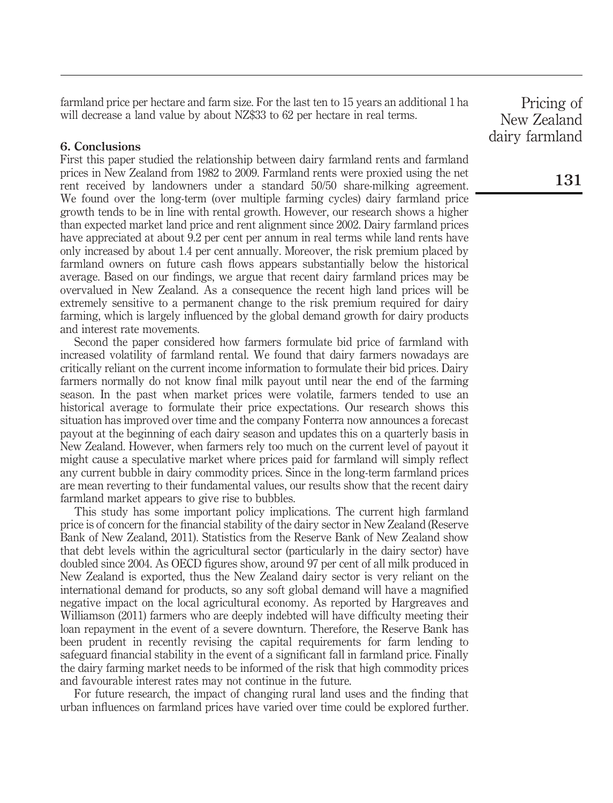farmland price per hectare and farm size. For the last ten to 15 years an additional 1 ha will decrease a land value by about NZ\$33 to 62 per hectare in real terms.

#### 6. Conclusions

First this paper studied the relationship between dairy farmland rents and farmland prices in New Zealand from 1982 to 2009. Farmland rents were proxied using the net rent received by landowners under a standard 50/50 share-milking agreement. We found over the long-term (over multiple farming cycles) dairy farmland price growth tends to be in line with rental growth. However, our research shows a higher than expected market land price and rent alignment since 2002. Dairy farmland prices have appreciated at about 9.2 per cent per annum in real terms while land rents have only increased by about 1.4 per cent annually. Moreover, the risk premium placed by farmland owners on future cash flows appears substantially below the historical average. Based on our findings, we argue that recent dairy farmland prices may be overvalued in New Zealand. As a consequence the recent high land prices will be extremely sensitive to a permanent change to the risk premium required for dairy farming, which is largely influenced by the global demand growth for dairy products and interest rate movements.

Second the paper considered how farmers formulate bid price of farmland with increased volatility of farmland rental. We found that dairy farmers nowadays are critically reliant on the current income information to formulate their bid prices. Dairy farmers normally do not know final milk payout until near the end of the farming season. In the past when market prices were volatile, farmers tended to use an historical average to formulate their price expectations. Our research shows this situation has improved over time and the company Fonterra now announces a forecast payout at the beginning of each dairy season and updates this on a quarterly basis in New Zealand. However, when farmers rely too much on the current level of payout it might cause a speculative market where prices paid for farmland will simply reflect any current bubble in dairy commodity prices. Since in the long-term farmland prices are mean reverting to their fundamental values, our results show that the recent dairy farmland market appears to give rise to bubbles.

This study has some important policy implications. The current high farmland price is of concern for the financial stability of the dairy sector in New Zealand (Reserve Bank of New Zealand, 2011). Statistics from the Reserve Bank of New Zealand show that debt levels within the agricultural sector (particularly in the dairy sector) have doubled since 2004. As OECD figures show, around 97 per cent of all milk produced in New Zealand is exported, thus the New Zealand dairy sector is very reliant on the international demand for products, so any soft global demand will have a magnified negative impact on the local agricultural economy. As reported by Hargreaves and Williamson (2011) farmers who are deeply indebted will have difficulty meeting their loan repayment in the event of a severe downturn. Therefore, the Reserve Bank has been prudent in recently revising the capital requirements for farm lending to safeguard financial stability in the event of a significant fall in farmland price. Finally the dairy farming market needs to be informed of the risk that high commodity prices and favourable interest rates may not continue in the future.

For future research, the impact of changing rural land uses and the finding that urban influences on farmland prices have varied over time could be explored further.

Pricing of New Zealand dairy farmland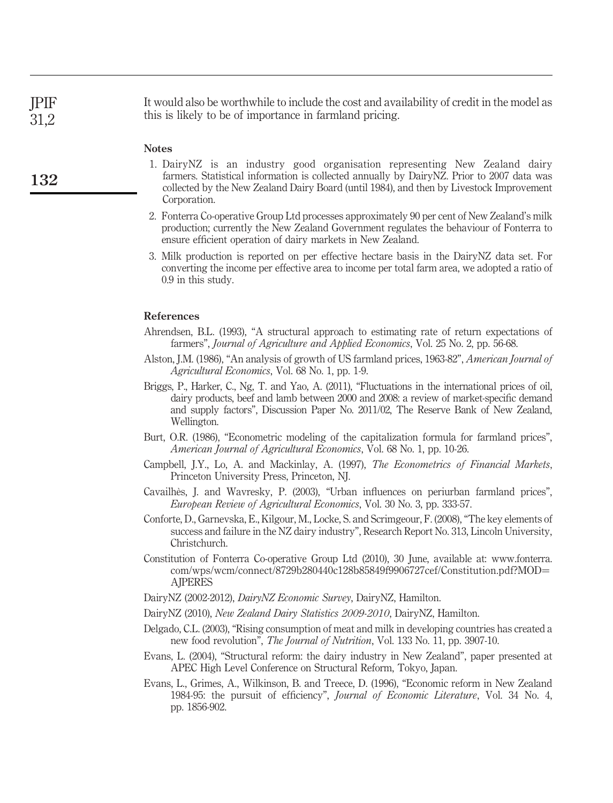It would also be worthwhile to include the cost and availability of credit in the model as this is likely to be of importance in farmland pricing.

#### Notes

- 1. DairyNZ is an industry good organisation representing New Zealand dairy farmers. Statistical information is collected annually by DairyNZ. Prior to 2007 data was collected by the New Zealand Dairy Board (until 1984), and then by Livestock Improvement Corporation.
- 2. Fonterra Co-operative Group Ltd processes approximately 90 per cent of New Zealand's milk production; currently the New Zealand Government regulates the behaviour of Fonterra to ensure efficient operation of dairy markets in New Zealand.
- 3. Milk production is reported on per effective hectare basis in the DairyNZ data set. For converting the income per effective area to income per total farm area, we adopted a ratio of 0.9 in this study.

#### References

- Ahrendsen, B.L. (1993), "A structural approach to estimating rate of return expectations of farmers", Journal of Agriculture and Applied Economics, Vol. 25 No. 2, pp. 56-68.
- Alston, J.M. (1986), "An analysis of growth of US farmland prices, 1963-82", American Journal of Agricultural Economics, Vol. 68 No. 1, pp. 1-9.
- Briggs, P., Harker, C., Ng, T. and Yao, A. (2011), "Fluctuations in the international prices of oil, dairy products, beef and lamb between 2000 and 2008: a review of market-specific demand and supply factors", Discussion Paper No. 2011/02, The Reserve Bank of New Zealand, Wellington.
- Burt, O.R. (1986), "Econometric modeling of the capitalization formula for farmland prices", American Journal of Agricultural Economics, Vol. 68 No. 1, pp. 10-26.
- Campbell, J.Y., Lo, A. and Mackinlay, A. (1997), The Econometrics of Financial Markets, Princeton University Press, Princeton, NJ.
- Cavailhe`s, J. and Wavresky, P. (2003), "Urban influences on periurban farmland prices", European Review of Agricultural Economics, Vol. 30 No. 3, pp. 333-57.
- Conforte, D., Garnevska, E., Kilgour, M., Locke, S. and Scrimgeour, F. (2008), "The key elements of success and failure in the NZ dairy industry", Research Report No. 313, Lincoln University, Christchurch.
- Constitution of Fonterra Co-operative Group Ltd (2010), 30 June, available at: www.fonterra. com/wps/wcm/connect/8729b280440c128b85849f9906727cef/Constitution.pdf?MOD= **AIPERES**
- DairyNZ (2002-2012), DairyNZ Economic Survey, DairyNZ, Hamilton.
- DairyNZ (2010), New Zealand Dairy Statistics 2009-2010, DairyNZ, Hamilton.
- Delgado, C.L. (2003), "Rising consumption of meat and milk in developing countries has created a new food revolution", The Journal of Nutrition, Vol. 133 No. 11, pp. 3907-10.
- Evans, L. (2004), "Structural reform: the dairy industry in New Zealand", paper presented at APEC High Level Conference on Structural Reform, Tokyo, Japan.
- Evans, L., Grimes, A., Wilkinson, B. and Treece, D. (1996), "Economic reform in New Zealand 1984-95: the pursuit of efficiency", Journal of Economic Literature, Vol. 34 No. 4, pp. 1856-902.

JPIF 31,2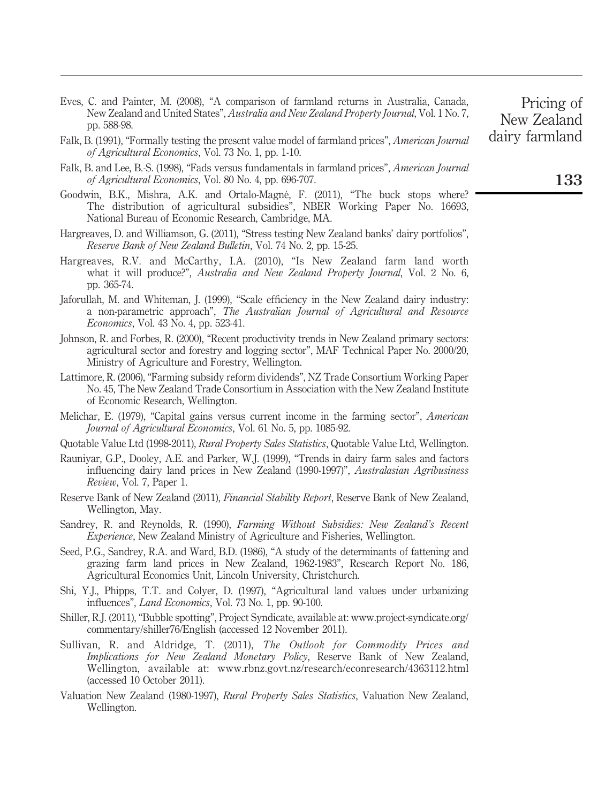- Eves, C. and Painter, M. (2008), "A comparison of farmland returns in Australia, Canada, New Zealand and United States", Australia and New Zealand Property Journal, Vol. 1 No. 7, pp. 588-98.
- Falk, B. (1991), "Formally testing the present value model of farmland prices", American Journal of Agricultural Economics, Vol. 73 No. 1, pp. 1-10.
- Falk, B. and Lee, B.-S. (1998), "Fads versus fundamentals in farmland prices", American Journal of Agricultural Economics, Vol. 80 No. 4, pp. 696-707.
- Goodwin, B.K., Mishra, A.K. and Ortalo-Magné, F. (2011), "The buck stops where? The distribution of agricultural subsidies", NBER Working Paper No. 16693, National Bureau of Economic Research, Cambridge, MA.
- Hargreaves, D. and Williamson, G. (2011), "Stress testing New Zealand banks' dairy portfolios", Reserve Bank of New Zealand Bulletin, Vol. 74 No. 2, pp. 15-25.
- Hargreaves, R.V. and McCarthy, I.A. (2010), "Is New Zealand farm land worth what it will produce?", Australia and New Zealand Property Journal, Vol. 2 No. 6, pp. 365-74.
- Jaforullah, M. and Whiteman, J. (1999), "Scale efficiency in the New Zealand dairy industry: a non-parametric approach", The Australian Journal of Agricultural and Resource Economics, Vol. 43 No. 4, pp. 523-41.
- Johnson, R. and Forbes, R. (2000), "Recent productivity trends in New Zealand primary sectors: agricultural sector and forestry and logging sector", MAF Technical Paper No. 2000/20, Ministry of Agriculture and Forestry, Wellington.
- Lattimore, R. (2006), "Farming subsidy reform dividends", NZ Trade Consortium Working Paper No. 45, The New Zealand Trade Consortium in Association with the New Zealand Institute of Economic Research, Wellington.
- Melichar, E. (1979), "Capital gains versus current income in the farming sector", American Journal of Agricultural Economics, Vol. 61 No. 5, pp. 1085-92.
- Quotable Value Ltd (1998-2011), Rural Property Sales Statistics, Quotable Value Ltd, Wellington.
- Rauniyar, G.P., Dooley, A.E. and Parker, W.J. (1999), "Trends in dairy farm sales and factors influencing dairy land prices in New Zealand (1990-1997)", Australasian Agribusiness Review, Vol. 7, Paper 1.
- Reserve Bank of New Zealand (2011), Financial Stability Report, Reserve Bank of New Zealand, Wellington, May.
- Sandrey, R. and Reynolds, R. (1990), Farming Without Subsidies: New Zealand's Recent Experience, New Zealand Ministry of Agriculture and Fisheries, Wellington.
- Seed, P.G., Sandrey, R.A. and Ward, B.D. (1986), "A study of the determinants of fattening and grazing farm land prices in New Zealand, 1962-1983", Research Report No. 186, Agricultural Economics Unit, Lincoln University, Christchurch.
- Shi, Y.J., Phipps, T.T. and Colyer, D. (1997), "Agricultural land values under urbanizing influences", Land Economics, Vol. 73 No. 1, pp. 90-100.
- Shiller, R.J. (2011), "Bubble spotting", Project Syndicate, available at: www.project-syndicate.org/ commentary/shiller76/English (accessed 12 November 2011).
- Sullivan, R. and Aldridge, T. (2011), The Outlook for Commodity Prices and Implications for New Zealand Monetary Policy, Reserve Bank of New Zealand, Wellington, available at: www.rbnz.govt.nz/research/econresearch/4363112.html (accessed 10 October 2011).
- Valuation New Zealand (1980-1997), Rural Property Sales Statistics, Valuation New Zealand, Wellington.

Pricing of New Zealand dairy farmland

133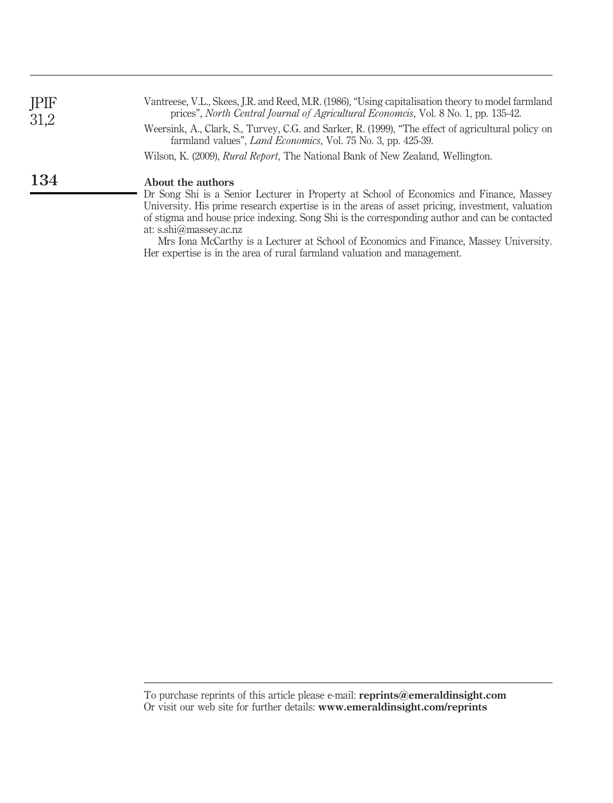| JPIF<br>31,2 | Vantreese, V.L., Skees, J.R. and Reed, M.R. (1986), "Using capitalisation theory to model farmland<br>prices", <i>North Central Journal of Agricultural Economis</i> , Vol. 8 No. 1, pp. 135-42.                                                                                                                                                              |
|--------------|---------------------------------------------------------------------------------------------------------------------------------------------------------------------------------------------------------------------------------------------------------------------------------------------------------------------------------------------------------------|
|              | Weersink, A., Clark, S., Turvey, C.G. and Sarker, R. (1999), "The effect of agricultural policy on<br>farmland values", <i>Land Economics</i> , Vol. 75 No. 3, pp. 425-39.                                                                                                                                                                                    |
|              | Wilson, K. (2009), <i>Rural Report</i> , The National Bank of New Zealand, Wellington.                                                                                                                                                                                                                                                                        |
| 134          | About the authors<br>Dr Song Shi is a Senior Lecturer in Property at School of Economics and Finance, Massey<br>University. His prime research expertise is in the areas of asset pricing, investment, valuation<br>of stigma and house price indexing. Song Shi is the corresponding author and can be contacted<br>at: $s. \text{shi}\omega$ massey. ac. nz |

Mrs Iona McCarthy is a Lecturer at School of Economics and Finance, Massey University. Her expertise is in the area of rural farmland valuation and management.

To purchase reprints of this article please e-mail: reprints@emeraldinsight.com Or visit our web site for further details: www.emeraldinsight.com/reprints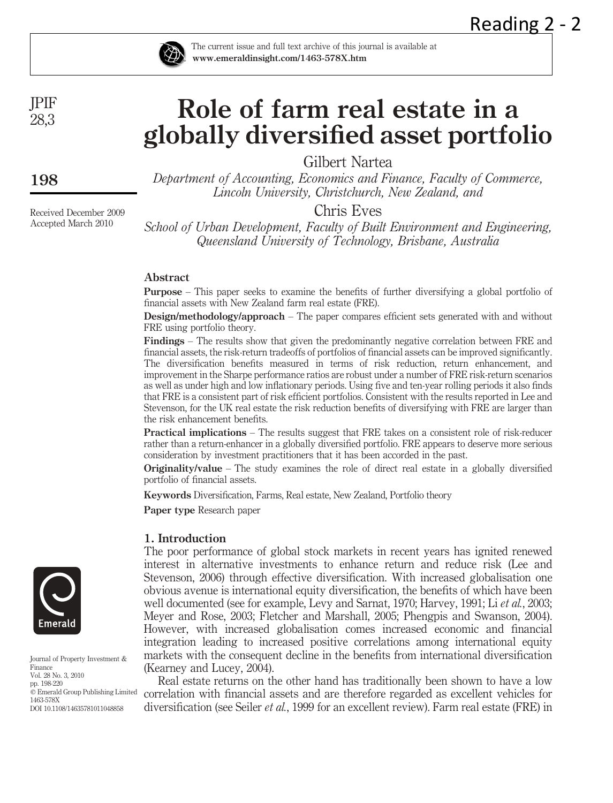

The current issue and full text archive of this journal is available at www.emeraldinsight.com/1463-578X.htm

198

Received December 2009 Accepted March 2010

### Role of farm real estate in a globally diversified asset portfolio

Gilbert Nartea

Department of Accounting, Economics and Finance, Faculty of Commerce, Lincoln University, Christchurch, New Zealand, and

Chris Eves

School of Urban Development, Faculty of Built Environment and Engineering, Queensland University of Technology, Brisbane, Australia

#### Abstract

Purpose – This paper seeks to examine the benefits of further diversifying a global portfolio of financial assets with New Zealand farm real estate (FRE).

Design/methodology/approach – The paper compares efficient sets generated with and without FRE using portfolio theory.

Findings – The results show that given the predominantly negative correlation between FRE and financial assets, the risk-return tradeoffs of portfolios of financial assets can be improved significantly. The diversification benefits measured in terms of risk reduction, return enhancement, and improvement in the Sharpe performance ratios are robust under a number of FRE risk-return scenarios as well as under high and low inflationary periods. Using five and ten-year rolling periods it also finds that FRE is a consistent part of risk efficient portfolios. Consistent with the results reported in Lee and Stevenson, for the UK real estate the risk reduction benefits of diversifying with FRE are larger than the risk enhancement benefits.

Practical implications – The results suggest that FRE takes on a consistent role of risk-reducer rather than a return-enhancer in a globally diversified portfolio. FRE appears to deserve more serious consideration by investment practitioners that it has been accorded in the past.

**Originality/value** – The study examines the role of direct real estate in a globally diversified portfolio of financial assets.

Keywords Diversification, Farms, Real estate, New Zealand, Portfolio theory

Paper type Research paper

#### 1. Introduction

The poor performance of global stock markets in recent years has ignited renewed interest in alternative investments to enhance return and reduce risk (Lee and Stevenson, 2006) through effective diversification. With increased globalisation one obvious avenue is international equity diversification, the benefits of which have been well documented (see for example, Levy and Sarnat, 1970; Harvey, 1991; Li et al., 2003; Meyer and Rose, 2003; Fletcher and Marshall, 2005; Phengpis and Swanson, 2004). However, with increased globalisation comes increased economic and financial integration leading to increased positive correlations among international equity markets with the consequent decline in the benefits from international diversification (Kearney and Lucey, 2004).

Real estate returns on the other hand has traditionally been shown to have a low correlation with financial assets and are therefore regarded as excellent vehicles for diversification (see Seiler et al., 1999 for an excellent review). Farm real estate (FRE) in



Journal of Property Investment & Finance Vol. 28 No. 3, 2010 pp. 198-220  $\degree$  Emerald Group Publishing Limited 1463-578X DOI 10.1108/14635781011048858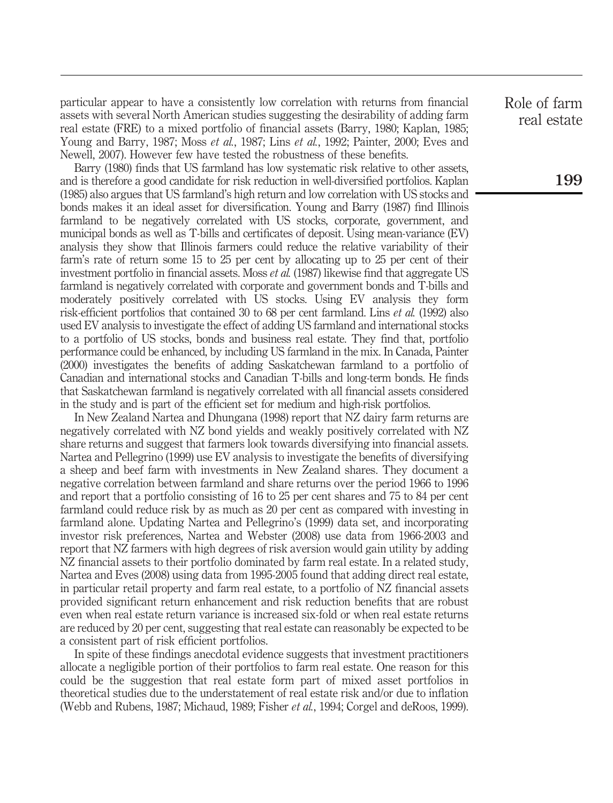particular appear to have a consistently low correlation with returns from financial assets with several North American studies suggesting the desirability of adding farm real estate (FRE) to a mixed portfolio of financial assets (Barry, 1980; Kaplan, 1985; Young and Barry, 1987; Moss et al., 1987; Lins et al., 1992; Painter, 2000; Eves and Newell, 2007). However few have tested the robustness of these benefits.

Barry (1980) finds that US farmland has low systematic risk relative to other assets, and is therefore a good candidate for risk reduction in well-diversified portfolios. Kaplan (1985) also argues that US farmland's high return and low correlation with US stocks and bonds makes it an ideal asset for diversification. Young and Barry (1987) find Illinois farmland to be negatively correlated with US stocks, corporate, government, and municipal bonds as well as T-bills and certificates of deposit. Using mean-variance (EV) analysis they show that Illinois farmers could reduce the relative variability of their farm's rate of return some 15 to 25 per cent by allocating up to 25 per cent of their investment portfolio in financial assets. Moss et al. (1987) likewise find that aggregate US farmland is negatively correlated with corporate and government bonds and T-bills and moderately positively correlated with US stocks. Using EV analysis they form risk-efficient portfolios that contained 30 to 68 per cent farmland. Lins et al. (1992) also used EV analysis to investigate the effect of adding US farmland and international stocks to a portfolio of US stocks, bonds and business real estate. They find that, portfolio performance could be enhanced, by including US farmland in the mix. In Canada, Painter (2000) investigates the benefits of adding Saskatchewan farmland to a portfolio of Canadian and international stocks and Canadian T-bills and long-term bonds. He finds that Saskatchewan farmland is negatively correlated with all financial assets considered in the study and is part of the efficient set for medium and high-risk portfolios.

In New Zealand Nartea and Dhungana (1998) report that NZ dairy farm returns are negatively correlated with NZ bond yields and weakly positively correlated with NZ share returns and suggest that farmers look towards diversifying into financial assets. Nartea and Pellegrino (1999) use EV analysis to investigate the benefits of diversifying a sheep and beef farm with investments in New Zealand shares. They document a negative correlation between farmland and share returns over the period 1966 to 1996 and report that a portfolio consisting of 16 to 25 per cent shares and 75 to 84 per cent farmland could reduce risk by as much as 20 per cent as compared with investing in farmland alone. Updating Nartea and Pellegrino's (1999) data set, and incorporating investor risk preferences, Nartea and Webster (2008) use data from 1966-2003 and report that NZ farmers with high degrees of risk aversion would gain utility by adding NZ financial assets to their portfolio dominated by farm real estate. In a related study, Nartea and Eves (2008) using data from 1995-2005 found that adding direct real estate, in particular retail property and farm real estate, to a portfolio of NZ financial assets provided significant return enhancement and risk reduction benefits that are robust even when real estate return variance is increased six-fold or when real estate returns are reduced by 20 per cent, suggesting that real estate can reasonably be expected to be a consistent part of risk efficient portfolios.

In spite of these findings anecdotal evidence suggests that investment practitioners allocate a negligible portion of their portfolios to farm real estate. One reason for this could be the suggestion that real estate form part of mixed asset portfolios in theoretical studies due to the understatement of real estate risk and/or due to inflation (Webb and Rubens, 1987; Michaud, 1989; Fisher et al., 1994; Corgel and deRoos, 1999).

Role of farm real estate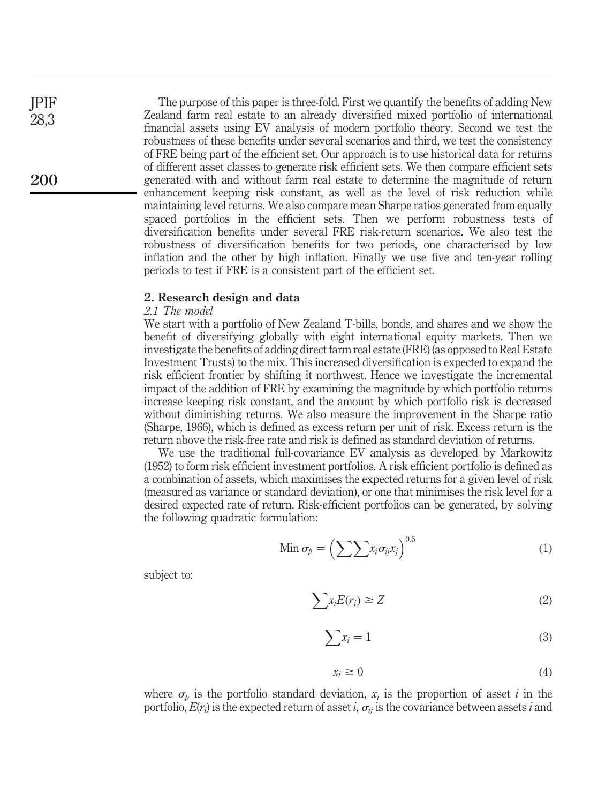The purpose of this paper is three-fold. First we quantify the benefits of adding New Zealand farm real estate to an already diversified mixed portfolio of international financial assets using EV analysis of modern portfolio theory. Second we test the robustness of these benefits under several scenarios and third, we test the consistency of FRE being part of the efficient set. Our approach is to use historical data for returns of different asset classes to generate risk efficient sets. We then compare efficient sets generated with and without farm real estate to determine the magnitude of return enhancement keeping risk constant, as well as the level of risk reduction while maintaining level returns. We also compare mean Sharpe ratios generated from equally spaced portfolios in the efficient sets. Then we perform robustness tests of diversification benefits under several FRE risk-return scenarios. We also test the robustness of diversification benefits for two periods, one characterised by low inflation and the other by high inflation. Finally we use five and ten-year rolling periods to test if FRE is a consistent part of the efficient set.

#### 2. Research design and data

#### 2.1 The model

We start with a portfolio of New Zealand T-bills, bonds, and shares and we show the benefit of diversifying globally with eight international equity markets. Then we investigate the benefits of adding direct farm real estate (FRE) (as opposed to Real Estate Investment Trusts) to the mix. This increased diversification is expected to expand the risk efficient frontier by shifting it northwest. Hence we investigate the incremental impact of the addition of FRE by examining the magnitude by which portfolio returns increase keeping risk constant, and the amount by which portfolio risk is decreased without diminishing returns. We also measure the improvement in the Sharpe ratio (Sharpe, 1966), which is defined as excess return per unit of risk. Excess return is the return above the risk-free rate and risk is defined as standard deviation of returns.

We use the traditional full-covariance EV analysis as developed by Markowitz (1952) to form risk efficient investment portfolios. A risk efficient portfolio is defined as a combination of assets, which maximises the expected returns for a given level of risk (measured as variance or standard deviation), or one that minimises the risk level for a desired expected rate of return. Risk-efficient portfolios can be generated, by solving the following quadratic formulation:

$$
\text{Min } \sigma_p = \left(\sum \sum x_i \sigma_{ij} x_j\right)^{0.5} \tag{1}
$$

subject to:

$$
\sum x_i E(r_i) \ge Z \tag{2}
$$

$$
\sum x_i = 1\tag{3}
$$

$$
x_i \ge 0 \tag{4}
$$

where  $\sigma_p$  is the portfolio standard deviation,  $x_i$  is the proportion of asset i in the portfolio,  $E(r_i)$  is the expected return of asset i,  $\sigma_{ii}$  is the covariance between assets i and

JPIF 28,3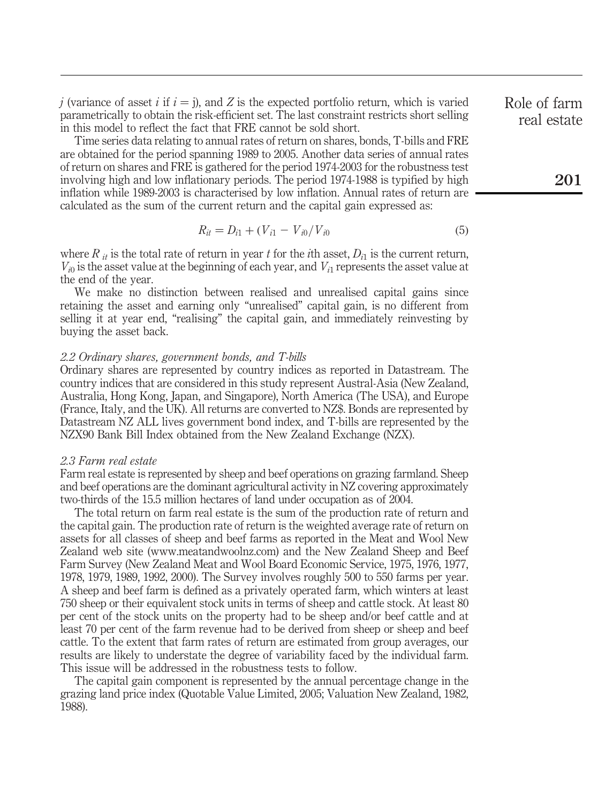*j* (variance of asset *i* if  $i = j$ ), and Z is the expected portfolio return, which is varied parametrically to obtain the risk-efficient set. The last constraint restricts short selling in this model to reflect the fact that FRE cannot be sold short.

Time series data relating to annual rates of return on shares, bonds, T-bills and FRE are obtained for the period spanning 1989 to 2005. Another data series of annual rates of return on shares and FRE is gathered for the period 1974-2003 for the robustness test involving high and low inflationary periods. The period 1974-1988 is typified by high inflation while 1989-2003 is characterised by low inflation. Annual rates of return are calculated as the sum of the current return and the capital gain expressed as:

$$
R_{it} = D_{i1} + (V_{i1} - V_{i0})V_{i0}
$$
 (5)

where  $R_{it}$  is the total rate of return in year t for the ith asset,  $D_{i1}$  is the current return,  $V_{i0}$  is the asset value at the beginning of each year, and  $V_{i1}$  represents the asset value at the end of the year.

We make no distinction between realised and unrealised capital gains since retaining the asset and earning only "unrealised" capital gain, is no different from selling it at year end, "realising" the capital gain, and immediately reinvesting by buying the asset back.

#### 2.2 Ordinary shares, government bonds, and T-bills

Ordinary shares are represented by country indices as reported in Datastream. The country indices that are considered in this study represent Austral-Asia (New Zealand, Australia, Hong Kong, Japan, and Singapore), North America (The USA), and Europe (France, Italy, and the UK). All returns are converted to NZ\$. Bonds are represented by Datastream NZ ALL lives government bond index, and T-bills are represented by the NZX90 Bank Bill Index obtained from the New Zealand Exchange (NZX).

#### 2.3 Farm real estate

Farm real estate is represented by sheep and beef operations on grazing farmland. Sheep and beef operations are the dominant agricultural activity in NZ covering approximately two-thirds of the 15.5 million hectares of land under occupation as of 2004.

The total return on farm real estate is the sum of the production rate of return and the capital gain. The production rate of return is the weighted average rate of return on assets for all classes of sheep and beef farms as reported in the Meat and Wool New Zealand web site (www.meatandwoolnz.com) and the New Zealand Sheep and Beef Farm Survey (New Zealand Meat and Wool Board Economic Service, 1975, 1976, 1977, 1978, 1979, 1989, 1992, 2000). The Survey involves roughly 500 to 550 farms per year. A sheep and beef farm is defined as a privately operated farm, which winters at least 750 sheep or their equivalent stock units in terms of sheep and cattle stock. At least 80 per cent of the stock units on the property had to be sheep and/or beef cattle and at least 70 per cent of the farm revenue had to be derived from sheep or sheep and beef cattle. To the extent that farm rates of return are estimated from group averages, our results are likely to understate the degree of variability faced by the individual farm. This issue will be addressed in the robustness tests to follow.

The capital gain component is represented by the annual percentage change in the grazing land price index (Quotable Value Limited, 2005; Valuation New Zealand, 1982, 1988).

Role of farm real estate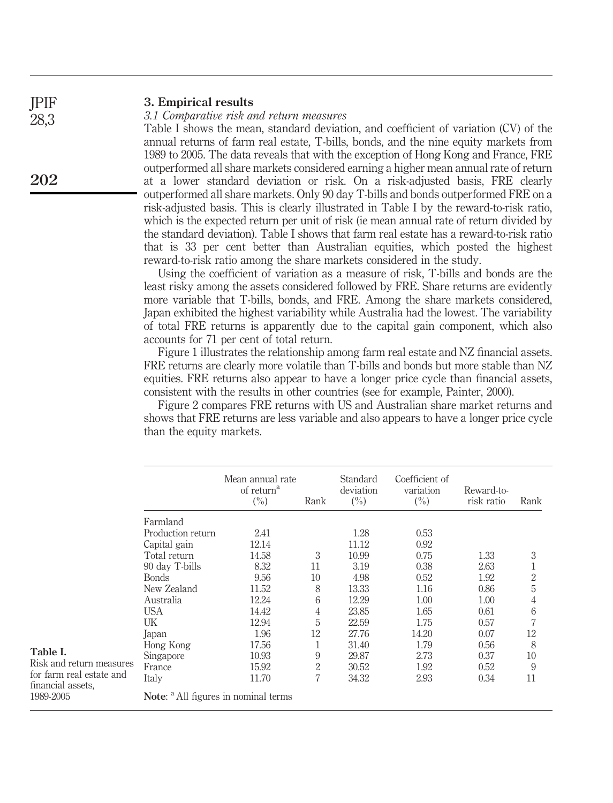#### 3. Empirical results

3.1 Comparative risk and return measures

Table I shows the mean, standard deviation, and coefficient of variation (CV) of the annual returns of farm real estate, T-bills, bonds, and the nine equity markets from 1989 to 2005. The data reveals that with the exception of Hong Kong and France, FRE outperformed all share markets considered earning a higher mean annual rate of return at a lower standard deviation or risk. On a risk-adjusted basis, FRE clearly outperformed all share markets. Only 90 day T-bills and bonds outperformed FRE on a risk-adjusted basis. This is clearly illustrated in Table I by the reward-to-risk ratio, which is the expected return per unit of risk (ie mean annual rate of return divided by the standard deviation). Table I shows that farm real estate has a reward-to-risk ratio that is 33 per cent better than Australian equities, which posted the highest reward-to-risk ratio among the share markets considered in the study.

Using the coefficient of variation as a measure of risk, T-bills and bonds are the least risky among the assets considered followed by FRE. Share returns are evidently more variable that T-bills, bonds, and FRE. Among the share markets considered, Japan exhibited the highest variability while Australia had the lowest. The variability of total FRE returns is apparently due to the capital gain component, which also accounts for 71 per cent of total return.

Figure 1 illustrates the relationship among farm real estate and NZ financial assets. FRE returns are clearly more volatile than T-bills and bonds but more stable than NZ equities. FRE returns also appear to have a longer price cycle than financial assets, consistent with the results in other countries (see for example, Painter, 2000).

Figure 2 compares FRE returns with US and Australian share market returns and shows that FRE returns are less variable and also appears to have a longer price cycle than the equity markets.

|                                                                                                    |                                                                                                                                                                                                                                                                 | Mean annual rate<br>of return <sup>a</sup><br>$(\%)$                                                                   | Rank                                                                             | Standard<br>deviation<br>$(\%)$                                                                                         | Coefficient of<br>variation<br>$(\%)$                                                                         | Reward-to-<br>risk ratio                                                                     | Rank                                                   |
|----------------------------------------------------------------------------------------------------|-----------------------------------------------------------------------------------------------------------------------------------------------------------------------------------------------------------------------------------------------------------------|------------------------------------------------------------------------------------------------------------------------|----------------------------------------------------------------------------------|-------------------------------------------------------------------------------------------------------------------------|---------------------------------------------------------------------------------------------------------------|----------------------------------------------------------------------------------------------|--------------------------------------------------------|
| Table I.<br>Risk and return measures<br>for farm real estate and<br>financial assets.<br>1989-2005 | Farmland<br>Production return<br>Capital gain<br>Total return<br>90 day T-bills<br><b>Bonds</b><br>New Zealand<br>Australia<br><b>USA</b><br>UK<br>Japan<br>Hong Kong<br>Singapore<br>France<br>Italy<br><b>Note:</b> <sup>a</sup> All figures in nominal terms | 2.41<br>12.14<br>14.58<br>8.32<br>9.56<br>11.52<br>12.24<br>14.42<br>12.94<br>1.96<br>17.56<br>10.93<br>15.92<br>11.70 | 3<br>11<br>10<br>8<br>6<br>4<br>5<br>12<br>9<br>$\overline{2}$<br>$\overline{7}$ | 1.28<br>11.12<br>10.99<br>3.19<br>4.98<br>13.33<br>12.29<br>23.85<br>22.59<br>27.76<br>31.40<br>29.87<br>30.52<br>34.32 | 0.53<br>0.92<br>0.75<br>0.38<br>0.52<br>1.16<br>1.00<br>1.65<br>1.75<br>14.20<br>1.79<br>2.73<br>1.92<br>2.93 | 1.33<br>2.63<br>1.92<br>0.86<br>1.00<br>0.61<br>0.57<br>0.07<br>0.56<br>0.37<br>0.52<br>0.34 | 3<br>2<br>5<br>4<br>6<br>7<br>12<br>8<br>10<br>9<br>11 |

### 202

JPIF 28,3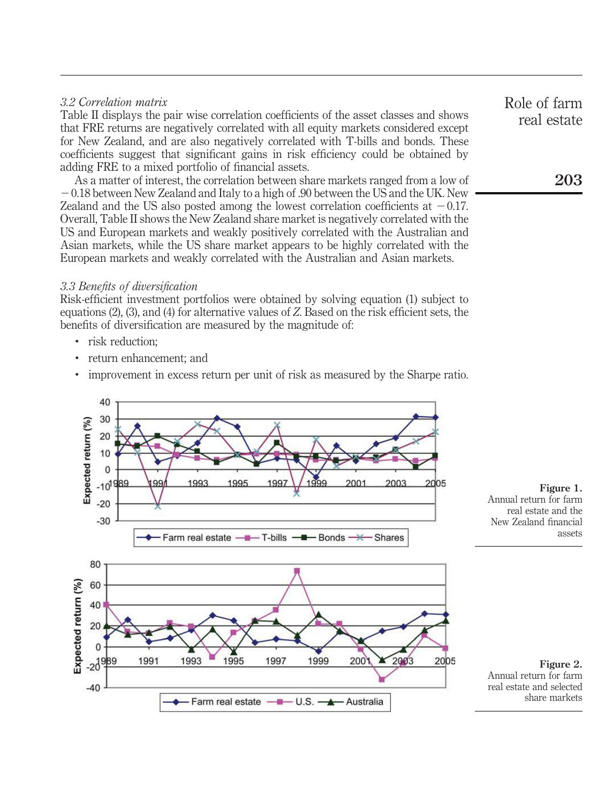### 3.2 Correlation matrix

Table II displays the pair wise correlation coefficients of the asset classes and shows that FRE returns are negatively correlated with all equity markets considered except for New Zealand, and are also negatively correlated with T-bills and bonds. These coefficients suggest that significant gains in risk efficiency could be obtained by adding FRE to a mixed portfolio of financial assets.

As a matter of interest, the correlation between share markets ranged from a low of 20.18 between New Zealand and Italy to a high of .90 between the US and the UK. New Zealand and the US also posted among the lowest correlation coefficients at  $-0.17$ . Overall, Table II shows the New Zealand share market is negatively correlated with the US and European markets and weakly positively correlated with the Australian and Asian markets, while the US share market appears to be highly correlated with the European markets and weakly correlated with the Australian and Asian markets.

#### 3.3 Benefits of diversification

Risk-efficient investment portfolios were obtained by solving equation (1) subject to equations (2), (3), and (4) for alternative values of Z. Based on the risk efficient sets, the benefits of diversification are measured by the magnitude of:

- . risk reduction;
- . return enhancement; and
- . improvement in excess return per unit of risk as measured by the Sharpe ratio.



Role of farm real estate

203

Figure 1. Annual return for farm real estate and the New Zealand financial assets

Figure 2. Annual return for farm real estate and selected share markets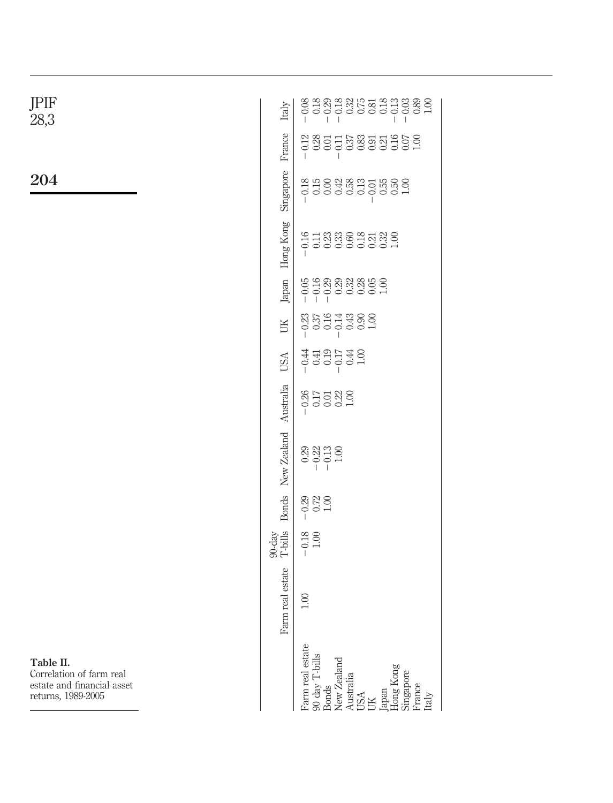| JPIF<br>28,3                                                                              | Italy               | $\mathbf{I}$<br>$\overline{1}$<br>$\overline{\phantom{a}}$<br>$\mathbf{I}$<br>$\overline{1}$                                                                                                                    |
|-------------------------------------------------------------------------------------------|---------------------|-----------------------------------------------------------------------------------------------------------------------------------------------------------------------------------------------------------------|
|                                                                                           | France              | $\mathbf{I}$                                                                                                                                                                                                    |
| 204                                                                                       | Singapore           | sassassa<br>Sassassassa<br>Sassassassa                                                                                                                                                                          |
|                                                                                           | Hong Kong           | SH33863238                                                                                                                                                                                                      |
|                                                                                           | Japan               | $0.588888860$<br>$\mathbf{I}$<br>$\mathbb{I}$                                                                                                                                                                   |
|                                                                                           | UK                  | 337<br>03714388<br>00000000<br>1                                                                                                                                                                                |
|                                                                                           | <b>USA</b>          | 24492148<br>449217<br>$\overline{\phantom{a}}$                                                                                                                                                                  |
|                                                                                           | Australia           | $0.26$<br>$0.17$<br>$0.02$<br>$0.00$<br>$1.00$                                                                                                                                                                  |
|                                                                                           | New Zealand         | $\begin{array}{c} 29 \\ 0.21 \\ 0.13 \\ 1.0 \end{array}$<br>$\mathbb{L}$<br>$\overline{\phantom{a}}$                                                                                                            |
|                                                                                           | <b>Bonds</b>        | $0.28$<br>$0.72$<br>$1.00$<br>$\overline{\phantom{a}}$                                                                                                                                                          |
|                                                                                           | $90$ day $T$ bills  | $-0.18$<br>$1.00$                                                                                                                                                                                               |
|                                                                                           | real estate<br>Farm | $1.00\,$                                                                                                                                                                                                        |
| Table II.<br>Correlation of farm real<br>estate and financial asset<br>returns, 1989-2005 |                     | Farm real estate<br>90 day T-bills<br>Bonds<br>New Zealand<br>$\begin{array}{lcl} \text{Australian} \\ \text{USA} \\ \text{UK} \\ \text{Japan} \\ \text{Long Kong} \end{array}$<br>Singapore<br>France<br>Italy |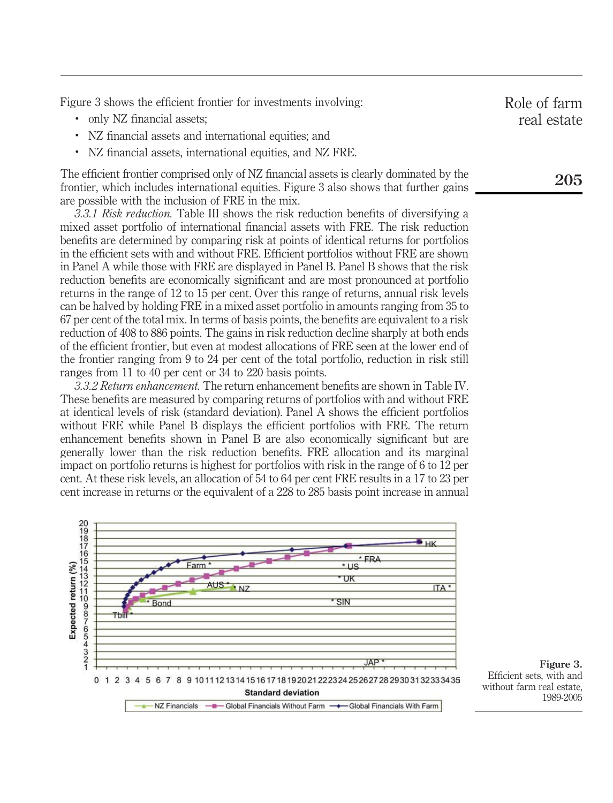Figure 3 shows the efficient frontier for investments involving:

- . only NZ financial assets;
- . NZ financial assets and international equities; and
- . NZ financial assets, international equities, and NZ FRE.

The efficient frontier comprised only of NZ financial assets is clearly dominated by the frontier, which includes international equities. Figure 3 also shows that further gains are possible with the inclusion of FRE in the mix.

3.3.1 Risk reduction. Table III shows the risk reduction benefits of diversifying a mixed asset portfolio of international financial assets with FRE. The risk reduction benefits are determined by comparing risk at points of identical returns for portfolios in the efficient sets with and without FRE. Efficient portfolios without FRE are shown in Panel A while those with FRE are displayed in Panel B. Panel B shows that the risk reduction benefits are economically significant and are most pronounced at portfolio returns in the range of 12 to 15 per cent. Over this range of returns, annual risk levels can be halved by holding FRE in a mixed asset portfolio in amounts ranging from 35 to 67 per cent of the total mix. In terms of basis points, the benefits are equivalent to a risk reduction of 408 to 886 points. The gains in risk reduction decline sharply at both ends of the efficient frontier, but even at modest allocations of FRE seen at the lower end of the frontier ranging from 9 to 24 per cent of the total portfolio, reduction in risk still ranges from 11 to 40 per cent or 34 to 220 basis points.

3.3.2 Return enhancement. The return enhancement benefits are shown in Table IV. These benefits are measured by comparing returns of portfolios with and without FRE at identical levels of risk (standard deviation). Panel A shows the efficient portfolios without FRE while Panel B displays the efficient portfolios with FRE. The return enhancement benefits shown in Panel B are also economically significant but are generally lower than the risk reduction benefits. FRE allocation and its marginal impact on portfolio returns is highest for portfolios with risk in the range of 6 to 12 per cent. At these risk levels, an allocation of 54 to 64 per cent FRE results in a 17 to 23 per cent increase in returns or the equivalent of a 228 to 285 basis point increase in annual



Role of farm

Figure 3. Efficient sets, with and without farm real estate, 1989-2005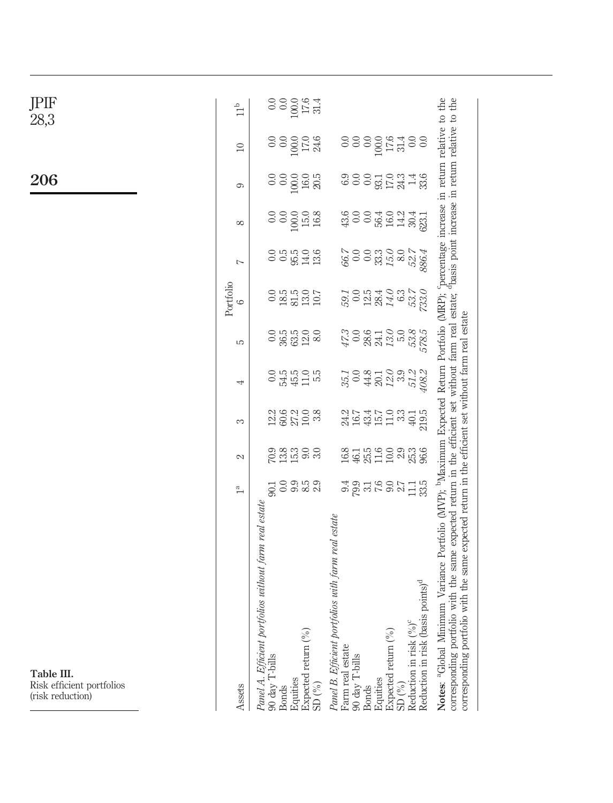| JPIF<br>28,3                                                | 11 <sup>b</sup> | $\begin{array}{c} 0.0 \\ 0.0 \\ 1000 \\ 17.6 \\ 31.4 \end{array}$                                                                                                                                                                                                                                                                                                                                                                                   |                                                                                                                                                                                                                                                                                                                                                                                                                                                  |
|-------------------------------------------------------------|-----------------|-----------------------------------------------------------------------------------------------------------------------------------------------------------------------------------------------------------------------------------------------------------------------------------------------------------------------------------------------------------------------------------------------------------------------------------------------------|--------------------------------------------------------------------------------------------------------------------------------------------------------------------------------------------------------------------------------------------------------------------------------------------------------------------------------------------------------------------------------------------------------------------------------------------------|
|                                                             | 10              | 0.0<br>0.0<br>100.0<br>17.0<br>24.6                                                                                                                                                                                                                                                                                                                                                                                                                 |                                                                                                                                                                                                                                                                                                                                                                                                                                                  |
| 206                                                         | G               | 0.0<br>6.9<br>$\ddot{\circ}$<br>$100.0$<br>$16.0$<br>$20.5$<br>0.0                                                                                                                                                                                                                                                                                                                                                                                  |                                                                                                                                                                                                                                                                                                                                                                                                                                                  |
|                                                             | $\infty$        | $0.0$<br>$0.001$<br>$0.001$<br>$0.001$<br>0.0                                                                                                                                                                                                                                                                                                                                                                                                       |                                                                                                                                                                                                                                                                                                                                                                                                                                                  |
|                                                             | $\sim$          | $\begin{array}{c} 8.0 \\ 52.7 \\ 886.4 \end{array}$<br>66.7<br>$\overline{0.0}$<br>05506<br>9513.6                                                                                                                                                                                                                                                                                                                                                  |                                                                                                                                                                                                                                                                                                                                                                                                                                                  |
|                                                             | Portfolio<br>G  | $14.0\,$<br>$\begin{array}{c} 6.3 \\ 53.7 \\ 733.0 \end{array}$<br>0.0<br>$\begin{array}{c} 18.5 \\ 81.5 \\ 13.0 \\ 10.7 \\ \end{array}$<br>$0.0$<br>$12.3$<br>$28.4$<br>59.1                                                                                                                                                                                                                                                                       |                                                                                                                                                                                                                                                                                                                                                                                                                                                  |
|                                                             | S               | 13.0<br>$\frac{5.0}{53.8}$<br>47,3<br>365<br>3620<br>30<br>$0.0$<br>$28.6$<br>$24.1$<br>0.0                                                                                                                                                                                                                                                                                                                                                         |                                                                                                                                                                                                                                                                                                                                                                                                                                                  |
|                                                             | 4               | $35.1\n0.0\n40.1\n0.0\n0.0\n0.0\n0.0\n0.0\n0.0\n0.0\n0.0\n0.0\n0.0\n0.0\n0.0\n0.0\n0.0\n0.0\n0.0\n0.0\n0.0\n0.0\n0.0\n0.0\n0.0\n0.0\n0.0\n0.0\n0.0\n0.0\n0.0\n0.0\n0.0\n0.0\n0.0\n0.0\n0.$<br>o u u o u<br>o u d u<br>o u d u                                                                                                                                                                                                                       |                                                                                                                                                                                                                                                                                                                                                                                                                                                  |
|                                                             | S               | 12.6<br>60.2<br>10.0<br>3.8<br>$243716.716.711.021.321.321.321.321.321.321.321.321.321.321.321.321.321.321.321.321.321.322.322.323.324.325.326.327.328.329.320.321.322.323.324.325.3$                                                                                                                                                                                                                                                               |                                                                                                                                                                                                                                                                                                                                                                                                                                                  |
|                                                             | 2               | 20.3<br>20.3<br>20.3<br>9.0<br>$3.0\degree$<br>16.8<br>$46.1$<br>$46.5$<br>$11.6$<br>$10.0\,$<br>0<br>2<br>8<br>8<br>8                                                                                                                                                                                                                                                                                                                              |                                                                                                                                                                                                                                                                                                                                                                                                                                                  |
|                                                             | $\mathbb{I}^a$  | ೦ ೧ . ೧ ೧<br>೦ ೧ . ೧ ೧<br>a pri contra di contro di contro di contro di contro di contro di contro dell'ano di contro di contro di contr<br>Si contro di contro di contro di contro di contro di contro di contro di contro di contro di contro di contro<br>501                                                                                                                                                                                    |                                                                                                                                                                                                                                                                                                                                                                                                                                                  |
| Table III.<br>Risk efficient portfolios<br>(risk reduction) | Assets          | Panel A. Efficient portfolios without farm real estate<br>olios with farm real estate<br>Reduction in risk $(^9\!/\!6)^{\rm c}$ Reduction in risk (basis points)<br>$^{\rm d}$<br>Panel B. Efficient porty<br>Expected return $(^{\circ\!\!}\gamma_0)$<br>Expected return $(^{\circ}\!\!/_{\! 0})$<br>SD $(^{\circ}\!\!/_{\! 0})$<br>Farm real estate<br>90 day T-bills<br>90 day T-bills<br>Equities<br>Bonds<br>Equities<br>SD(%)<br><b>Bonds</b> | Notes: <sup>a</sup> Global Minimum Variance Portfolio (MVP); <sup>b</sup> Maximum Expected Return Portfolio (MRP); 'percentage increase in return relative to the<br>o with the same expected return in the efficient set without farm real estate; <sup>ch</sup> asis point increase in return relative to the<br>corresponding portfolio with the same expected return in the efficient set without farm real estate<br>corresponding portfoli |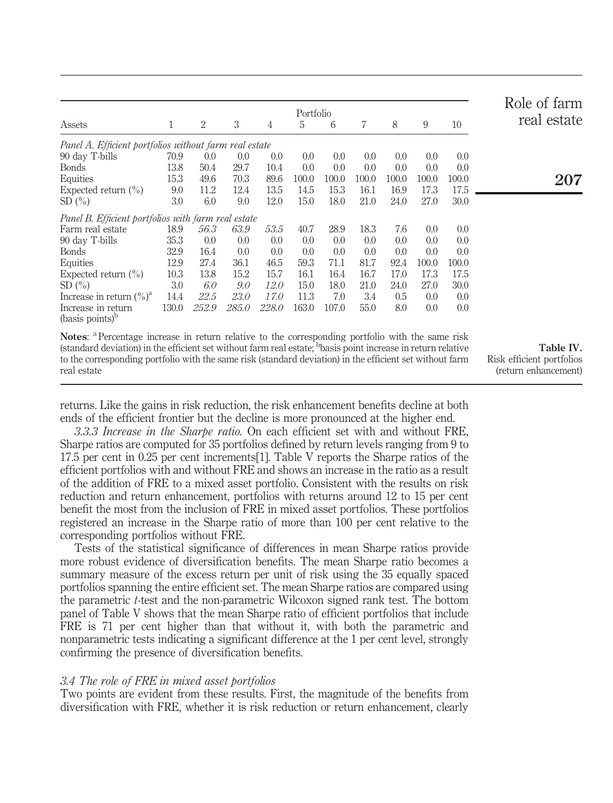|                                                        |       |       |       |       | Portfolio |       |       |       |       |       | Role of farm |
|--------------------------------------------------------|-------|-------|-------|-------|-----------|-------|-------|-------|-------|-------|--------------|
| Assets                                                 | 1     | 2     | 3     | 4     | 5         | 6     | 7     | 8     | 9     | 10    | real estate  |
| Panel A. Efficient portfolios without farm real estate |       |       |       |       |           |       |       |       |       |       |              |
| 90 day T-bills                                         | 70.9  | 0.0   | 0.0   | 0.0   | 0.0       | 0.0   | 0.0   | 0.0   | 0.0   | 0.0   |              |
| Bonds                                                  | 13.8  | 50.4  | 29.7  | 10.4  | 0.0       | 0.0   | 0.0   | 0.0   | 0.0   | 0.0   |              |
| Equities                                               | 15.3  | 49.6  | 70.3  | 89.6  | 100.0     | 100.0 | 100.0 | 100.0 | 100.0 | 100.0 | 207          |
| Expected return $\binom{0}{0}$                         | 9.0   | 11.2  | 12.4  | 13.5  | 14.5      | 15.3  | 16.1  | 16.9  | 17.3  | 17.5  |              |
| SD(%)                                                  | 3.0   | 6.0   | 9.0   | 12.0  | 15.0      | 18.0  | 21.0  | 24.0  | 27.0  | 30.0  |              |
| Panel B. Efficient portfolios with farm real estate    |       |       |       |       |           |       |       |       |       |       |              |
| Farm real estate                                       | 18.9  | 56.3  | 63.9  | 53.5  | 40.7      | 28.9  | 18.3  | 7.6   | 0.0   | 0.0   |              |
| 90 day T-bills                                         | 35.3  | 0.0   | 0.0   | 0.0   | 0.0       | 0.0   | 0.0   | 0.0   | 0.0   | 0.0   |              |
| Bonds                                                  | 32.9  | 16.4  | 0.0   | 0.0   | 0.0       | 0.0   | 0.0   | 0.0   | 0.0   | 0.0   |              |
| Equities                                               | 12.9  | 27.4  | 36.1  | 46.5  | 59.3      | 71.1  | 81.7  | 92.4  | 100.0 | 100.0 |              |
| Expected return $(\% )$                                | 10.3  | 13.8  | 15.2  | 15.7  | 16.1      | 16.4  | 16.7  | 17.0  | 17.3  | 17.5  |              |
| SD(%)                                                  | 3.0   | 6.0   | 9.0   | 12.0  | 15.0      | 18.0  | 21.0  | 24.0  | 27.0  | 30.0  |              |
| Increase in return $(\% )^a$                           | 14.4  | 22.5  | 23.0  | 17.0  | 11.3      | 7.0   | 3.4   | 0.5   | 0.0   | 0.0   |              |
| Increase in return<br>$(basis points)^b$               | 130.0 | 252.9 | 285.0 | 228.0 | 163.0     | 107.0 | 55.0  | 8.0   | 0.0   | 0.0   |              |

Notes: <sup>a</sup> Percentage increase in return relative to the corresponding portfolio with the same risk (standard deviation) in the efficient set without farm real estate; <sup>b</sup>basis point increase in return relative to the corresponding portfolio with the same risk (standard deviation) in the efficient set without farm real estate

Table IV. Risk efficient portfolios (return enhancement)

returns. Like the gains in risk reduction, the risk enhancement benefits decline at both ends of the efficient frontier but the decline is more pronounced at the higher end.

3.3.3 Increase in the Sharpe ratio. On each efficient set with and without FRE, Sharpe ratios are computed for 35 portfolios defined by return levels ranging from 9 to 17.5 per cent in 0.25 per cent increments[1]. Table V reports the Sharpe ratios of the efficient portfolios with and without FRE and shows an increase in the ratio as a result of the addition of FRE to a mixed asset portfolio. Consistent with the results on risk reduction and return enhancement, portfolios with returns around 12 to 15 per cent benefit the most from the inclusion of FRE in mixed asset portfolios. These portfolios registered an increase in the Sharpe ratio of more than 100 per cent relative to the corresponding portfolios without FRE.

Tests of the statistical significance of differences in mean Sharpe ratios provide more robust evidence of diversification benefits. The mean Sharpe ratio becomes a summary measure of the excess return per unit of risk using the 35 equally spaced portfolios spanning the entire efficient set. The mean Sharpe ratios are compared using the parametric t-test and the non-parametric Wilcoxon signed rank test. The bottom panel of Table V shows that the mean Sharpe ratio of efficient portfolios that include FRE is 71 per cent higher than that without it, with both the parametric and nonparametric tests indicating a significant difference at the 1 per cent level, strongly confirming the presence of diversification benefits.

#### 3.4 The role of FRE in mixed asset portfolios

Two points are evident from these results. First, the magnitude of the benefits from diversification with FRE, whether it is risk reduction or return enhancement, clearly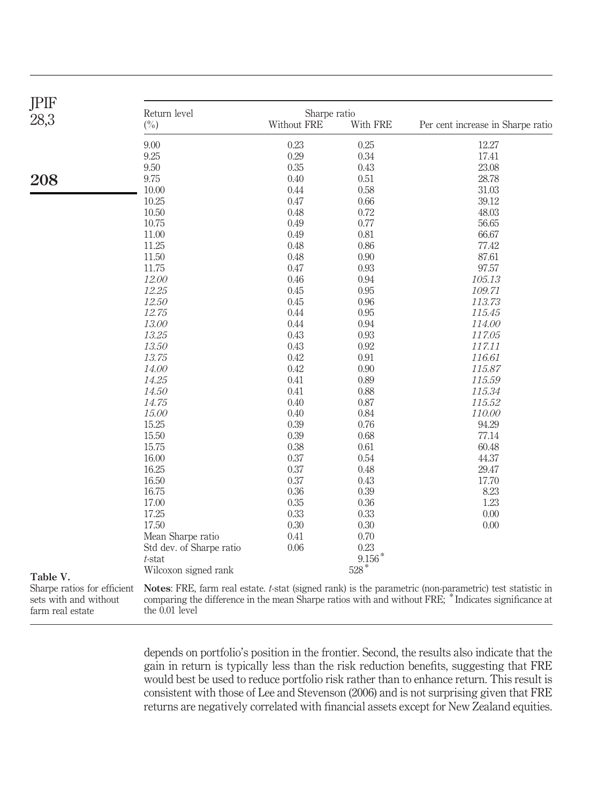208

|                      |                                                                                                                                                                                                                                                                                                            | Sharpe ratio                                                                                                                                                                                                                         |                                                                                                                                                                                                                                                                                                                                                        |
|----------------------|------------------------------------------------------------------------------------------------------------------------------------------------------------------------------------------------------------------------------------------------------------------------------------------------------------|--------------------------------------------------------------------------------------------------------------------------------------------------------------------------------------------------------------------------------------|--------------------------------------------------------------------------------------------------------------------------------------------------------------------------------------------------------------------------------------------------------------------------------------------------------------------------------------------------------|
| $(\%)$               | Without FRE                                                                                                                                                                                                                                                                                                | With FRE                                                                                                                                                                                                                             | Per cent increase in Sharpe ratio                                                                                                                                                                                                                                                                                                                      |
| 9.00                 | 0.23                                                                                                                                                                                                                                                                                                       | 0.25                                                                                                                                                                                                                                 | 12.27                                                                                                                                                                                                                                                                                                                                                  |
| 9.25                 | 0.29                                                                                                                                                                                                                                                                                                       | 0.34                                                                                                                                                                                                                                 | 17.41                                                                                                                                                                                                                                                                                                                                                  |
| 9.50                 |                                                                                                                                                                                                                                                                                                            | 0.43                                                                                                                                                                                                                                 | 23.08                                                                                                                                                                                                                                                                                                                                                  |
| 9.75                 | 0.40                                                                                                                                                                                                                                                                                                       | 0.51                                                                                                                                                                                                                                 | 28.78                                                                                                                                                                                                                                                                                                                                                  |
| 10.00                | 0.44                                                                                                                                                                                                                                                                                                       | 0.58                                                                                                                                                                                                                                 | 31.03                                                                                                                                                                                                                                                                                                                                                  |
|                      |                                                                                                                                                                                                                                                                                                            | 0.66                                                                                                                                                                                                                                 | 39.12                                                                                                                                                                                                                                                                                                                                                  |
|                      | 0.48                                                                                                                                                                                                                                                                                                       | 0.72                                                                                                                                                                                                                                 | 48.03                                                                                                                                                                                                                                                                                                                                                  |
|                      | 0.49                                                                                                                                                                                                                                                                                                       | 0.77                                                                                                                                                                                                                                 | 56.65                                                                                                                                                                                                                                                                                                                                                  |
| 11.00                | 0.49                                                                                                                                                                                                                                                                                                       | 0.81                                                                                                                                                                                                                                 | 66.67                                                                                                                                                                                                                                                                                                                                                  |
| 11.25                |                                                                                                                                                                                                                                                                                                            |                                                                                                                                                                                                                                      | 77.42                                                                                                                                                                                                                                                                                                                                                  |
| 11.50                | 0.48                                                                                                                                                                                                                                                                                                       | 0.90                                                                                                                                                                                                                                 | 87.61                                                                                                                                                                                                                                                                                                                                                  |
|                      |                                                                                                                                                                                                                                                                                                            |                                                                                                                                                                                                                                      | 97.57                                                                                                                                                                                                                                                                                                                                                  |
|                      |                                                                                                                                                                                                                                                                                                            |                                                                                                                                                                                                                                      | 105.13                                                                                                                                                                                                                                                                                                                                                 |
|                      |                                                                                                                                                                                                                                                                                                            |                                                                                                                                                                                                                                      | 109.71                                                                                                                                                                                                                                                                                                                                                 |
|                      |                                                                                                                                                                                                                                                                                                            |                                                                                                                                                                                                                                      | 113.73                                                                                                                                                                                                                                                                                                                                                 |
|                      |                                                                                                                                                                                                                                                                                                            |                                                                                                                                                                                                                                      | 115.45                                                                                                                                                                                                                                                                                                                                                 |
|                      |                                                                                                                                                                                                                                                                                                            |                                                                                                                                                                                                                                      | 114.00                                                                                                                                                                                                                                                                                                                                                 |
|                      |                                                                                                                                                                                                                                                                                                            |                                                                                                                                                                                                                                      | 117.05                                                                                                                                                                                                                                                                                                                                                 |
|                      |                                                                                                                                                                                                                                                                                                            |                                                                                                                                                                                                                                      | 117.11                                                                                                                                                                                                                                                                                                                                                 |
|                      |                                                                                                                                                                                                                                                                                                            |                                                                                                                                                                                                                                      | 116.61                                                                                                                                                                                                                                                                                                                                                 |
|                      |                                                                                                                                                                                                                                                                                                            |                                                                                                                                                                                                                                      | 115.87                                                                                                                                                                                                                                                                                                                                                 |
|                      |                                                                                                                                                                                                                                                                                                            |                                                                                                                                                                                                                                      | 115.59                                                                                                                                                                                                                                                                                                                                                 |
|                      |                                                                                                                                                                                                                                                                                                            |                                                                                                                                                                                                                                      | 115.34                                                                                                                                                                                                                                                                                                                                                 |
|                      |                                                                                                                                                                                                                                                                                                            |                                                                                                                                                                                                                                      | 115.52                                                                                                                                                                                                                                                                                                                                                 |
|                      |                                                                                                                                                                                                                                                                                                            |                                                                                                                                                                                                                                      | 110.00                                                                                                                                                                                                                                                                                                                                                 |
|                      |                                                                                                                                                                                                                                                                                                            |                                                                                                                                                                                                                                      | 94.29                                                                                                                                                                                                                                                                                                                                                  |
|                      |                                                                                                                                                                                                                                                                                                            |                                                                                                                                                                                                                                      | 77.14                                                                                                                                                                                                                                                                                                                                                  |
|                      |                                                                                                                                                                                                                                                                                                            |                                                                                                                                                                                                                                      | 60.48                                                                                                                                                                                                                                                                                                                                                  |
|                      |                                                                                                                                                                                                                                                                                                            |                                                                                                                                                                                                                                      | 44.37                                                                                                                                                                                                                                                                                                                                                  |
|                      |                                                                                                                                                                                                                                                                                                            |                                                                                                                                                                                                                                      | 29.47                                                                                                                                                                                                                                                                                                                                                  |
|                      |                                                                                                                                                                                                                                                                                                            |                                                                                                                                                                                                                                      | 17.70                                                                                                                                                                                                                                                                                                                                                  |
|                      |                                                                                                                                                                                                                                                                                                            |                                                                                                                                                                                                                                      | 8.23                                                                                                                                                                                                                                                                                                                                                   |
|                      |                                                                                                                                                                                                                                                                                                            |                                                                                                                                                                                                                                      | 1.23                                                                                                                                                                                                                                                                                                                                                   |
|                      |                                                                                                                                                                                                                                                                                                            |                                                                                                                                                                                                                                      | 0.00                                                                                                                                                                                                                                                                                                                                                   |
|                      |                                                                                                                                                                                                                                                                                                            |                                                                                                                                                                                                                                      | 0.00                                                                                                                                                                                                                                                                                                                                                   |
|                      |                                                                                                                                                                                                                                                                                                            |                                                                                                                                                                                                                                      |                                                                                                                                                                                                                                                                                                                                                        |
|                      |                                                                                                                                                                                                                                                                                                            |                                                                                                                                                                                                                                      |                                                                                                                                                                                                                                                                                                                                                        |
|                      |                                                                                                                                                                                                                                                                                                            |                                                                                                                                                                                                                                      |                                                                                                                                                                                                                                                                                                                                                        |
| Wilcoxon signed rank |                                                                                                                                                                                                                                                                                                            | $528*$                                                                                                                                                                                                                               |                                                                                                                                                                                                                                                                                                                                                        |
|                      | 10.25<br>10.50<br>10.75<br>11.75<br>12.00<br>12.25<br>12.50<br>12.75<br>13.00<br>13.25<br>13.50<br>13.75<br>14.00<br>14.25<br>14.50<br>14.75<br>15.00<br>15.25<br>15.50<br>15.75<br>16.00<br>16.25<br>16.50<br>16.75<br>17.00<br>17.25<br>17.50<br>Mean Sharpe ratio<br>Std dev. of Sharpe ratio<br>t-stat | 0.35<br>0.47<br>0.48<br>0.47<br>0.46<br>0.45<br>0.45<br>0.44<br>0.44<br>0.43<br>0.43<br>0.42<br>0.42<br>0.41<br>0.41<br>0.40<br>0.40<br>0.39<br>0.39<br>0.38<br>0.37<br>0.37<br>0.37<br>0.36<br>0.35<br>0.33<br>0.30<br>0.41<br>0.06 | 0.86<br>0.93<br>0.94<br>0.95<br>0.96<br>0.95<br>0.94<br>0.93<br>0.92<br>0.91<br>0.90<br>0.89<br>0.88<br>$0.87\,$<br>0.84<br>0.76<br>0.68<br>0.61<br>0.54<br>0.48<br>0.43<br>0.39<br>$0.36\,$<br>0.33<br>0.30<br>0.70<br>0.23<br>$9.156\,^*$<br>Notes: FRE, farm real estate. t-stat (signed rank) is the parametric (non-parametric) test statistic in |

# Table V.

Sharpe ratios sets with and without farm real estate

Notes: FRE, farm real estate. t-stat (signed rank) is the parametric (non-parametric) test statistic in comparing the difference in the mean Sharpe ratios with and without FRE; \* Indicates significance at the 0.01 level

depends on portfolio's position in the frontier. Second, the results also indicate that the gain in return is typically less than the risk reduction benefits, suggesting that FRE would best be used to reduce portfolio risk rather than to enhance return. This result is consistent with those of Lee and Stevenson (2006) and is not surprising given that FRE returns are negatively correlated with financial assets except for New Zealand equities.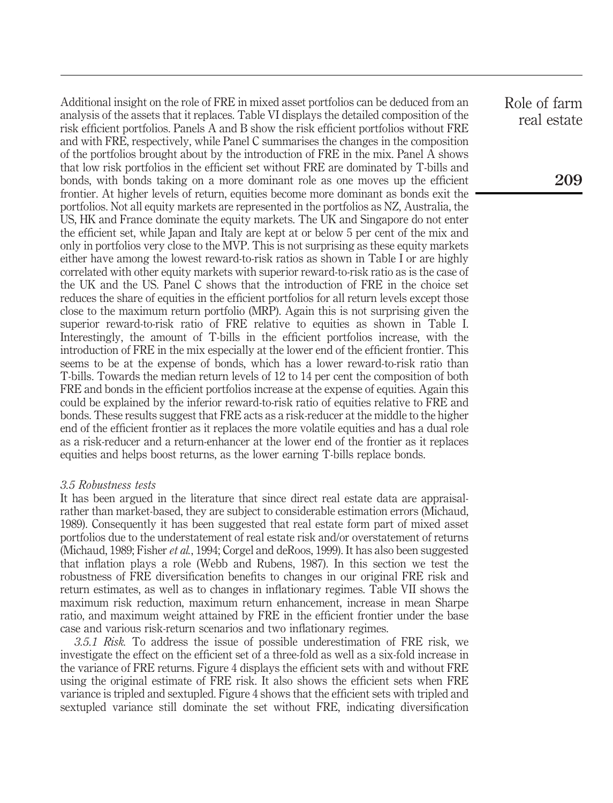Additional insight on the role of FRE in mixed asset portfolios can be deduced from an analysis of the assets that it replaces. Table VI displays the detailed composition of the risk efficient portfolios. Panels A and B show the risk efficient portfolios without FRE and with FRE, respectively, while Panel C summarises the changes in the composition of the portfolios brought about by the introduction of FRE in the mix. Panel A shows that low risk portfolios in the efficient set without FRE are dominated by T-bills and bonds, with bonds taking on a more dominant role as one moves up the efficient frontier. At higher levels of return, equities become more dominant as bonds exit the portfolios. Not all equity markets are represented in the portfolios as NZ, Australia, the US, HK and France dominate the equity markets. The UK and Singapore do not enter the efficient set, while Japan and Italy are kept at or below 5 per cent of the mix and only in portfolios very close to the MVP. This is not surprising as these equity markets either have among the lowest reward-to-risk ratios as shown in Table I or are highly correlated with other equity markets with superior reward-to-risk ratio as is the case of the UK and the US. Panel C shows that the introduction of FRE in the choice set reduces the share of equities in the efficient portfolios for all return levels except those close to the maximum return portfolio (MRP). Again this is not surprising given the superior reward-to-risk ratio of FRE relative to equities as shown in Table I. Interestingly, the amount of T-bills in the efficient portfolios increase, with the introduction of FRE in the mix especially at the lower end of the efficient frontier. This seems to be at the expense of bonds, which has a lower reward-to-risk ratio than T-bills. Towards the median return levels of 12 to 14 per cent the composition of both FRE and bonds in the efficient portfolios increase at the expense of equities. Again this could be explained by the inferior reward-to-risk ratio of equities relative to FRE and bonds. These results suggest that FRE acts as a risk-reducer at the middle to the higher end of the efficient frontier as it replaces the more volatile equities and has a dual role as a risk-reducer and a return-enhancer at the lower end of the frontier as it replaces equities and helps boost returns, as the lower earning T-bills replace bonds.

## 3.5 Robustness tests

It has been argued in the literature that since direct real estate data are appraisalrather than market-based, they are subject to considerable estimation errors (Michaud, 1989). Consequently it has been suggested that real estate form part of mixed asset portfolios due to the understatement of real estate risk and/or overstatement of returns (Michaud, 1989; Fisher et al., 1994; Corgel and deRoos, 1999). It has also been suggested that inflation plays a role (Webb and Rubens, 1987). In this section we test the robustness of FRE diversification benefits to changes in our original FRE risk and return estimates, as well as to changes in inflationary regimes. Table VII shows the maximum risk reduction, maximum return enhancement, increase in mean Sharpe ratio, and maximum weight attained by FRE in the efficient frontier under the base case and various risk-return scenarios and two inflationary regimes.

3.5.1 Risk. To address the issue of possible underestimation of FRE risk, we investigate the effect on the efficient set of a three-fold as well as a six-fold increase in the variance of FRE returns. Figure 4 displays the efficient sets with and without FRE using the original estimate of FRE risk. It also shows the efficient sets when FRE variance is tripled and sextupled. Figure 4 shows that the efficient sets with tripled and sextupled variance still dominate the set without FRE, indicating diversification Role of farm real estate

209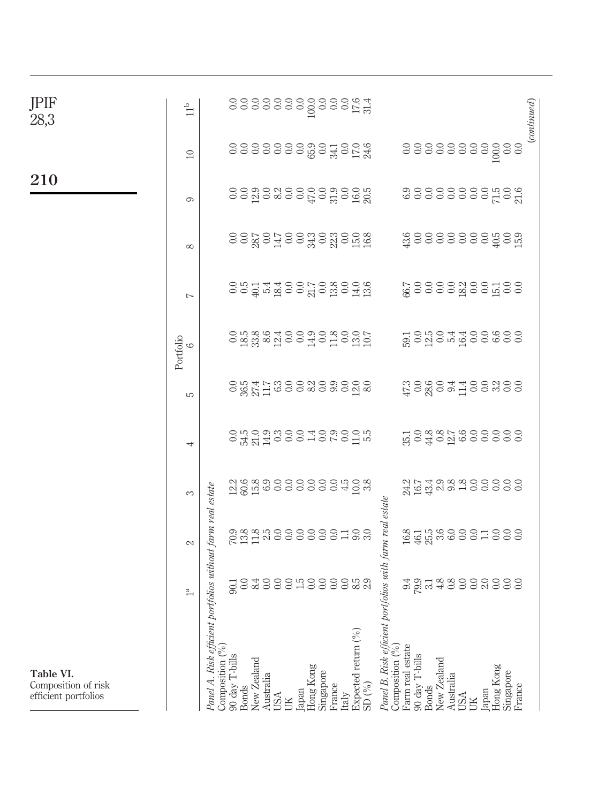| JPIF<br>28,3                                             | 11 <sup>b</sup> |                                                             |                 |                |                      |           |     |    |       |           |           |        |       | 888888888888.#                                                    |                                 |                                     |                |                      |                  |    |       |           |                             |        | (continued) |
|----------------------------------------------------------|-----------------|-------------------------------------------------------------|-----------------|----------------|----------------------|-----------|-----|----|-------|-----------|-----------|--------|-------|-------------------------------------------------------------------|---------------------------------|-------------------------------------|----------------|----------------------|------------------|----|-------|-----------|-----------------------------|--------|-------------|
|                                                          | $\overline{10}$ |                                                             |                 |                |                      |           |     |    |       |           |           |        |       | 888888888#86#                                                     |                                 |                                     |                |                      |                  |    |       |           |                             |        |             |
| 210                                                      | c               |                                                             |                 |                |                      |           |     |    |       |           |           |        |       | 8888888688888                                                     |                                 |                                     |                |                      |                  |    |       |           |                             |        |             |
|                                                          | $\infty$        |                                                             |                 |                |                      |           |     |    |       |           |           |        |       |                                                                   |                                 |                                     |                |                      |                  |    |       |           |                             |        |             |
|                                                          | $\sim$          |                                                             |                 |                |                      |           |     |    |       |           |           |        |       |                                                                   |                                 |                                     |                |                      |                  |    |       |           | នូខខខខឌួខខជូនខ្លួ           |        |             |
|                                                          | Portfolio       |                                                             |                 |                |                      |           |     |    |       |           |           |        |       | 0 3 3 3 3 4 0 0 9 9 0 3 0 5 17<br>0 3 3 3 8 9 1 0 0 4 0 1 0 9 9 1 |                                 |                                     |                |                      |                  |    |       |           |                             |        |             |
|                                                          | S               |                                                             |                 |                |                      |           |     |    |       |           |           |        |       |                                                                   |                                 |                                     |                |                      |                  |    |       |           |                             |        |             |
|                                                          | 4               |                                                             |                 |                |                      |           |     |    |       |           |           |        |       |                                                                   |                                 |                                     |                |                      |                  |    |       |           |                             |        |             |
|                                                          | S               |                                                             |                 |                |                      |           |     |    |       |           |           |        |       |                                                                   |                                 |                                     |                |                      |                  |    |       |           |                             |        |             |
|                                                          | $\mathcal{L}$   |                                                             |                 |                |                      |           |     |    |       |           |           |        |       |                                                                   |                                 |                                     |                |                      |                  |    |       |           | 831569881888<br>84836881888 |        |             |
|                                                          | $\mathbb{I}^a$  |                                                             |                 |                |                      |           |     |    |       |           |           |        |       | a ca coon cooca a<br>Lotocon cooca a                              | ortfolios with farm real estate |                                     |                |                      |                  |    |       |           |                             |        |             |
| Table VI.<br>Composition of risk<br>efficient portfolios |                 | Panel A. Risk efficient portfolios without farm real estate | Composition (%) | 90 day T-bills | Bonds<br>New Zealand | Australia | USA | ŬК | Japan | Hong Kong | Singapore | France | Italy | Expected return (%)<br>$\mathrm{SD}\left(\text{\%}\right)$        | Panel B. Risk efficient p       | Composition (%)<br>Farm real estate | 90 day T-bills | Bonds<br>New Zealand | Australia<br>USA | UK | Japan | Hong Kong | Singapore                   | France |             |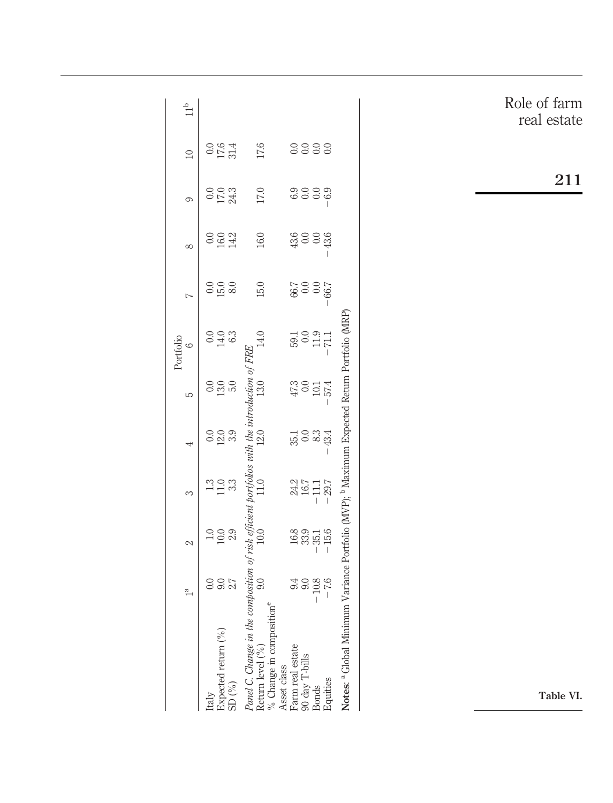|                                                                                                                                                                       | $\mathbb{I}^a$  | 2                                                       | S                                           | 4                                                | S                                | Portfolio<br>$\circ$        | $\overline{a}$      | $\infty$        | $\circ$                         | $\overline{10}$           | 11 <sup>b</sup> |
|-----------------------------------------------------------------------------------------------------------------------------------------------------------------------|-----------------|---------------------------------------------------------|---------------------------------------------|--------------------------------------------------|----------------------------------|-----------------------------|---------------------|-----------------|---------------------------------|---------------------------|-----------------|
|                                                                                                                                                                       |                 |                                                         |                                             |                                                  |                                  |                             |                     |                 |                                 |                           |                 |
|                                                                                                                                                                       | 0.0             |                                                         |                                             |                                                  | $\odot$                          | $\odot$                     | $\odot$             | $\odot$         |                                 |                           |                 |
|                                                                                                                                                                       |                 |                                                         |                                             |                                                  |                                  |                             |                     |                 |                                 |                           |                 |
| Italy<br>Expected return (%)<br>SD (%)                                                                                                                                |                 | $\frac{100}{100}$                                       | $1.3$<br>$1.0$<br>$3.3$                     |                                                  | 13.0                             | $14.0$<br>6.3               | $15.0$<br>8.0       | 16.0<br>14.2    | 0.0<br>173<br>24:3              | $0.6$<br>$17.4$<br>$31.4$ |                 |
|                                                                                                                                                                       |                 |                                                         |                                             |                                                  |                                  |                             |                     |                 |                                 |                           |                 |
|                                                                                                                                                                       |                 |                                                         |                                             |                                                  |                                  | 14.0                        | 15.0                | 16.0            | 17.0                            | 17.6                      |                 |
| <i>Panel C. Change in the comp</i><br>Return level (%)<br>% Change in composition <sup>e</sup><br>Asset class<br>Farm real estate<br>90 day T-bills<br>Bonds<br>Bonds |                 |                                                         |                                             |                                                  |                                  |                             |                     |                 |                                 |                           |                 |
|                                                                                                                                                                       |                 |                                                         |                                             |                                                  |                                  |                             |                     |                 |                                 |                           |                 |
|                                                                                                                                                                       |                 |                                                         |                                             |                                                  |                                  |                             |                     |                 |                                 |                           |                 |
|                                                                                                                                                                       | 0.66            |                                                         | $\begin{array}{c} 24.2 \\ 16.7 \end{array}$ |                                                  |                                  |                             |                     |                 |                                 |                           |                 |
|                                                                                                                                                                       |                 |                                                         |                                             | $\begin{array}{c} 351 \\ 0.0 \\ 8.3 \end{array}$ |                                  |                             |                     | $43.6$<br>$0.0$ |                                 |                           |                 |
|                                                                                                                                                                       | $-10.8$<br>-7.6 | $\begin{array}{r} 16.8 \\ 33.9 \\ -15.6 \\ \end{array}$ | $-11.1$<br>$-29.7$                          | $43.4\,$                                         | $\frac{473}{101}$<br>1011<br>574 | $-1.1$<br>$-1.1$<br>$-71.1$ | 750<br>1950<br>1950 | 43.6            | 8<br>8<br>9<br>9<br>9<br>9<br>9 | 8888                      |                 |
|                                                                                                                                                                       |                 |                                                         |                                             |                                                  |                                  |                             |                     |                 |                                 |                           |                 |
| Notes: <sup>a</sup> Global Minimum Variance Portfolio (MVP); <sup>b</sup> Maximum Expected Return Portfolio (MRP)                                                     |                 |                                                         |                                             |                                                  |                                  |                             |                     |                 |                                 |                           |                 |

Role of farm real estate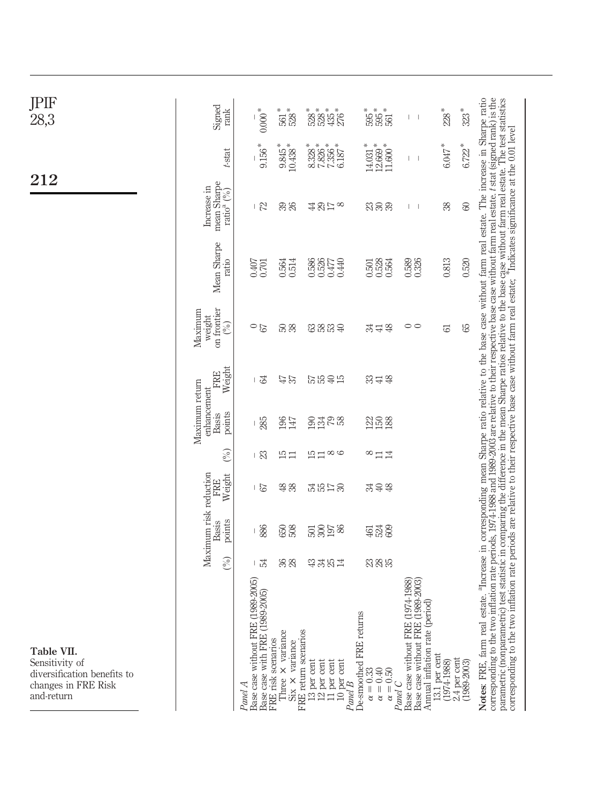212

Notes: FRE, farm real estate. <sup>a</sup>Increase in corresponding mean Sharpe ratio relative to the base case without farm real estate. The increase in Sharpe ratio corresponding to the two inflation rate periods, 1974-1988 and 1989-2003 are relative to their respective base case without farm real estate. *t* stat (signed rank) is the parametric (nonparametric) test statistic in compa Notes: FRE, farm real estate. <sup>a</sup>Increase in corresponding mean Sharpe ratio relative to the base case without farm real estate. The increase in Sharpe ratio corresponding to the two inflation rate periods, 1974-1988 and 1989-2003 are relative to their respective base case without farm real estate. t stat (signed rank) is the parametric (nonparametric) test statistic in comparing the difference in the mean Sharpe ratios relative to the base case without farm real estate. The test statistics  $323}^*$ Signed rank  $\begin{array}{c} 561 \\ 528 \end{array}$ ្ត្រៃ<br>ភូមិដូ  $228*$  $-$ <br>0.000  $*$ Base case with FRE (1989-2005) 54 886 886 64 64 67 0.701 9.701 9.701 9.156  $^*$  0.000  $^*$ Three x variance 36 650 48 15 196 47 50 0.564 9.845 561 561 561 9.86 9.845 Six  $\times$  variance 28 508 508 38 11 147 37 38 38 0.514 26 10.438 528 528 13 per cent 43 501 501 54 15 960 57 63 0.586 0.586 44 8.328 528  $^*$ 12 per cent 34 34 34 35 11 134 56 56 58 0.526  $(0.526 \pm 0.326)$  528  $^*$  528  $^*$ 11 per cent 25  $25$  197  $25$  197  $40$  40 53  $63$  53  $435$   $435$   $435$   $435$   $435$   $435$ 10 per cent 14 86 86 58 58 58 59 15 40  $(0.440 \text{ W})(3.187)^{*}$  276  $^{*}$  $\alpha = 0.33$   $\alpha = 0.33$   $\alpha = 23$   $\alpha = 34$   $\alpha = 34$   $\alpha = 34$   $\alpha = 34$   $\alpha = 34$   $\alpha = 34$   $\alpha = 34$   $\alpha = 34$ «10.40 2.669\* 595.\* 524 40 11 50 41 41 41 41 41 41 595.\* ¼ 0:50 35 609 48 14 188 48 48 0.564 39 11.600 \* 561 \* (1974-1988) 61 0.813 38 6.047 \* 228 \* (1989-2003) 65 0.520 65 65 0.520 65 0.520 65 0.520 65 0.520  $^*$  323  $^*$  $\mathbb{L}$  $\overline{1}$ Base case without FRE (1989-2005) – – – – – – 0 0.407 – – – Base case without FRE (1974-1988) 0 0.589 – – – Base case without FRE (1989-2003) 0 0.326 – – – corresponding to the two inflation rate periods are relative to their respective base case without farm real estate; \*Indicates significance at the 0.01 level  $\frac{1}{9.156}$ \*  $9.845$ <br> $10.438$  $\begin{array}{c} 14.031 \\ 12.669 \\ 11.600 \end{array}$  $6.722*$  $\begin{array}{c} 8.328 \\ 7.826 \\ 7.356 \\ 6.187 \end{array}$  $6.047**$ t-stat Weight  $(%)$  ratio ratio<sup>a</sup>  $(%)$  t-stat  $\vert - \vert$ mean Sharpe mean Sharpe Increase in Increase in ratio<sup>a</sup> (%) 80  $\frac{1}{2}$ 28  $482^\circ$ ននន 38  $\vert \ \ \vert$ Mean Sharpe on frontier Mean Sharpe 0.813 0.520 ratio 0.701 0.564 0.514 0.586 0440 0.501<br>0.528<br>0.564 0.589<br>0.326 weight<br>on frontier Maximum  $(%)$  $rac{6}{5}$ 58  $3837$ 3118  $\circ$ G1 65 FRE<br>Weight 222313  $3348$ । ঊ 25 Maximum return Maximum return enhancement enhancement Basis points 547 gares  $258$ - 85  $(%)$  $n = \infty$  $\infty$  $\equiv$  $\pm$ Weight (%)  $\overline{3}$  $\Xi$ Maximum risk reduction FRE<br>Weight Maximum risk reduction  $\overline{6}$  $\frac{8}{38}$ **ZES** <u> 앞</u> 순 앞 Basis points  $\frac{1}{886}$ 650 នីខ្លី ដូន **FRS** (%)  $88$ \$351  $885$ 1 로 *Panel C*<br>Base case without FRE (1974-1988)<br>Base case without FRE (1989-2003) Panel A<br>Base case without FRE (1989-2005) Base case with FRE (1989-2005) Annual inflation rate (period) Annual inflation rate (period) Panel B<br>De-smoothed FRE returns De-smoothed FRE returns Three X variance FRE return scenarios FRE return scenarios FRE risk scenarios Six  $\times$  variance FRE risk scenarios 13.1 per cent<br>(1974-1988) 13.1 per cent  $\begin{array}{c} 13\,\mathrm{per\,cent} \\ 12\,\mathrm{per\,cent} \\ 11\,\mathrm{per\,cent} \\ 10\,\mathrm{per\,cent} \end{array}$ 2.4 per cent 2.4 per cent  $(1989 - 2003)$  $\alpha=0.33$ ಕ ಕ

Table VII.

Sensitivity of diversification benefits to changes in FRE Risk and-return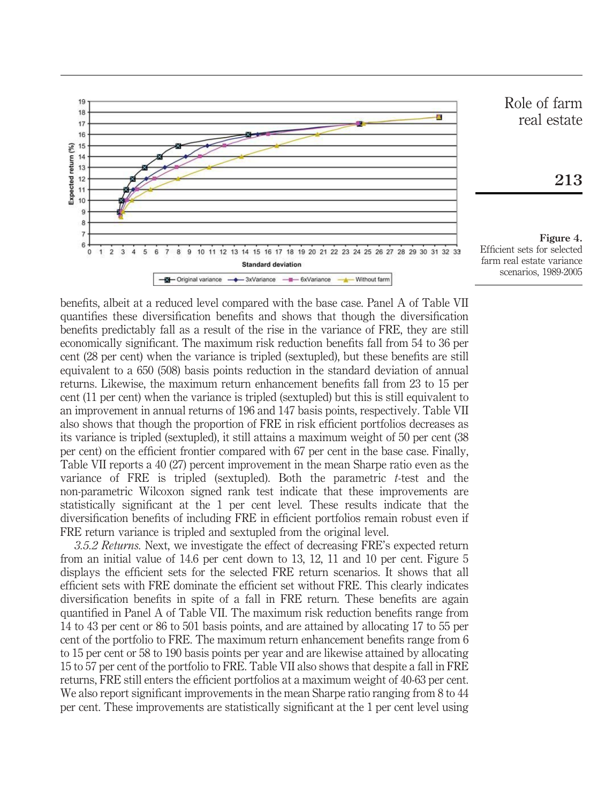

Role of farm real estate

213

Figure 4.

Efficient sets for selected farm real estate variance scenarios, 1989-2005

benefits, albeit at a reduced level compared with the base case. Panel A of Table VII quantifies these diversification benefits and shows that though the diversification benefits predictably fall as a result of the rise in the variance of FRE, they are still economically significant. The maximum risk reduction benefits fall from 54 to 36 per cent (28 per cent) when the variance is tripled (sextupled), but these benefits are still equivalent to a 650 (508) basis points reduction in the standard deviation of annual returns. Likewise, the maximum return enhancement benefits fall from 23 to 15 per cent (11 per cent) when the variance is tripled (sextupled) but this is still equivalent to an improvement in annual returns of 196 and 147 basis points, respectively. Table VII also shows that though the proportion of FRE in risk efficient portfolios decreases as its variance is tripled (sextupled), it still attains a maximum weight of 50 per cent (38 per cent) on the efficient frontier compared with 67 per cent in the base case. Finally, Table VII reports a 40 (27) percent improvement in the mean Sharpe ratio even as the variance of FRE is tripled (sextupled). Both the parametric  $t$ -test and the non-parametric Wilcoxon signed rank test indicate that these improvements are statistically significant at the 1 per cent level. These results indicate that the diversification benefits of including FRE in efficient portfolios remain robust even if FRE return variance is tripled and sextupled from the original level.

3.5.2 Returns. Next, we investigate the effect of decreasing FRE's expected return from an initial value of 14.6 per cent down to 13, 12, 11 and 10 per cent. Figure 5 displays the efficient sets for the selected FRE return scenarios. It shows that all efficient sets with FRE dominate the efficient set without FRE. This clearly indicates diversification benefits in spite of a fall in FRE return. These benefits are again quantified in Panel A of Table VII. The maximum risk reduction benefits range from 14 to 43 per cent or 86 to 501 basis points, and are attained by allocating 17 to 55 per cent of the portfolio to FRE. The maximum return enhancement benefits range from 6 to 15 per cent or 58 to 190 basis points per year and are likewise attained by allocating 15 to 57 per cent of the portfolio to FRE. Table VII also shows that despite a fall in FRE returns, FRE still enters the efficient portfolios at a maximum weight of 40-63 per cent. We also report significant improvements in the mean Sharpe ratio ranging from 8 to 44 per cent. These improvements are statistically significant at the 1 per cent level using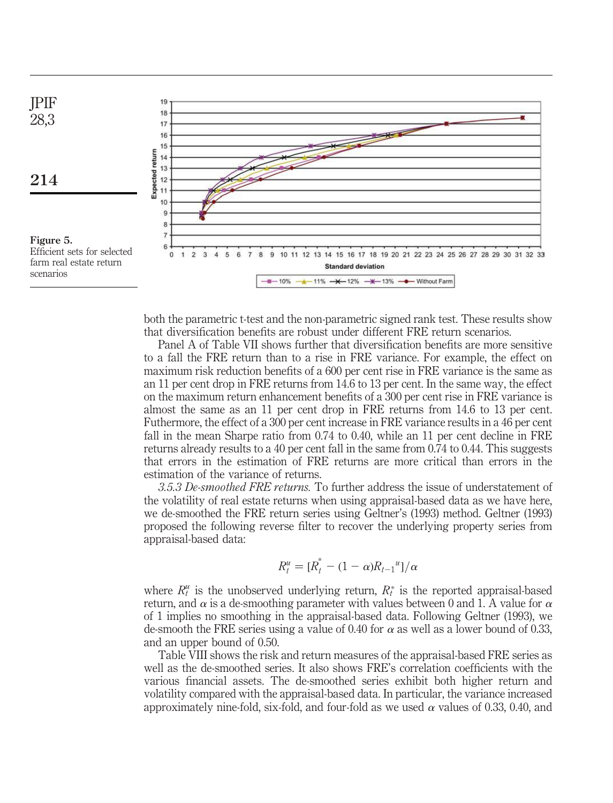

both the parametric t-test and the non-parametric signed rank test. These results show that diversification benefits are robust under different FRE return scenarios.

Panel A of Table VII shows further that diversification benefits are more sensitive to a fall the FRE return than to a rise in FRE variance. For example, the effect on maximum risk reduction benefits of a 600 per cent rise in FRE variance is the same as an 11 per cent drop in FRE returns from 14.6 to 13 per cent. In the same way, the effect on the maximum return enhancement benefits of a 300 per cent rise in FRE variance is almost the same as an 11 per cent drop in FRE returns from 14.6 to 13 per cent. Futhermore, the effect of a 300 per cent increase in FRE variance results in a 46 per cent fall in the mean Sharpe ratio from 0.74 to 0.40, while an 11 per cent decline in FRE returns already results to a 40 per cent fall in the same from 0.74 to 0.44. This suggests that errors in the estimation of FRE returns are more critical than errors in the estimation of the variance of returns.

3.5.3 De-smoothed FRE returns. To further address the issue of understatement of the volatility of real estate returns when using appraisal-based data as we have here, we de-smoothed the FRE return series using Geltner's (1993) method. Geltner (1993) proposed the following reverse filter to recover the underlying property series from appraisal-based data:

$$
R_t^u = [R_t^* - (1 - \alpha)R_{t-1}^u]/\alpha
$$

where  $R_t^u$  is the unobserved underlying return,  $R_t^*$  is the reported appraisal-based return, and  $\alpha$  is a de-smoothing parameter with values between 0 and 1. A value for  $\alpha$ of 1 implies no smoothing in the appraisal-based data. Following Geltner (1993), we de-smooth the FRE series using a value of 0.40 for  $\alpha$  as well as a lower bound of 0.33, and an upper bound of 0.50.

Table VIII shows the risk and return measures of the appraisal-based FRE series as well as the de-smoothed series. It also shows FRE's correlation coefficients with the various financial assets. The de-smoothed series exhibit both higher return and volatility compared with the appraisal-based data. In particular, the variance increased approximately nine-fold, six-fold, and four-fold as we used  $\alpha$  values of 0.33, 0.40, and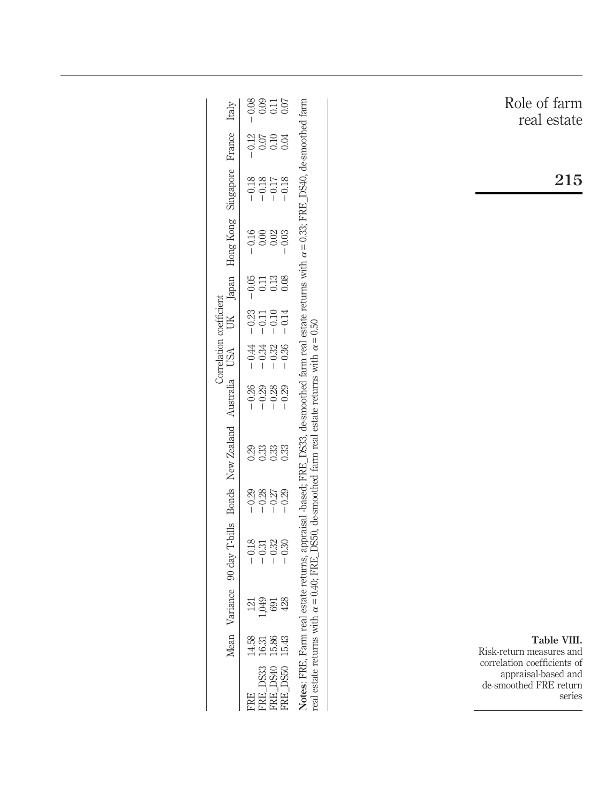|                                                                                            | 0.09<br>$\frac{0.11}{0.07}$                                                       |                                                                                                                                                                                                                           |  |
|--------------------------------------------------------------------------------------------|-----------------------------------------------------------------------------------|---------------------------------------------------------------------------------------------------------------------------------------------------------------------------------------------------------------------------|--|
| Italy                                                                                      | $-0.08$                                                                           |                                                                                                                                                                                                                           |  |
|                                                                                            | $-0.12$<br>$0.07$<br>0.10<br>0.04                                                 |                                                                                                                                                                                                                           |  |
|                                                                                            | $-0.18$<br>$-0.18$<br>$-1.0 -$<br>$-0.18$                                         |                                                                                                                                                                                                                           |  |
|                                                                                            | $-0.16$<br>$-0.03$<br>$0.02\,$<br>$0.00\,$                                        |                                                                                                                                                                                                                           |  |
|                                                                                            | $-0.05$<br>$\begin{array}{c} 0.11 \\ 0.13 \end{array}$<br>0.08                    |                                                                                                                                                                                                                           |  |
| Correlation coefficient                                                                    | $-0.23$<br>$-0.11$<br>$-0.14$<br>$-0.10$                                          |                                                                                                                                                                                                                           |  |
|                                                                                            | $\begin{array}{cccc}\n4 & 35 & 36 \\ - & 0 & 0 & 0 \\ - & 0 & 0 & 0\n\end{array}$ |                                                                                                                                                                                                                           |  |
|                                                                                            | 88888<br>00000<br>0000                                                            |                                                                                                                                                                                                                           |  |
|                                                                                            | 0.33<br>83<br>83<br>0.33<br>0.33                                                  |                                                                                                                                                                                                                           |  |
|                                                                                            | $-0.28$<br>$-0.27$<br>$-0.29$<br>$-0.29$                                          |                                                                                                                                                                                                                           |  |
| ariance 90 day T-bills Bonds New Zealand Australia USA UK Japan Hong Kong Singapore France | $-0.33$<br>$-0.32$<br>$-0.30$                                                     | estate returns, appraisal -based; FRE_DS33, de-smoothed farm real estate returns with $\alpha$ = 0.33; FRE_DS40, de-smoothed farm<br>$\alpha$ = 0.40; FRE DS50, de-smoothed farm real estate returns with $\alpha$ = 0.50 |  |
|                                                                                            | 428<br>1,049<br>691<br>$\Xi$                                                      |                                                                                                                                                                                                                           |  |
| Mean V                                                                                     | 14.53<br>16.53<br>15.43                                                           |                                                                                                                                                                                                                           |  |
|                                                                                            | FRE_DS33<br>FRE_DS40 1<br>FRE_DS50 1<br>RE                                        | real estate returns with<br>Notes: FRE, Farm real                                                                                                                                                                         |  |

Role of farm real estate

215

Table VIII.

Risk-return measures and correlation coefficients of appraisal-based and de-smoothed FRE return series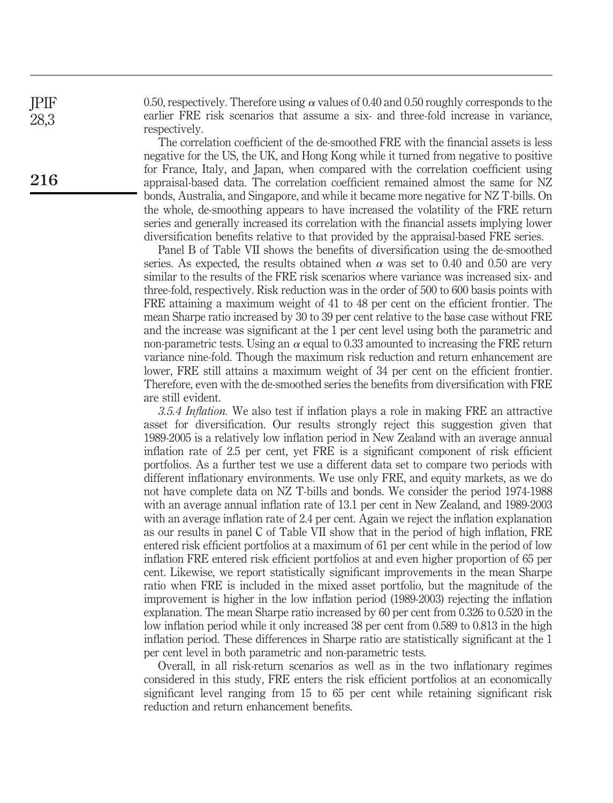0.50, respectively. Therefore using  $\alpha$  values of 0.40 and 0.50 roughly corresponds to the earlier FRE risk scenarios that assume a six- and three-fold increase in variance, respectively.

The correlation coefficient of the de-smoothed FRE with the financial assets is less negative for the US, the UK, and Hong Kong while it turned from negative to positive for France, Italy, and Japan, when compared with the correlation coefficient using appraisal-based data. The correlation coefficient remained almost the same for NZ bonds, Australia, and Singapore, and while it became more negative for NZ T-bills. On the whole, de-smoothing appears to have increased the volatility of the FRE return series and generally increased its correlation with the financial assets implying lower diversification benefits relative to that provided by the appraisal-based FRE series.

Panel B of Table VII shows the benefits of diversification using the de-smoothed series. As expected, the results obtained when  $\alpha$  was set to 0.40 and 0.50 are very similar to the results of the FRE risk scenarios where variance was increased six- and three-fold, respectively. Risk reduction was in the order of 500 to 600 basis points with FRE attaining a maximum weight of 41 to 48 per cent on the efficient frontier. The mean Sharpe ratio increased by 30 to 39 per cent relative to the base case without FRE and the increase was significant at the 1 per cent level using both the parametric and non-parametric tests. Using an  $\alpha$  equal to 0.33 amounted to increasing the FRE return variance nine-fold. Though the maximum risk reduction and return enhancement are lower, FRE still attains a maximum weight of 34 per cent on the efficient frontier. Therefore, even with the de-smoothed series the benefits from diversification with FRE are still evident.

3.5.4 Inflation. We also test if inflation plays a role in making FRE an attractive asset for diversification. Our results strongly reject this suggestion given that 1989-2005 is a relatively low inflation period in New Zealand with an average annual inflation rate of 2.5 per cent, yet FRE is a significant component of risk efficient portfolios. As a further test we use a different data set to compare two periods with different inflationary environments. We use only FRE, and equity markets, as we do not have complete data on NZ T-bills and bonds. We consider the period 1974-1988 with an average annual inflation rate of 13.1 per cent in New Zealand, and 1989-2003 with an average inflation rate of 2.4 per cent. Again we reject the inflation explanation as our results in panel C of Table VII show that in the period of high inflation, FRE entered risk efficient portfolios at a maximum of 61 per cent while in the period of low inflation FRE entered risk efficient portfolios at and even higher proportion of 65 per cent. Likewise, we report statistically significant improvements in the mean Sharpe ratio when FRE is included in the mixed asset portfolio, but the magnitude of the improvement is higher in the low inflation period (1989-2003) rejecting the inflation explanation. The mean Sharpe ratio increased by 60 per cent from 0.326 to 0.520 in the low inflation period while it only increased 38 per cent from 0.589 to 0.813 in the high inflation period. These differences in Sharpe ratio are statistically significant at the 1 per cent level in both parametric and non-parametric tests.

Overall, in all risk-return scenarios as well as in the two inflationary regimes considered in this study, FRE enters the risk efficient portfolios at an economically significant level ranging from 15 to 65 per cent while retaining significant risk reduction and return enhancement benefits.

216

JPIF 28,3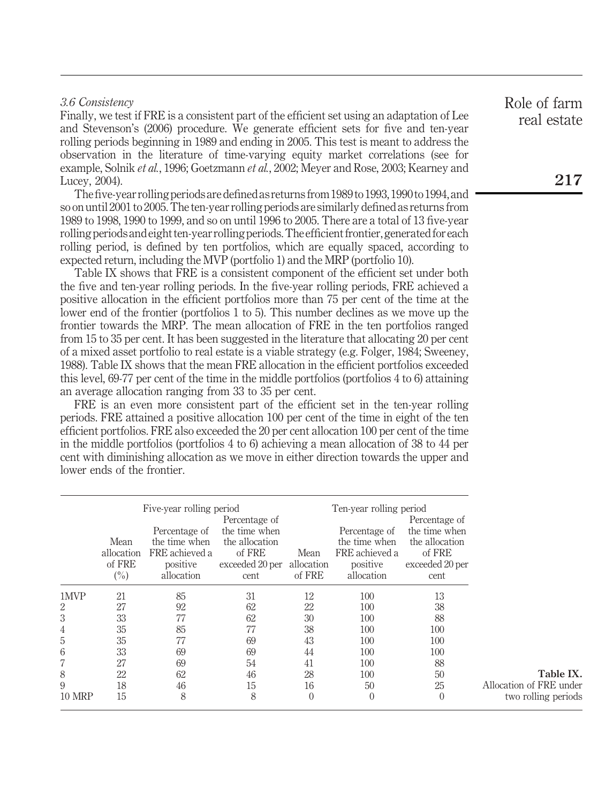# 3.6 Consistency

Finally, we test if FRE is a consistent part of the efficient set using an adaptation of Lee and Stevenson's (2006) procedure. We generate efficient sets for five and ten-year rolling periods beginning in 1989 and ending in 2005. This test is meant to address the observation in the literature of time-varying equity market correlations (see for example, Solnik et al., 1996; Goetzmann et al., 2002; Meyer and Rose, 2003; Kearney and Lucey, 2004).

Thefive-yearrollingperiodsare defined asreturns from1989 to1993, 1990 to1994, and so on until 2001 to 2005. The ten-year rolling periods are similarly defined as returns from 1989 to 1998, 1990 to 1999, and so on until 1996 to 2005. There are a total of 13 five-year rolling periods and eight ten-year rolling periods. The efficient frontier, generated for each rolling period, is defined by ten portfolios, which are equally spaced, according to expected return, including the MVP (portfolio 1) and the MRP (portfolio 10).

Table IX shows that FRE is a consistent component of the efficient set under both the five and ten-year rolling periods. In the five-year rolling periods, FRE achieved a positive allocation in the efficient portfolios more than 75 per cent of the time at the lower end of the frontier (portfolios 1 to 5). This number declines as we move up the frontier towards the MRP. The mean allocation of FRE in the ten portfolios ranged from 15 to 35 per cent. It has been suggested in the literature that allocating 20 per cent of a mixed asset portfolio to real estate is a viable strategy (e.g. Folger, 1984; Sweeney, 1988). Table IX shows that the mean FRE allocation in the efficient portfolios exceeded this level, 69-77 per cent of the time in the middle portfolios (portfolios 4 to 6) attaining an average allocation ranging from 33 to 35 per cent.

FRE is an even more consistent part of the efficient set in the ten-year rolling periods. FRE attained a positive allocation 100 per cent of the time in eight of the ten efficient portfolios. FRE also exceeded the 20 per cent allocation 100 per cent of the time in the middle portfolios (portfolios 4 to 6) achieving a mean allocation of 38 to 44 per cent with diminishing allocation as we move in either direction towards the upper and lower ends of the frontier.

|               | Mean<br>allocation<br>of FRE | Five-year rolling period<br>Percentage of<br>the time when the allocation<br>FRE achieved a<br>positive | Percentage of<br>the time when<br>of FRE<br>exceeded 20 per | Mean<br>allocation | Ten-year rolling period<br>Percentage of<br>the time when<br>FRE achieved a<br>positive | Percentage of<br>the time when<br>the allocation<br>of FRE<br>exceeded 20 per |                         |
|---------------|------------------------------|---------------------------------------------------------------------------------------------------------|-------------------------------------------------------------|--------------------|-----------------------------------------------------------------------------------------|-------------------------------------------------------------------------------|-------------------------|
|               | $(\% )$                      | allocation                                                                                              | cent                                                        | of FRE             | allocation                                                                              | cent                                                                          |                         |
| 1MVP          | 21                           | 85                                                                                                      | 31                                                          | 12                 | 100                                                                                     | 13                                                                            |                         |
| 2             | 27                           | 92                                                                                                      | 62                                                          | 22                 | 100                                                                                     | 38                                                                            |                         |
| 3             | 33                           | 77                                                                                                      | 62                                                          | 30                 | 100                                                                                     | 88                                                                            |                         |
| 4             | 35                           | 85                                                                                                      | 77                                                          | 38                 | 100                                                                                     | 100                                                                           |                         |
| 5             | 35                           | 77                                                                                                      | 69                                                          | 43                 | 100                                                                                     | 100                                                                           |                         |
| 6             | 33                           | 69                                                                                                      | 69                                                          | 44                 | 100                                                                                     | 100                                                                           |                         |
| 7             | 27                           | 69                                                                                                      | 54                                                          | 41                 | 100                                                                                     | 88                                                                            |                         |
| 8             | 22                           | 62                                                                                                      | 46                                                          | 28                 | 100                                                                                     | 50                                                                            | Table IX.               |
| 9             | 18                           | 46                                                                                                      | 15                                                          | 16                 | 50                                                                                      | 25                                                                            | Allocation of FRE under |
| <b>10 MRP</b> | 15                           | 8                                                                                                       | 8                                                           | $\theta$           | $\Omega$                                                                                | $\Omega$                                                                      | two rolling periods     |

Role of farm real estate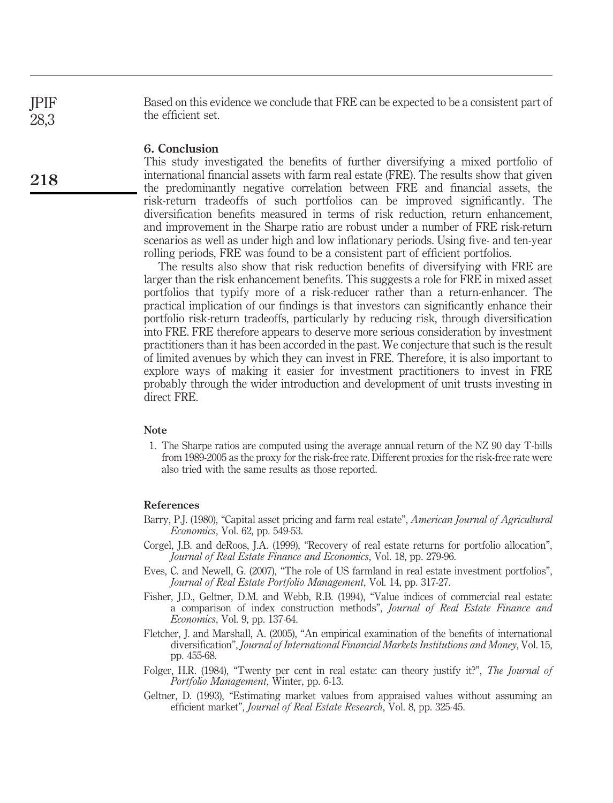Based on this evidence we conclude that FRE can be expected to be a consistent part of the efficient set.

#### 6. Conclusion

This study investigated the benefits of further diversifying a mixed portfolio of international financial assets with farm real estate (FRE). The results show that given the predominantly negative correlation between FRE and financial assets, the risk-return tradeoffs of such portfolios can be improved significantly. The diversification benefits measured in terms of risk reduction, return enhancement, and improvement in the Sharpe ratio are robust under a number of FRE risk-return scenarios as well as under high and low inflationary periods. Using five- and ten-year rolling periods, FRE was found to be a consistent part of efficient portfolios.

The results also show that risk reduction benefits of diversifying with FRE are larger than the risk enhancement benefits. This suggests a role for FRE in mixed asset portfolios that typify more of a risk-reducer rather than a return-enhancer. The practical implication of our findings is that investors can significantly enhance their portfolio risk-return tradeoffs, particularly by reducing risk, through diversification into FRE. FRE therefore appears to deserve more serious consideration by investment practitioners than it has been accorded in the past. We conjecture that such is the result of limited avenues by which they can invest in FRE. Therefore, it is also important to explore ways of making it easier for investment practitioners to invest in FRE probably through the wider introduction and development of unit trusts investing in direct FRE.

#### Note

1. The Sharpe ratios are computed using the average annual return of the NZ 90 day T-bills from 1989-2005 as the proxy for the risk-free rate. Different proxies for the risk-free rate were also tried with the same results as those reported.

#### References

- Barry, P.J. (1980), "Capital asset pricing and farm real estate", American Journal of Agricultural Economics, Vol. 62, pp. 549-53.
- Corgel, J.B. and deRoos, J.A. (1999), "Recovery of real estate returns for portfolio allocation", Journal of Real Estate Finance and Economics, Vol. 18, pp. 279-96.
- Eves, C. and Newell, G. (2007), "The role of US farmland in real estate investment portfolios", Journal of Real Estate Portfolio Management, Vol. 14, pp. 317-27.
- Fisher, J.D., Geltner, D.M. and Webb, R.B. (1994), "Value indices of commercial real estate: a comparison of index construction methods", Journal of Real Estate Finance and Economics, Vol. 9, pp. 137-64.
- Fletcher, J. and Marshall, A. (2005), "An empirical examination of the benefits of international diversification", Journal of International Financial Markets Institutions and Money, Vol. 15, pp. 455-68.
- Folger, H.R. (1984), "Twenty per cent in real estate: can theory justify it?", The Journal of Portfolio Management, Winter, pp. 6-13.
- Geltner, D. (1993), "Estimating market values from appraised values without assuming an efficient market", Journal of Real Estate Research, Vol. 8, pp. 325-45.

JPIF 28,3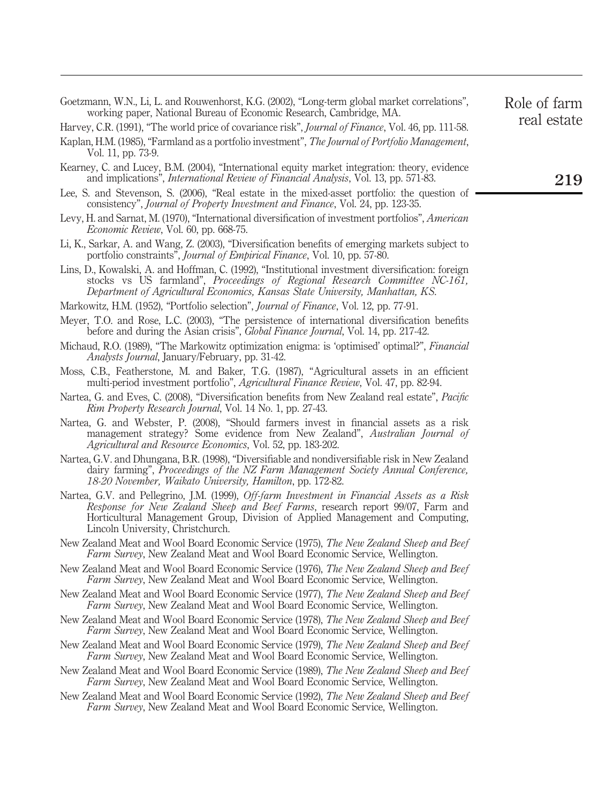|  | Goetzmann, W.N., Li, L. and Rouwenhorst, K.G. (2002), "Long-term global market correlations", |  |  |  |  |
|--|-----------------------------------------------------------------------------------------------|--|--|--|--|
|  | working paper, National Bureau of Economic Research, Cambridge, MA.                           |  |  |  |  |

Harvey, C.R. (1991), "The world price of covariance risk", *Journal of Finance*, Vol. 46, pp. 111-58.

- Kearney, C. and Lucey, B.M. (2004), "International equity market integration: theory, evidence and implications", International Review of Financial Analysis, Vol. 13, pp. 571-83.
- Lee, S. and Stevenson, S. (2006), "Real estate in the mixed-asset portfolio: the question of consistency", Journal of Property Investment and Finance, Vol. 24, pp. 123-35.
- Levy, H. and Sarnat, M. (1970), "International diversification of investment portfolios", American Economic Review, Vol. 60, pp. 668-75.
- Li, K., Sarkar, A. and Wang, Z. (2003), "Diversification benefits of emerging markets subject to portfolio constraints", Journal of Empirical Finance, Vol. 10, pp. 57-80.
- Lins, D., Kowalski, A. and Hoffman, C. (1992), "Institutional investment diversification: foreign stocks vs US farmland", Proceedings of Regional Research Committee NC-161, Department of Agricultural Economics, Kansas State University, Manhattan, KS.
- Markowitz, H.M. (1952), "Portfolio selection", Journal of Finance, Vol. 12, pp. 77-91.
- Meyer, T.O. and Rose, L.C. (2003), "The persistence of international diversification benefits before and during the Asian crisis", *Global Finance Journal*, Vol. 14, pp. 217-42.
- Michaud, R.O. (1989), "The Markowitz optimization enigma: is 'optimised' optimal?", Financial Analysts Journal, January/February, pp. 31-42.
- Moss, C.B., Featherstone, M. and Baker, T.G. (1987), "Agricultural assets in an efficient multi-period investment portfolio", Agricultural Finance Review, Vol. 47, pp. 82-94.
- Nartea, G. and Eves, C. (2008), "Diversification benefits from New Zealand real estate", Pacific Rim Property Research Journal, Vol. 14 No. 1, pp. 27-43.
- Nartea, G. and Webster, P. (2008), "Should farmers invest in financial assets as a risk management strategy? Some evidence from New Zealand", Australian Journal of Agricultural and Resource Economics, Vol. 52, pp. 183-202.
- Nartea, G.V. and Dhungana, B.R. (1998), "Diversifiable and nondiversifiable risk in New Zealand dairy farming", Proceedings of the NZ Farm Management Society Annual Conference, 18-20 November, Waikato University, Hamilton, pp. 172-82.
- Nartea, G.V. and Pellegrino, J.M. (1999), Off-farm Investment in Financial Assets as a Risk Response for New Zealand Sheep and Beef Farms, research report 99/07, Farm and Horticultural Management Group, Division of Applied Management and Computing, Lincoln University, Christchurch.
- New Zealand Meat and Wool Board Economic Service (1975), The New Zealand Sheep and Beef Farm Survey, New Zealand Meat and Wool Board Economic Service, Wellington.
- New Zealand Meat and Wool Board Economic Service (1976), The New Zealand Sheep and Beef Farm Survey, New Zealand Meat and Wool Board Economic Service, Wellington.
- New Zealand Meat and Wool Board Economic Service (1977), The New Zealand Sheep and Beef Farm Survey, New Zealand Meat and Wool Board Economic Service, Wellington.
- New Zealand Meat and Wool Board Economic Service (1978), The New Zealand Sheep and Beef Farm Survey, New Zealand Meat and Wool Board Economic Service, Wellington.
- New Zealand Meat and Wool Board Economic Service (1979), The New Zealand Sheep and Beef Farm Survey, New Zealand Meat and Wool Board Economic Service, Wellington.
- New Zealand Meat and Wool Board Economic Service (1989), The New Zealand Sheep and Beef Farm Survey, New Zealand Meat and Wool Board Economic Service, Wellington.
- New Zealand Meat and Wool Board Economic Service (1992), The New Zealand Sheep and Beef Farm Survey, New Zealand Meat and Wool Board Economic Service, Wellington.

219

Kaplan, H.M. (1985), "Farmland as a portfolio investment", The Journal of Portfolio Management, Vol. 11, pp. 73-9.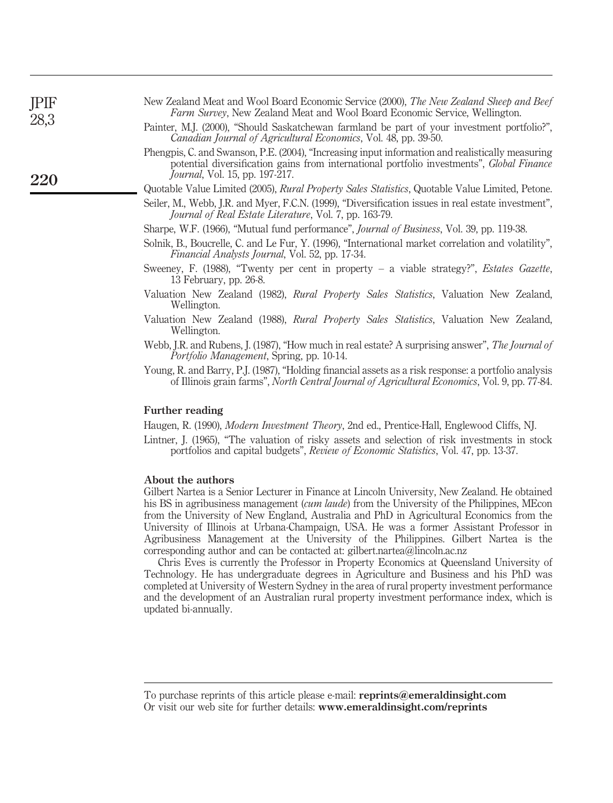| <i>Farm Survey</i> , New Zealand Meat and Wool Board Economic Service, Wellington.                                                                                                                                                      |
|-----------------------------------------------------------------------------------------------------------------------------------------------------------------------------------------------------------------------------------------|
| Painter, M.J. (2000), "Should Saskatchewan farmland be part of your investment portfolio?",<br>Canadian Journal of Agricultural Economics, Vol. 48, pp. 39-50.                                                                          |
| Phengpis, C. and Swanson, P.E. (2004), "Increasing input information and realistically measuring<br>potential diversification gains from international portfolio investments", Global Finance<br><i>Journal</i> , Vol. 15, pp. 197-217. |
| Quotable Value Limited (2005), <i>Rural Property Sales Statistics</i> , Quotable Value Limited, Petone.                                                                                                                                 |
| Seiler, M., Webb, J.R. and Myer, F.C.N. (1999), "Diversification issues in real estate investment",<br><i>Journal of Real Estate Literature, Vol. 7, pp. 163-79.</i>                                                                    |
| Sharpe, W.F. (1966), "Mutual fund performance", <i>Journal of Business</i> , Vol. 39, pp. 119-38.                                                                                                                                       |
| Solnik, B., Boucrelle, C. and Le Fur, Y. (1996), "International market correlation and volatility".<br><i>Financial Analysts Journal, Vol. 52, pp. 17-34.</i>                                                                           |
| Sweeney, F. (1988), "Twenty per cent in property – a viable strategy?", <i>Estates Gazette</i> ,<br>13 February, pp. 26-8.                                                                                                              |

Valuation New Zealand (1982), Rural Property Sales Statistics, Valuation New Zealand, Wellington.

New Zealand Meat and Wool Board Economic Service (2000), The New Zealand Sheep and Beef

- Valuation New Zealand (1988), Rural Property Sales Statistics, Valuation New Zealand, Wellington.
- Webb, J.R. and Rubens, J. (1987), "How much in real estate? A surprising answer", *The Journal of* Portfolio Management, Spring, pp. 10-14.
- Young, R. and Barry, P.J. (1987), "Holding financial assets as a risk response: a portfolio analysis of Illinois grain farms", North Central Journal of Agricultural Economics, Vol. 9, pp. 77-84.

#### Further reading

Haugen, R. (1990), Modern Investment Theory, 2nd ed., Prentice-Hall, Englewood Cliffs, NJ.

Lintner, J. (1965), "The valuation of risky assets and selection of risk investments in stock portfolios and capital budgets", Review of Economic Statistics, Vol. 47, pp. 13-37.

#### About the authors

Gilbert Nartea is a Senior Lecturer in Finance at Lincoln University, New Zealand. He obtained his BS in agribusiness management (*cum laude*) from the University of the Philippines, MEcon from the University of New England, Australia and PhD in Agricultural Economics from the University of Illinois at Urbana-Champaign, USA. He was a former Assistant Professor in Agribusiness Management at the University of the Philippines. Gilbert Nartea is the corresponding author and can be contacted at: gilbert.nartea@lincoln.ac.nz

Chris Eves is currently the Professor in Property Economics at Queensland University of Technology. He has undergraduate degrees in Agriculture and Business and his PhD was completed at University of Western Sydney in the area of rural property investment performance and the development of an Australian rural property investment performance index, which is updated bi-annually.

JPIF 28,3

To purchase reprints of this article please e-mail: reprints@emeraldinsight.com Or visit our web site for further details: www.emeraldinsight.com/reprints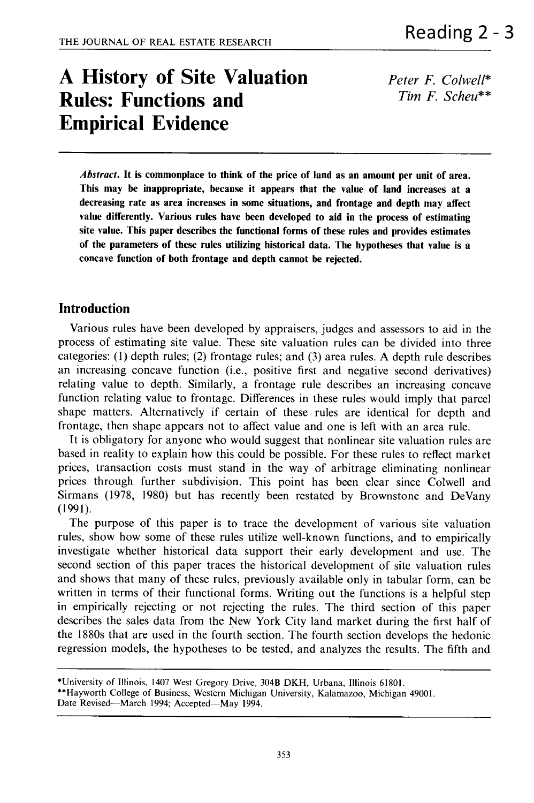# **A History of Site Valuation Rules: Functions and Empirical Evidence**

Peter F. Colwell\* Tim F. Scheu\*\*

Abstract. It is commonplace to think of the price of land as an amount per unit of area. This may be inappropriate, because it appears that the value of land increases at a decreasing rate as area increases in some situations, and frontage and depth may affect value differently. Various rules have been developed to aid in the process of estimating site value. This paper describes the functional forms of these rules and provides estimates of the parameters of these rules utilizing historical data. The hypotheses that value is a concave function of both frontage and depth cannot be rejected.

# **Introduction**

Various rules have been developed by appraisers, judges and assessors to aid in the process of estimating site value. These site valuation rules can be divided into three categories: (1) depth rules; (2) frontage rules; and (3) area rules. A depth rule describes an increasing concave function (i.e., positive first and negative second derivatives) relating value to depth. Similarly, a frontage rule describes an increasing concave function relating value to frontage. Differences in these rules would imply that parcel shape matters. Alternatively if certain of these rules are identical for depth and frontage, then shape appears not to affect value and one is left with an area rule.

It is obligatory for anyone who would suggest that nonlinear site valuation rules are based in reality to explain how this could be possible. For these rules to reflect market prices, transaction costs must stand in the way of arbitrage eliminating nonlinear prices through further subdivision. This point has been clear since Colwell and Sirmans (1978, 1980) but has recently been restated by Brownstone and DeVany  $(1991).$ 

The purpose of this paper is to trace the development of various site valuation rules, show how some of these rules utilize well-known functions, and to empirically investigate whether historical data support their early development and use. The second section of this paper traces the historical development of site valuation rules and shows that many of these rules, previously available only in tabular form, can be written in terms of their functional forms. Writing out the functions is a helpful step in empirically rejecting or not rejecting the rules. The third section of this paper describes the sales data from the New York City land market during the first half of the 1880s that are used in the fourth section. The fourth section develops the hedonic regression models, the hypotheses to be tested, and analyzes the results. The fifth and

<sup>\*</sup>University of Illinois, 1407 West Gregory Drive, 304B DKH, Urbana, Illinois 61801. \*\*Hayworth College of Business, Western Michigan University, Kalamazoo, Michigan 49001. Date Revised-March 1994; Accepted-May 1994.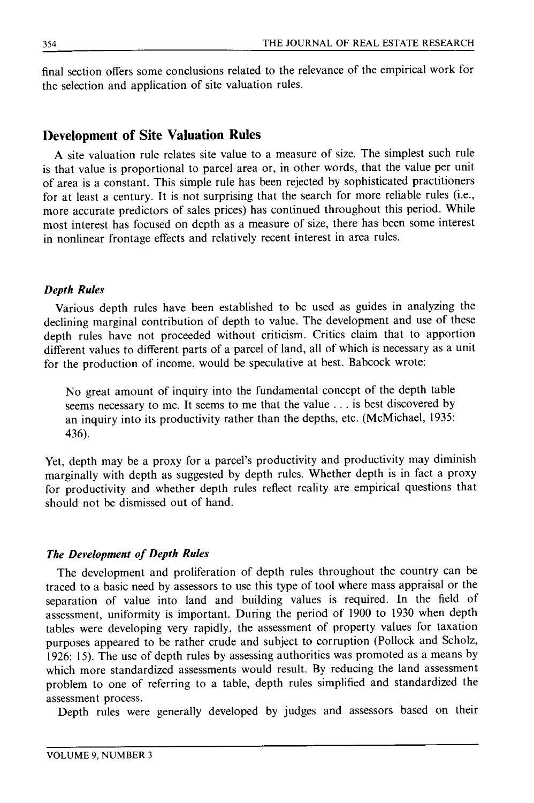final section offers some conclusions related to the relevance of the empirical work for the selection and application of site valuation rules.

# **Development of Site Valuation Rules**

A site valuation rule relates site value to a measure of size. The simplest such rule is that value is proportional to parcel area or, in other words, that the value per unit of area is a constant. This simple rule has been rejected by sophisticated practitioners for at least a century. It is not surprising that the search for more reliable rules (i.e., more accurate predictors of sales prices) has continued throughout this period. While most interest has focused on depth as a measure of size, there has been some interest in nonlinear frontage effects and relatively recent interest in area rules.

# **Depth Rules**

Various depth rules have been established to be used as guides in analyzing the declining marginal contribution of depth to value. The development and use of these depth rules have not proceeded without criticism. Critics claim that to apportion different values to different parts of a parcel of land, all of which is necessary as a unit for the production of income, would be speculative at best. Babcock wrote:

No great amount of inquiry into the fundamental concept of the depth table seems necessary to me. It seems to me that the value . . . is best discovered by an inquiry into its productivity rather than the depths, etc. (McMichael, 1935: 436).

Yet, depth may be a proxy for a parcel's productivity and productivity may diminish marginally with depth as suggested by depth rules. Whether depth is in fact a proxy for productivity and whether depth rules reflect reality are empirical questions that should not be dismissed out of hand.

# The Development of Depth Rules

The development and proliferation of depth rules throughout the country can be traced to a basic need by assessors to use this type of tool where mass appraisal or the separation of value into land and building values is required. In the field of assessment, uniformity is important. During the period of 1900 to 1930 when depth tables were developing very rapidly, the assessment of property values for taxation purposes appeared to be rather crude and subject to corruption (Pollock and Scholz,  $1926: 15$ ). The use of depth rules by assessing authorities was promoted as a means by which more standardized assessments would result. By reducing the land assessment problem to one of referring to a table, depth rules simplified and standardized the assessment process.

Depth rules were generally developed by judges and assessors based on their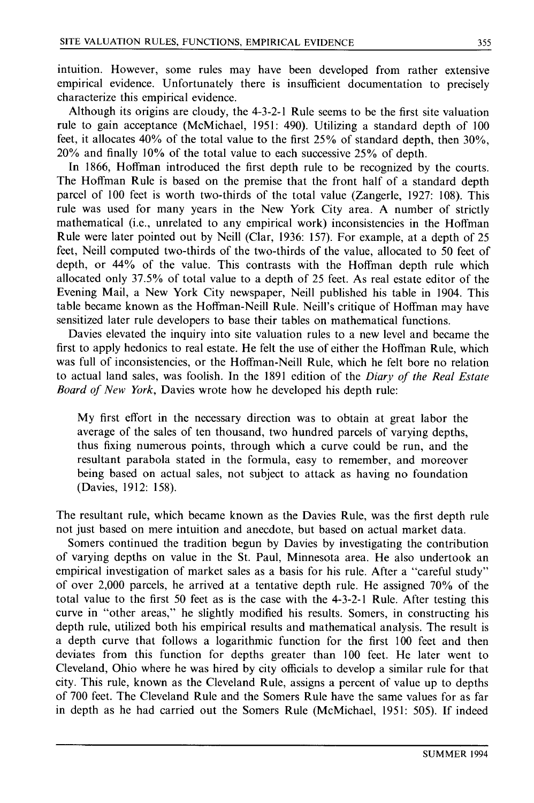intuition. However, some rules may have been developed from rather extensive empirical evidence. Unfortunately there is insufficient documentation to precisely characterize this empirical evidence.

Although its origins are cloudy, the 4-3-2-1 Rule seems to be the first site valuation rule to gain acceptance (McMichael, 1951: 490). Utilizing a standard depth of 100 feet, it allocates 40% of the total value to the first 25% of standard depth, then 30%, 20% and finally 10% of the total value to each successive 25% of depth.

In 1866, Hoffman introduced the first depth rule to be recognized by the courts. The Hoffman Rule is based on the premise that the front half of a standard depth parcel of 100 feet is worth two-thirds of the total value (Zangerle, 1927: 108). This rule was used for many years in the New York City area. A number of strictly mathematical (i.e., unrelated to any empirical work) inconsistencies in the Hoffman Rule were later pointed out by Neill (Clar, 1936: 157). For example, at a depth of 25 feet, Neill computed two-thirds of the two-thirds of the value, allocated to 50 feet of depth, or 44% of the value. This contrasts with the Hoffman depth rule which allocated only 37.5% of total value to a depth of 25 feet. As real estate editor of the Evening Mail, a New York City newspaper, Neill published his table in 1904. This table became known as the Hoffman-Neill Rule. Neill's critique of Hoffman may have sensitized later rule developers to base their tables on mathematical functions.

Davies elevated the inquiry into site valuation rules to a new level and became the first to apply hedonics to real estate. He felt the use of either the Hoffman Rule, which was full of inconsistencies, or the Hoffman-Neill Rule, which he felt bore no relation to actual land sales, was foolish. In the 1891 edition of the Diary of the Real Estate Board of New York, Davies wrote how he developed his depth rule:

My first effort in the necessary direction was to obtain at great labor the average of the sales of ten thousand, two hundred parcels of varying depths, thus fixing numerous points, through which a curve could be run, and the resultant parabola stated in the formula, easy to remember, and moreover being based on actual sales, not subject to attack as having no foundation (Davies, 1912: 158).

The resultant rule, which became known as the Davies Rule, was the first depth rule not just based on mere intuition and anecdote, but based on actual market data.

Somers continued the tradition begun by Davies by investigating the contribution of varying depths on value in the St. Paul, Minnesota area. He also undertook an empirical investigation of market sales as a basis for his rule. After a "careful study" of over 2,000 parcels, he arrived at a tentative depth rule. He assigned 70% of the total value to the first 50 feet as is the case with the 4-3-2-1 Rule. After testing this curve in "other areas," he slightly modified his results. Somers, in constructing his depth rule, utilized both his empirical results and mathematical analysis. The result is a depth curve that follows a logarithmic function for the first 100 feet and then deviates from this function for depths greater than 100 feet. He later went to Cleveland, Ohio where he was hired by city officials to develop a similar rule for that city. This rule, known as the Cleveland Rule, assigns a percent of value up to depths of 700 feet. The Cleveland Rule and the Somers Rule have the same values for as far in depth as he had carried out the Somers Rule (McMichael, 1951: 505). If indeed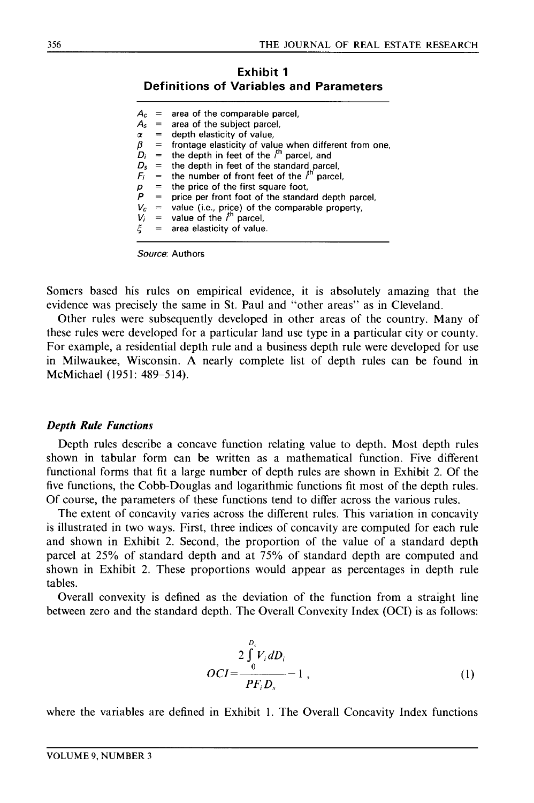|  | <b>Exhibit 1</b> |                                                |
|--|------------------|------------------------------------------------|
|  |                  | <b>Definitions of Variables and Parameters</b> |

|  | $A_c$ = area of the comparable parcel,                          |
|--|-----------------------------------------------------------------|
|  | $A_s$ = area of the subject parcel,                             |
|  | $\alpha$ = depth elasticity of value,                           |
|  | $\beta$ = frontage elasticity of value when different from one, |
|  | $D_i$ = the depth in feet of the $i^{\text{th}}$ parcel, and    |
|  | $D_s$ = the depth in feet of the standard parcel,               |
|  | $F_i$ = the number of front feet of the $i^{\text{th}}$ parcel. |
|  | $p =$ the price of the first square foot,                       |
|  | $P =$ price per front foot of the standard depth parcel,        |
|  | $V_c$ = value (i.e., price) of the comparable property,         |
|  | $V_i$ = value of the $i^{\text{th}}$ parcel,                    |
|  | $\xi$ = area elasticity of value.                               |
|  |                                                                 |

Source: Authors

Somers based his rules on empirical evidence, it is absolutely amazing that the evidence was precisely the same in St. Paul and "other areas" as in Cleveland.

Other rules were subsequently developed in other areas of the country. Many of these rules were developed for a particular land use type in a particular city or county. For example, a residential depth rule and a business depth rule were developed for use in Milwaukee, Wisconsin. A nearly complete list of depth rules can be found in McMichael (1951: 489-514).

#### **Depth Rule Functions**

Depth rules describe a concave function relating value to depth. Most depth rules shown in tabular form can be written as a mathematical function. Five different functional forms that fit a large number of depth rules are shown in Exhibit 2. Of the five functions, the Cobb-Douglas and logarithmic functions fit most of the depth rules. Of course, the parameters of these functions tend to differ across the various rules.

The extent of concavity varies across the different rules. This variation in concavity is illustrated in two ways. First, three indices of concavity are computed for each rule and shown in Exhibit 2. Second, the proportion of the value of a standard depth parcel at 25% of standard depth and at 75% of standard depth are computed and shown in Exhibit 2. These proportions would appear as percentages in depth rule tables.

Overall convexity is defined as the deviation of the function from a straight line between zero and the standard depth. The Overall Convexity Index (OCI) is as follows:

$$
OCI = \frac{2 \int_{0}^{B_s} V_i dD_i}{P F_i D_i} - 1 , \qquad (1)
$$

where the variables are defined in Exhibit 1. The Overall Concavity Index functions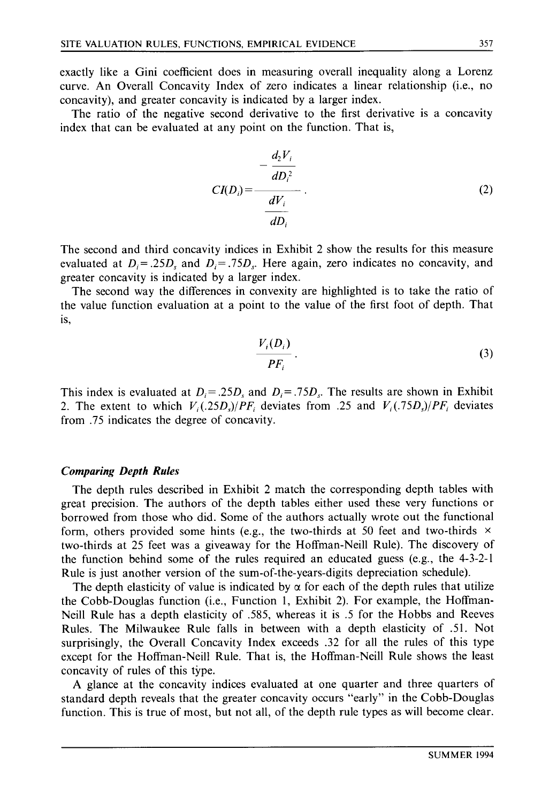exactly like a Gini coefficient does in measuring overall inequality along a Lorenz curve. An Overall Concavity Index of zero indicates a linear relationship (i.e., no concavity), and greater concavity is indicated by a larger index.

The ratio of the negative second derivative to the first derivative is a concavity index that can be evaluated at any point on the function. That is,

$$
CI(D_i) = \frac{-\frac{d_2 V_i}{d D_i^2}}{\frac{d V_i}{d D_i}}.
$$
\n(2)

The second and third concavity indices in Exhibit 2 show the results for this measure evaluated at  $D_i = .25D_s$  and  $D_i = .75D_s$ . Here again, zero indicates no concavity, and greater concavity is indicated by a larger index.

The second way the differences in convexity are highlighted is to take the ratio of the value function evaluation at a point to the value of the first foot of depth. That is,

$$
\frac{V_i(D_i)}{PF_i}.
$$
 (3)

This index is evaluated at  $D_i = .25D_s$  and  $D_i = .75D_s$ . The results are shown in Exhibit 2. The extent to which  $V_i(.25D_i)/PF_i$  deviates from .25 and  $V_i(.75D_i)/PF_i$  deviates from .75 indicates the degree of concavity.

# **Comparing Depth Rules**

The depth rules described in Exhibit 2 match the corresponding depth tables with great precision. The authors of the depth tables either used these very functions or borrowed from those who did. Some of the authors actually wrote out the functional form, others provided some hints (e.g., the two-thirds at 50 feet and two-thirds  $\times$ two-thirds at 25 feet was a giveaway for the Hoffman-Neill Rule). The discovery of the function behind some of the rules required an educated guess (e.g., the  $4-3-2-1$ ) Rule is just another version of the sum-of-the-years-digits depreciation schedule).

The depth elasticity of value is indicated by  $\alpha$  for each of the depth rules that utilize the Cobb-Douglas function (i.e., Function 1, Exhibit 2). For example, the Hoffman-Neill Rule has a depth elasticity of .585, whereas it is .5 for the Hobbs and Reeves Rules. The Milwaukee Rule falls in between with a depth elasticity of .51. Not surprisingly, the Overall Concavity Index exceeds .32 for all the rules of this type except for the Hoffman-Neill Rule. That is, the Hoffman-Neill Rule shows the least concavity of rules of this type.

A glance at the concavity indices evaluated at one quarter and three quarters of standard depth reveals that the greater concavity occurs "early" in the Cobb-Douglas function. This is true of most, but not all, of the depth rule types as will become clear.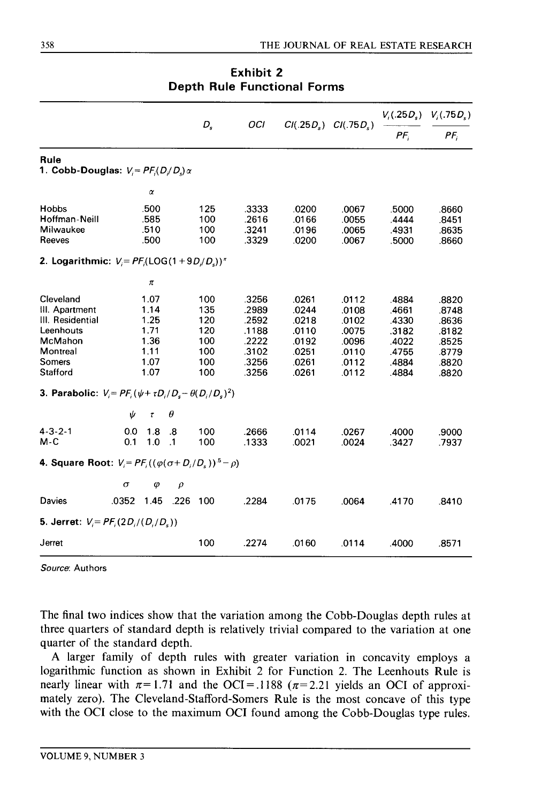|                                                                                                                                                                                                                   |                                                                                           |                |                                                             |                                                                               |                                                                               | $CI(.25D_s)$ $CI(.75D_s)$                                                     | $PF_i$                                                                        | $V_i(.25D_s)$ $V_i(.75D_s)$<br>$PF_i$                                         |
|-------------------------------------------------------------------------------------------------------------------------------------------------------------------------------------------------------------------|-------------------------------------------------------------------------------------------|----------------|-------------------------------------------------------------|-------------------------------------------------------------------------------|-------------------------------------------------------------------------------|-------------------------------------------------------------------------------|-------------------------------------------------------------------------------|-------------------------------------------------------------------------------|
|                                                                                                                                                                                                                   |                                                                                           |                | $D_{s}$                                                     | OCI                                                                           |                                                                               |                                                                               |                                                                               |                                                                               |
| Rule<br>1. Cobb-Douglas: $V_i = PF_i(D_i/D_s) \alpha$                                                                                                                                                             |                                                                                           |                |                                                             |                                                                               |                                                                               |                                                                               |                                                                               |                                                                               |
|                                                                                                                                                                                                                   | α                                                                                         |                |                                                             |                                                                               |                                                                               |                                                                               |                                                                               |                                                                               |
| Hobbs<br>Hoffman-Neill<br>Milwaukee<br>Reeves                                                                                                                                                                     | .500<br>.585<br>.510<br>.500                                                              |                | 125<br>100<br>100<br>100                                    | .3333<br>.2616<br>.3241<br>.3329                                              | .0200<br>.0166<br>.0196<br>.0200                                              | .0067<br>.0055<br>.0065<br>.0067                                              | .5000<br>.4444<br>.4931<br>.5000                                              | .8660<br>.8451<br>.8635<br>.8660                                              |
| <b>2. Logarithmic:</b> $V_i = PF_i(\text{LOG}(1 + 9D_i/D_s))^T$                                                                                                                                                   |                                                                                           |                |                                                             |                                                                               |                                                                               |                                                                               |                                                                               |                                                                               |
|                                                                                                                                                                                                                   | $\pi$                                                                                     |                |                                                             |                                                                               |                                                                               |                                                                               |                                                                               |                                                                               |
| Cleveland<br>III. Apartment<br>III. Residential<br>Leenhouts<br>McMahon<br>Montreal<br>Somers<br><b>Stafford</b><br><b>3. Parabolic:</b> $V_i = PF_i(\psi + \tau D_i/D_s - \theta(D_i/D_s)^2)$<br>$4 - 3 - 2 - 1$ | 1.07<br>1.14<br>1.25<br>1.71<br>1.36<br>1.11<br>1.07<br>1.07<br>ψ<br>$\tau$<br>0.0<br>1.8 | $\theta$<br>.8 | 100<br>135<br>120<br>120<br>100<br>100<br>100<br>100<br>100 | .3256<br>.2989<br>.2592<br>.1188<br>.2222<br>.3102<br>.3256<br>.3256<br>.2666 | .0261<br>.0244<br>.0218<br>.0110<br>.0192<br>.0251<br>.0261<br>.0261<br>.0114 | .0112<br>.0108<br>.0102<br>.0075<br>.0096<br>.0110<br>.0112<br>.0112<br>.0267 | .4884<br>.4661<br>.4330<br>.3182<br>.4022<br>.4755<br>.4884<br>.4884<br>.4000 | .8820<br>.8748<br>.8636<br>.8182<br>.8525<br>.8779<br>.8820<br>.8820<br>.9000 |
| M-C                                                                                                                                                                                                               | 0.1<br>1.0                                                                                | $\cdot$ 1      | 100                                                         | .1333                                                                         | .0021                                                                         | .0024                                                                         | .3427                                                                         | .7937                                                                         |
| 4. Square Root: $V_i = PF_i((\varphi(\sigma + D_i/D_s))^{5} - \rho)$                                                                                                                                              |                                                                                           |                |                                                             |                                                                               |                                                                               |                                                                               |                                                                               |                                                                               |
| σ                                                                                                                                                                                                                 |                                                                                           | φ<br>$\rho$    |                                                             |                                                                               |                                                                               |                                                                               |                                                                               |                                                                               |
| .0352<br>Davies                                                                                                                                                                                                   |                                                                                           | 1.45 .226      | 100                                                         | .2284                                                                         | .0175                                                                         | .0064                                                                         | .4170                                                                         | .8410                                                                         |
| 5. Jerret: $V_i = PF_i(2D_i/(D_i/D_s))$                                                                                                                                                                           |                                                                                           |                |                                                             |                                                                               |                                                                               |                                                                               |                                                                               |                                                                               |
| Jerret                                                                                                                                                                                                            |                                                                                           |                | 100                                                         | .2274                                                                         | .0160                                                                         | .0114                                                                         | .4000                                                                         | .8571                                                                         |

# **Exhibit 2 Depth Rule Functional Forms**

Source: Authors

The final two indices show that the variation among the Cobb-Douglas depth rules at three quarters of standard depth is relatively trivial compared to the variation at one quarter of the standard depth.

A larger family of depth rules with greater variation in concavity employs a logarithmic function as shown in Exhibit 2 for Function 2. The Leenhouts Rule is nearly linear with  $\pi$ = 1.71 and the OCI = .1188 ( $\pi$ = 2.21 yields an OCI of approximately zero). The Cleveland-Stafford-Somers Rule is the most concave of this type with the OCI close to the maximum OCI found among the Cobb-Douglas type rules.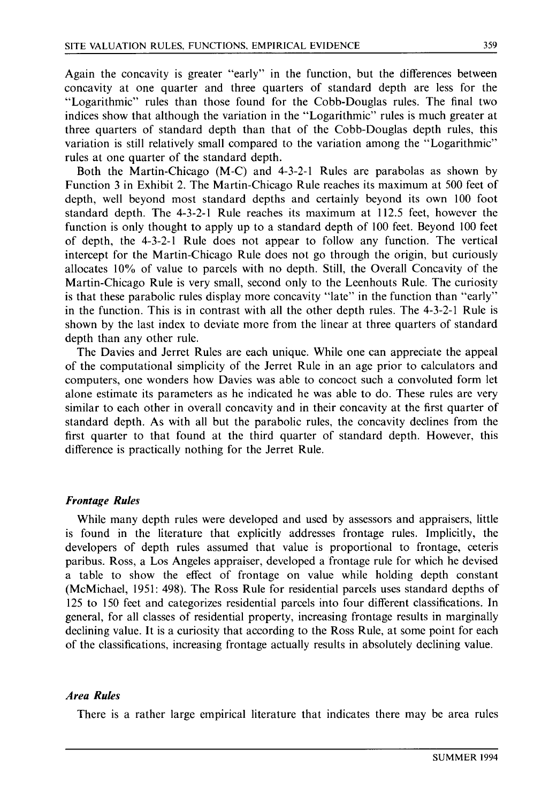Again the concavity is greater "early" in the function, but the differences between concavity at one quarter and three quarters of standard depth are less for the "Logarithmic" rules than those found for the Cobb-Douglas rules. The final two indices show that although the variation in the "Logarithmic" rules is much greater at three quarters of standard depth than that of the Cobb-Douglas depth rules, this variation is still relatively small compared to the variation among the "Logarithmic" rules at one quarter of the standard depth.

Both the Martin-Chicago (M-C) and 4-3-2-1 Rules are parabolas as shown by Function 3 in Exhibit 2. The Martin-Chicago Rule reaches its maximum at 500 feet of depth, well beyond most standard depths and certainly beyond its own 100 foot standard depth. The 4-3-2-1 Rule reaches its maximum at 112.5 feet, however the function is only thought to apply up to a standard depth of 100 feet. Beyond 100 feet of depth, the 4-3-2-1 Rule does not appear to follow any function. The vertical intercept for the Martin-Chicago Rule does not go through the origin, but curiously allocates 10% of value to parcels with no depth. Still, the Overall Concavity of the Martin-Chicago Rule is very small, second only to the Leenhouts Rule. The curiosity is that these parabolic rules display more concavity "late" in the function than "early" in the function. This is in contrast with all the other depth rules. The 4-3-2-1 Rule is shown by the last index to deviate more from the linear at three quarters of standard depth than any other rule.

The Davies and Jerret Rules are each unique. While one can appreciate the appeal of the computational simplicity of the Jerret Rule in an age prior to calculators and computers, one wonders how Davies was able to concoct such a convoluted form let alone estimate its parameters as he indicated he was able to do. These rules are very similar to each other in overall concavity and in their concavity at the first quarter of standard depth. As with all but the parabolic rules, the concavity declines from the first quarter to that found at the third quarter of standard depth. However, this difference is practically nothing for the Jerret Rule.

# **Frontage Rules**

While many depth rules were developed and used by assessors and appraisers, little is found in the literature that explicitly addresses frontage rules. Implicitly, the developers of depth rules assumed that value is proportional to frontage, ceteris paribus. Ross, a Los Angeles appraiser, developed a frontage rule for which he devised a table to show the effect of frontage on value while holding depth constant (McMichael, 1951; 498). The Ross Rule for residential parcels uses standard depths of 125 to 150 feet and categorizes residential parcels into four different classifications. In general, for all classes of residential property, increasing frontage results in marginally declining value. It is a curiosity that according to the Ross Rule, at some point for each of the classifications, increasing frontage actually results in absolutely declining value.

# **Area Rules**

There is a rather large empirical literature that indicates there may be area rules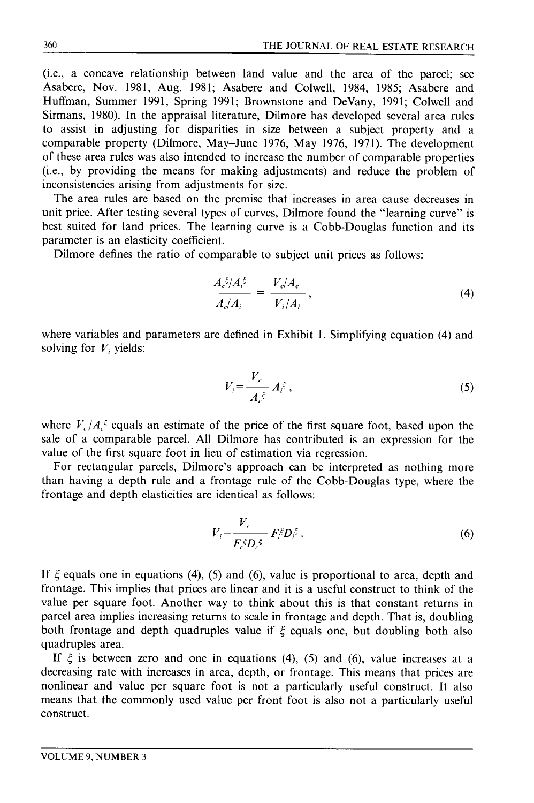(i.e., a concave relationship between land value and the area of the parcel; see Asabere, Nov. 1981, Aug. 1981; Asabere and Colwell, 1984, 1985; Asabere and Huffman, Summer 1991, Spring 1991; Brownstone and DeVany, 1991; Colwell and Sirmans, 1980). In the appraisal literature, Dilmore has developed several area rules to assist in adjusting for disparities in size between a subject property and a comparable property (Dilmore, May–June 1976, May 1976, 1971). The development of these area rules was also intended to increase the number of comparable properties (i.e., by providing the means for making adjustments) and reduce the problem of inconsistencies arising from adjustments for size.

The area rules are based on the premise that increases in area cause decreases in unit price. After testing several types of curves, Dilmore found the "learning curve" is best suited for land prices. The learning curve is a Cobb-Douglas function and its parameter is an elasticity coefficient.

Dilmore defines the ratio of comparable to subject unit prices as follows:

$$
\frac{A_c^{\xi}/A_i^{\xi}}{A_c/A_i} = \frac{V_c/A_c}{V_i/A_i},
$$
\n(4)

where variables and parameters are defined in Exhibit 1. Simplifying equation (4) and solving for  $V_i$  yields:

$$
V_i = \frac{V_c}{A_i^{\xi}} A_i^{\xi}, \qquad (5)
$$

where  $V_c/A_c^{\xi}$  equals an estimate of the price of the first square foot, based upon the sale of a comparable parcel. All Dilmore has contributed is an expression for the value of the first square foot in lieu of estimation via regression.

For rectangular parcels, Dilmore's approach can be interpreted as nothing more than having a depth rule and a frontage rule of the Cobb-Douglas type, where the frontage and depth elasticities are identical as follows:

$$
V_i = \frac{V_c}{F_c^{\xi} D_c^{\xi}} F_i^{\xi} D_i^{\xi} . \tag{6}
$$

If  $\xi$  equals one in equations (4), (5) and (6), value is proportional to area, depth and frontage. This implies that prices are linear and it is a useful construct to think of the value per square foot. Another way to think about this is that constant returns in parcel area implies increasing returns to scale in frontage and depth. That is, doubling both frontage and depth quadruples value if  $\xi$  equals one, but doubling both also quadruples area.

If  $\xi$  is between zero and one in equations (4), (5) and (6), value increases at a decreasing rate with increases in area, depth, or frontage. This means that prices are nonlinear and value per square foot is not a particularly useful construct. It also means that the commonly used value per front foot is also not a particularly useful construct.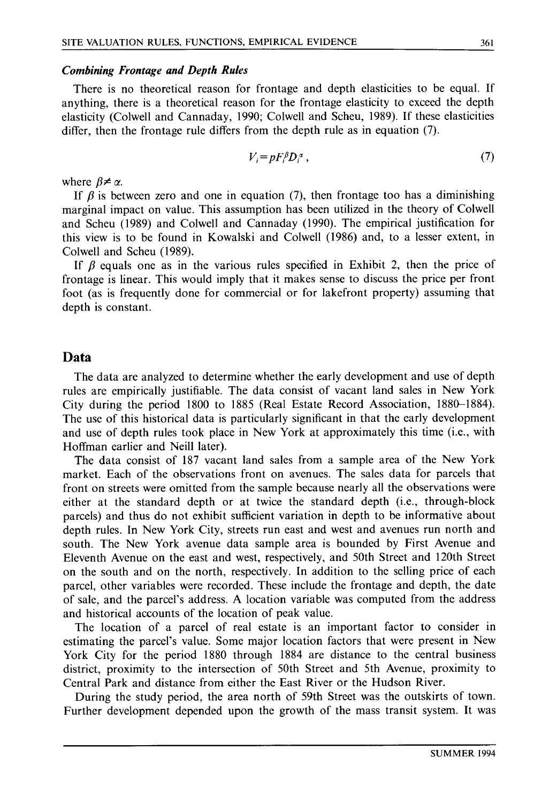# **Combining Frontage and Depth Rules**

There is no theoretical reason for frontage and depth elasticities to be equal. If anything, there is a theoretical reason for the frontage elasticity to exceed the depth elasticity (Colwell and Cannaday, 1990; Colwell and Scheu, 1989). If these elasticities differ, then the frontage rule differs from the depth rule as in equation (7).

$$
V_i = pF_i^{\beta}D_i^{\alpha} \,,\tag{7}
$$

where  $\beta \neq \alpha$ .

If  $\beta$  is between zero and one in equation (7), then frontage too has a diminishing marginal impact on value. This assumption has been utilized in the theory of Colwell and Scheu (1989) and Colwell and Cannaday (1990). The empirical justification for this view is to be found in Kowalski and Colwell (1986) and, to a lesser extent, in Colwell and Scheu (1989).

If  $\beta$  equals one as in the various rules specified in Exhibit 2, then the price of frontage is linear. This would imply that it makes sense to discuss the price per front foot (as is frequently done for commercial or for lakefront property) assuming that depth is constant.

# Data

The data are analyzed to determine whether the early development and use of depth rules are empirically justifiable. The data consist of vacant land sales in New York City during the period 1800 to 1885 (Real Estate Record Association, 1880–1884). The use of this historical data is particularly significant in that the early development and use of depth rules took place in New York at approximately this time (i.e., with Hoffman earlier and Neill later).

The data consist of 187 vacant land sales from a sample area of the New York market. Each of the observations front on avenues. The sales data for parcels that front on streets were omitted from the sample because nearly all the observations were either at the standard depth or at twice the standard depth (i.e., through-block parcels) and thus do not exhibit sufficient variation in depth to be informative about depth rules. In New York City, streets run east and west and avenues run north and south. The New York avenue data sample area is bounded by First Avenue and Eleventh Avenue on the east and west, respectively, and 50th Street and 120th Street on the south and on the north, respectively. In addition to the selling price of each parcel, other variables were recorded. These include the frontage and depth, the date of sale, and the parcel's address. A location variable was computed from the address and historical accounts of the location of peak value.

The location of a parcel of real estate is an important factor to consider in estimating the parcel's value. Some major location factors that were present in New York City for the period 1880 through 1884 are distance to the central business district, proximity to the intersection of 50th Street and 5th Avenue, proximity to Central Park and distance from either the East River or the Hudson River.

During the study period, the area north of 59th Street was the outskirts of town. Further development depended upon the growth of the mass transit system. It was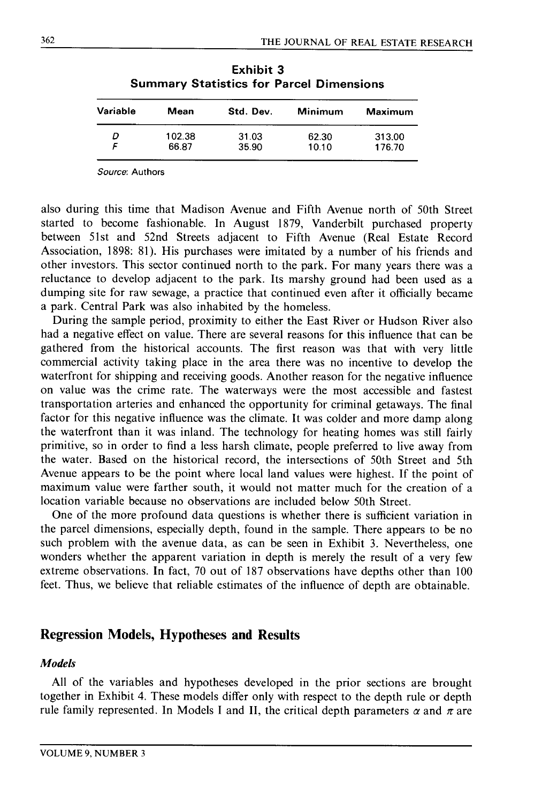| Variable | Mean   | Std. Dev. | <b>Minimum</b> | Maximum |
|----------|--------|-----------|----------------|---------|
| D        | 102.38 | 31.03     | 62.30          | 313.00  |
|          | 66.87  | 35.90     | 10.10          | 176.70  |

Exhibit 3 **Summary Statistics for Parcel Dimensions** 

Source: Authors

also during this time that Madison Avenue and Fifth Avenue north of 50th Street started to become fashionable. In August 1879, Vanderbilt purchased property between 51st and 52nd Streets adjacent to Fifth Avenue (Real Estate Record Association, 1898: 81). His purchases were imitated by a number of his friends and other investors. This sector continued north to the park. For many years there was a reluctance to develop adjacent to the park. Its marshy ground had been used as a dumping site for raw sewage, a practice that continued even after it officially became a park. Central Park was also inhabited by the homeless.

During the sample period, proximity to either the East River or Hudson River also had a negative effect on value. There are several reasons for this influence that can be gathered from the historical accounts. The first reason was that with very little commercial activity taking place in the area there was no incentive to develop the waterfront for shipping and receiving goods. Another reason for the negative influence on value was the crime rate. The waterways were the most accessible and fastest transportation arteries and enhanced the opportunity for criminal getaways. The final factor for this negative influence was the climate. It was colder and more damp along the waterfront than it was inland. The technology for heating homes was still fairly primitive, so in order to find a less harsh climate, people preferred to live away from the water. Based on the historical record, the intersections of 50th Street and 5th Avenue appears to be the point where local land values were highest. If the point of maximum value were farther south, it would not matter much for the creation of a location variable because no observations are included below 50th Street.

One of the more profound data questions is whether there is sufficient variation in the parcel dimensions, especially depth, found in the sample. There appears to be no such problem with the avenue data, as can be seen in Exhibit 3. Nevertheless, one wonders whether the apparent variation in depth is merely the result of a very few extreme observations. In fact, 70 out of 187 observations have depths other than 100 feet. Thus, we believe that reliable estimates of the influence of depth are obtainable.

# **Regression Models, Hypotheses and Results**

# **Models**

All of the variables and hypotheses developed in the prior sections are brought together in Exhibit 4. These models differ only with respect to the depth rule or depth rule family represented. In Models I and II, the critical depth parameters  $\alpha$  and  $\pi$  are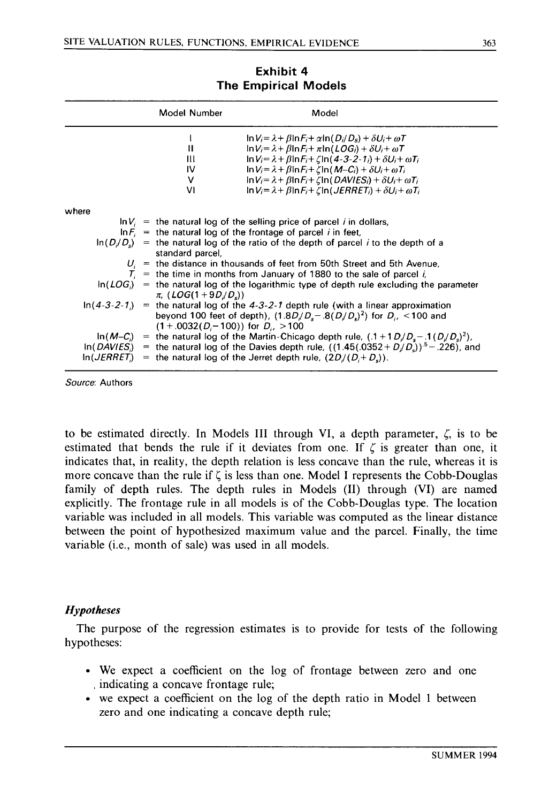|       | Model Number                       | Model                                                                                              |
|-------|------------------------------------|----------------------------------------------------------------------------------------------------|
|       |                                    |                                                                                                    |
|       |                                    | $\ln V_i = \lambda + \beta \ln F_i + \alpha \ln (D_i/D_s) + \delta U_i + \omega T$                 |
|       | $\mathbf{u}$                       | $\ln V_i = \lambda + \beta \ln F_i + \pi \ln (LOG_i) + \delta U_i + \omega T$                      |
|       | ш                                  | $\ln V_i = \lambda + \beta \ln F_i + \zeta \ln (4 - 3 - 2 - 1) + \delta U_i + \omega T_i$          |
|       | ı٧                                 | $\ln V_i = \lambda + \beta \ln F_i + \zeta \ln (M - C_i) + \delta U_i + \omega T_i$                |
|       | v                                  | $\ln V_i = \lambda + \beta \ln F_i + \zeta \ln (DAVIES_i) + \delta U_i + \omega T_i$               |
|       | ٧ı                                 | $\ln V_i = \lambda + \beta \ln F_i + \zeta \ln(JERRET_i) + \delta U_i + \omega T_i$                |
|       |                                    |                                                                                                    |
| where |                                    |                                                                                                    |
|       |                                    | $\ln V_i$ = the natural log of the selling price of parcel <i>i</i> in dollars,                    |
|       |                                    | $ln F_i$ = the natural log of the frontage of parcel <i>i</i> in feet,                             |
|       |                                    | $\ln(D/D_s)$ = the natural log of the ratio of the depth of parcel <i>i</i> to the depth of a      |
|       | standard parcel.                   |                                                                                                    |
|       |                                    | $U_i$ = the distance in thousands of feet from 50th Street and 5th Avenue,                         |
|       |                                    | $T_i$ = the time in months from January of 1880 to the sale of parcel i,                           |
|       |                                    | $\ln (LOG_i)$ = the natural log of the logarithmic type of depth rule excluding the parameter      |
|       | $\pi$ , (LOG(1+9D/D))              |                                                                                                    |
|       |                                    | $\ln(4-3-2-1)$ = the natural log of the 4-3-2-1 depth rule (with a linear approximation            |
|       |                                    | beyond 100 feet of depth), $(1.8D/Ds - .8(D/Ds)2)$ for $Di$ , <100 and                             |
|       | $(1+.0032(Di-100))$ for $Di > 100$ |                                                                                                    |
|       |                                    | $\ln(M-C_i)$ = the natural log of the Martin-Chicago depth rule, $(1+1D_i/D_s - 1(D_i/D_s)^2)$ ,   |
|       |                                    | $\ln(DAVIES)$ = the natural log of the Davies depth rule, $((1.45(.0352 + D/L))^{5} - .226)$ , and |
|       |                                    | $\ln(JERRET_i)$ = the natural log of the Jerret depth rule, $(2D/(D_i+D_i))$ .                     |

**Exhibit 4 The Empirical Models** 

Source: Authors

to be estimated directly. In Models III through VI, a depth parameter,  $\zeta$ , is to be estimated that bends the rule if it deviates from one. If  $\zeta$  is greater than one, it indicates that, in reality, the depth relation is less concave than the rule, whereas it is more concave than the rule if  $\zeta$  is less than one. Model I represents the Cobb-Douglas family of depth rules. The depth rules in Models (II) through (VI) are named explicitly. The frontage rule in all models is of the Cobb-Douglas type. The location variable was included in all models. This variable was computed as the linear distance between the point of hypothesized maximum value and the parcel. Finally, the time variable (i.e., month of sale) was used in all models.

# **Hypotheses**

The purpose of the regression estimates is to provide for tests of the following hypotheses:

- We expect a coefficient on the log of frontage between zero and one indicating a concave frontage rule;
- we expect a coefficient on the log of the depth ratio in Model 1 between zero and one indicating a concave depth rule;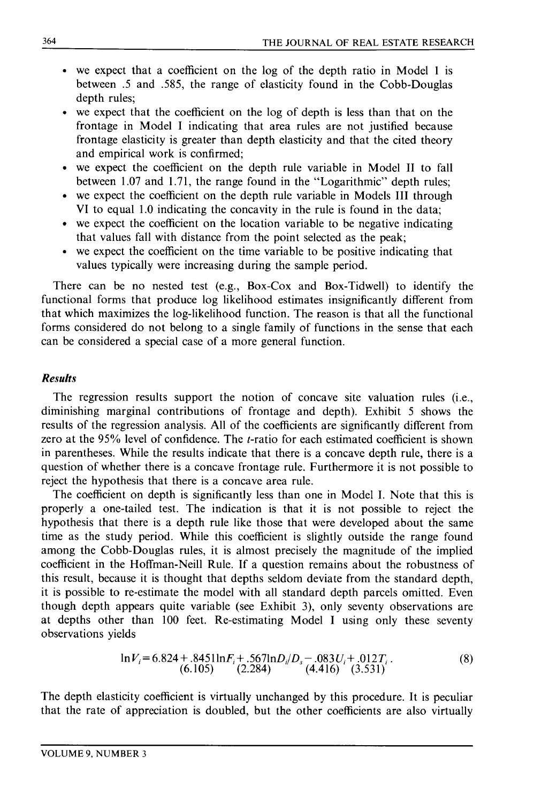- we expect that a coefficient on the log of the depth ratio in Model 1 is between .5 and .585, the range of elasticity found in the Cobb-Douglas depth rules:
- we expect that the coefficient on the log of depth is less than that on the frontage in Model I indicating that area rules are not justified because frontage elasticity is greater than depth elasticity and that the cited theory and empirical work is confirmed;
- we expect the coefficient on the depth rule variable in Model II to fall between 1.07 and 1.71, the range found in the "Logarithmic" depth rules;
- we expect the coefficient on the depth rule variable in Models III through VI to equal 1.0 indicating the concavity in the rule is found in the data;
- we expect the coefficient on the location variable to be negative indicating that values fall with distance from the point selected as the peak;
- we expect the coefficient on the time variable to be positive indicating that values typically were increasing during the sample period.

There can be no nested test (e.g., Box-Cox and Box-Tidwell) to identify the functional forms that produce log likelihood estimates insignificantly different from that which maximizes the log-likelihood function. The reason is that all the functional forms considered do not belong to a single family of functions in the sense that each can be considered a special case of a more general function.

# **Results**

The regression results support the notion of concave site valuation rules (i.e., diminishing marginal contributions of frontage and depth). Exhibit 5 shows the results of the regression analysis. All of the coefficients are significantly different from zero at the 95% level of confidence. The *t*-ratio for each estimated coefficient is shown in parentheses. While the results indicate that there is a concave depth rule, there is a question of whether there is a concave frontage rule. Furthermore it is not possible to reject the hypothesis that there is a concave area rule.

The coefficient on depth is significantly less than one in Model I. Note that this is properly a one-tailed test. The indication is that it is not possible to reject the hypothesis that there is a depth rule like those that were developed about the same time as the study period. While this coefficient is slightly outside the range found among the Cobb-Douglas rules, it is almost precisely the magnitude of the implied coefficient in the Hoffman-Neill Rule. If a question remains about the robustness of this result, because it is thought that depths seldom deviate from the standard depth, it is possible to re-estimate the model with all standard depth parcels omitted. Even though depth appears quite variable (see Exhibit 3), only seventy observations are at depths other than 100 feet. Re-estimating Model I using only these seventy observations yields

$$
\ln V_i = 6.824 + .8451 \ln F_i + .567 \ln D_i/D_s - .083 U_i + .012 T_i.
$$
  
(6.105) (2.284) (4.416) (3.531) (8)

The depth elasticity coefficient is virtually unchanged by this procedure. It is peculiar that the rate of appreciation is doubled, but the other coefficients are also virtually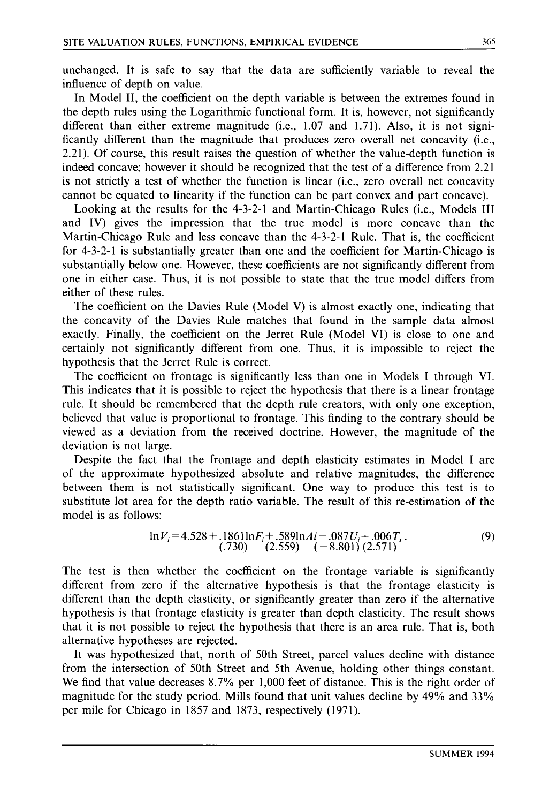unchanged. It is safe to say that the data are sufficiently variable to reveal the influence of depth on value.

In Model II, the coefficient on the depth variable is between the extremes found in the depth rules using the Logarithmic functional form. It is, however, not significantly different than either extreme magnitude (i.e., 1.07 and 1.71). Also, it is not significantly different than the magnitude that produces zero overall net concavity (i.e., 2.21). Of course, this result raises the question of whether the value-depth function is indeed concave; however it should be recognized that the test of a difference from 2.21 is not strictly a test of whether the function is linear (i.e., zero overall net concavity cannot be equated to linearity if the function can be part convex and part concave).

Looking at the results for the 4-3-2-1 and Martin-Chicago Rules (i.e., Models III and IV) gives the impression that the true model is more concave than the Martin-Chicago Rule and less concave than the 4-3-2-1 Rule. That is, the coefficient for 4-3-2-1 is substantially greater than one and the coefficient for Martin-Chicago is substantially below one. However, these coefficients are not significantly different from one in either case. Thus, it is not possible to state that the true model differs from either of these rules.

The coefficient on the Davies Rule (Model V) is almost exactly one, indicating that the concavity of the Davies Rule matches that found in the sample data almost exactly. Finally, the coefficient on the Jerret Rule (Model VI) is close to one and certainly not significantly different from one. Thus, it is impossible to reject the hypothesis that the Jerret Rule is correct.

The coefficient on frontage is significantly less than one in Models I through VI. This indicates that it is possible to reject the hypothesis that there is a linear frontage rule. It should be remembered that the depth rule creators, with only one exception, believed that value is proportional to frontage. This finding to the contrary should be viewed as a deviation from the received doctrine. However, the magnitude of the deviation is not large.

Despite the fact that the frontage and depth elasticity estimates in Model I are of the approximate hypothesized absolute and relative magnitudes, the difference between them is not statistically significant. One way to produce this test is to substitute lot area for the depth ratio variable. The result of this re-estimation of the model is as follows:

$$
\ln V_i = 4.528 + .1861 \ln F_i + .589 \ln Ai - .087 U_i + .006 T_i .
$$
  
(730) (2.559) (-8.801) (2.571) (9)

The test is then whether the coefficient on the frontage variable is significantly different from zero if the alternative hypothesis is that the frontage elasticity is different than the depth elasticity, or significantly greater than zero if the alternative hypothesis is that frontage elasticity is greater than depth elasticity. The result shows that it is not possible to reject the hypothesis that there is an area rule. That is, both alternative hypotheses are rejected.

It was hypothesized that, north of 50th Street, parcel values decline with distance from the intersection of 50th Street and 5th Avenue, holding other things constant. We find that value decreases 8.7% per 1,000 feet of distance. This is the right order of magnitude for the study period. Mills found that unit values decline by 49% and 33% per mile for Chicago in 1857 and 1873, respectively (1971).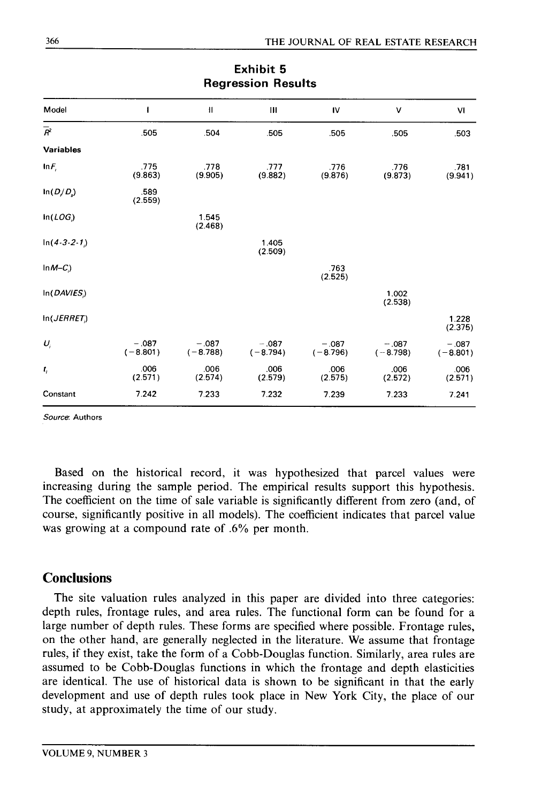| ı                     | $\mathbf{H}$          | Ш                     | IV                    | $\vee$                | VI                    |
|-----------------------|-----------------------|-----------------------|-----------------------|-----------------------|-----------------------|
| .505                  | .504                  | .505                  | .505                  | .505                  | .503                  |
|                       |                       |                       |                       |                       |                       |
| .775<br>(9.863)       | .778<br>(9.905)       | .777<br>(9.882)       | .776<br>(9.876)       | .776<br>(9.873)       | .781<br>(9.941)       |
| .589<br>(2.559)       |                       |                       |                       |                       |                       |
|                       | 1.545<br>(2.468)      |                       |                       |                       |                       |
|                       |                       | 1.405<br>(2.509)      |                       |                       |                       |
|                       |                       |                       | .763<br>(2.525)       |                       |                       |
|                       |                       |                       |                       | 1.002<br>(2.538)      |                       |
|                       |                       |                       |                       |                       | 1.228<br>(2.375)      |
| $-.087$<br>$(-8.801)$ | $-.087$<br>$(-8.788)$ | $-.087$<br>$(-8.794)$ | $-.087$<br>$(-8.796)$ | $-.087$<br>$(-8.798)$ | $-.087$<br>$(-8.801)$ |
| .006<br>(2.571)       | .006<br>(2.574)       | .006<br>(2.579)       | .006<br>(2.575)       | .006<br>(2.572)       | .006<br>(2.571)       |
| 7.242                 | 7.233                 | 7.232                 | 7.239                 | 7.233                 | 7.241                 |
|                       |                       |                       |                       |                       |                       |

# **Exhibit 5 Regression Results**

Source: Authors

Based on the historical record, it was hypothesized that parcel values were increasing during the sample period. The empirical results support this hypothesis. The coefficient on the time of sale variable is significantly different from zero (and, of course, significantly positive in all models). The coefficient indicates that parcel value was growing at a compound rate of .6% per month.

# **Conclusions**

The site valuation rules analyzed in this paper are divided into three categories: depth rules, frontage rules, and area rules. The functional form can be found for a large number of depth rules. These forms are specified where possible. Frontage rules, on the other hand, are generally neglected in the literature. We assume that frontage rules, if they exist, take the form of a Cobb-Douglas function. Similarly, area rules are assumed to be Cobb-Douglas functions in which the frontage and depth elasticities are identical. The use of historical data is shown to be significant in that the early development and use of depth rules took place in New York City, the place of our study, at approximately the time of our study.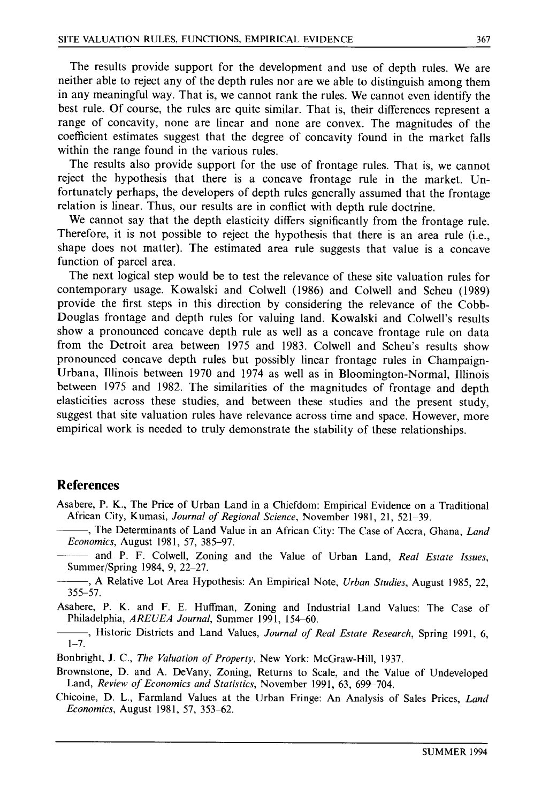The results provide support for the development and use of depth rules. We are neither able to reject any of the depth rules nor are we able to distinguish among them in any meaningful way. That is, we cannot rank the rules. We cannot even identify the best rule. Of course, the rules are quite similar. That is, their differences represent a range of concavity, none are linear and none are convex. The magnitudes of the coefficient estimates suggest that the degree of concavity found in the market falls within the range found in the various rules.

The results also provide support for the use of frontage rules. That is, we cannot reject the hypothesis that there is a concave frontage rule in the market. Unfortunately perhaps, the developers of depth rules generally assumed that the frontage relation is linear. Thus, our results are in conflict with depth rule doctrine.

We cannot say that the depth elasticity differs significantly from the frontage rule. Therefore, it is not possible to reject the hypothesis that there is an area rule (i.e., shape does not matter). The estimated area rule suggests that value is a concave function of parcel area.

The next logical step would be to test the relevance of these site valuation rules for contemporary usage. Kowalski and Colwell (1986) and Colwell and Scheu (1989) provide the first steps in this direction by considering the relevance of the Cobb-Douglas frontage and depth rules for valuing land. Kowalski and Colwell's results show a pronounced concave depth rule as well as a concave frontage rule on data from the Detroit area between 1975 and 1983. Colwell and Scheu's results show pronounced concave depth rules but possibly linear frontage rules in Champaign-Urbana, Illinois between 1970 and 1974 as well as in Bloomington-Normal, Illinois between 1975 and 1982. The similarities of the magnitudes of frontage and depth elasticities across these studies, and between these studies and the present study, suggest that site valuation rules have relevance across time and space. However, more empirical work is needed to truly demonstrate the stability of these relationships.

# **References**

- Asabere, P. K., The Price of Urban Land in a Chiefdom: Empirical Evidence on a Traditional African City, Kumasi, Journal of Regional Science, November 1981, 21, 521-39.
- -. The Determinants of Land Value in an African City: The Case of Accra, Ghana, Land Economics, August 1981, 57, 385-97.
- and P. F. Colwell, Zoning and the Value of Urban Land, Real Estate Issues, Summer/Spring 1984, 9, 22–27.
- -, A Relative Lot Area Hypothesis: An Empirical Note, Urban Studies, August 1985, 22,  $355 - 57$ .

Asabere, P. K. and F. E. Huffman, Zoning and Industrial Land Values: The Case of Philadelphia, AREUEA Journal, Summer 1991, 154–60.

- -, Historic Districts and Land Values, Journal of Real Estate Research, Spring 1991, 6,  $1 - 7$ .
- Bonbright, J. C., The Valuation of Property, New York: McGraw-Hill, 1937.
- Brownstone, D. and A. DeVany, Zoning, Returns to Scale, and the Value of Undeveloped Land, Review of Economics and Statistics, November 1991, 63, 699-704.
- Chicoine, D. L., Farmland Values at the Urban Fringe: An Analysis of Sales Prices, Land *Economics*, August 1981, 57, 353-62.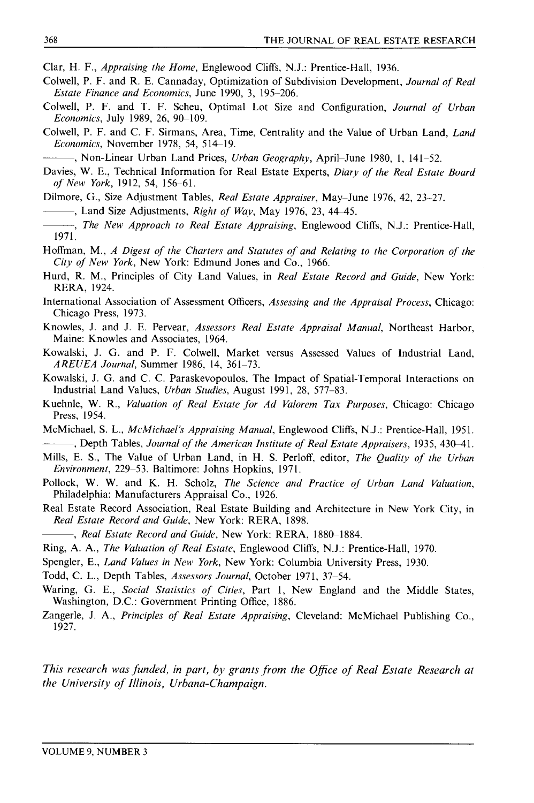Clar, H. F., Appraising the Home, Englewood Cliffs, N.J.: Prentice-Hall, 1936.

- Colwell, P. F. and R. E. Cannaday, Optimization of Subdivision Development, Journal of Real Estate Finance and Economics, June 1990, 3, 195-206.
- Colwell, P. F. and T. F. Scheu, Optimal Lot Size and Configuration, Journal of Urban Economics, July 1989, 26, 90-109.
- Colwell, P. F. and C. F. Sirmans, Area, Time, Centrality and the Value of Urban Land, Land *Economics*, November 1978, 54, 514-19.
- -, Non-Linear Urban Land Prices, Urban Geography, April-June 1980, 1, 141-52.
- Davies, W. E., Technical Information for Real Estate Experts, Diary of the Real Estate Board of New York, 1912, 54, 156-61.
- Dilmore, G., Size Adjustment Tables, Real Estate Appraiser, May-June 1976, 42, 23-27.
- -, Land Size Adjustments, *Right of Way*, May 1976, 23, 44–45.
- -, The New Approach to Real Estate Appraising, Englewood Cliffs, N.J.: Prentice-Hall, 1971.
- Hoffman, M., A Digest of the Charters and Statutes of and Relating to the Corporation of the City of New York, New York: Edmund Jones and Co., 1966.
- Hurd, R. M., Principles of City Land Values, in Real Estate Record and Guide, New York: RERA, 1924.
- International Association of Assessment Officers, Assessing and the Appraisal Process, Chicago: Chicago Press, 1973.
- Knowles, J. and J. E. Pervear, Assessors Real Estate Appraisal Manual, Northeast Harbor, Maine: Knowles and Associates, 1964.
- Kowalski, J. G. and P. F. Colwell, Market versus Assessed Values of Industrial Land, AREUEA Journal, Summer 1986, 14, 361-73.
- Kowalski, J. G. and C. C. Paraskevopoulos, The Impact of Spatial-Temporal Interactions on Industrial Land Values, Urban Studies, August 1991, 28, 577-83.
- Kuehnle, W. R., Valuation of Real Estate for Ad Valorem Tax Purposes, Chicago: Chicago Press, 1954.
- McMichael, S. L., McMichael's Appraising Manual, Englewood Cliffs, N.J.: Prentice-Hall, 1951. -, Depth Tables, Journal of the American Institute of Real Estate Appraisers, 1935, 430-41.
- Mills, E. S., The Value of Urban Land, in H. S. Perloff, editor, The Quality of the Urban *Environment*, 229–53. Baltimore: Johns Hopkins, 1971.
- Pollock, W. W. and K. H. Scholz, The Science and Practice of Urban Land Valuation, Philadelphia: Manufacturers Appraisal Co., 1926.
- Real Estate Record Association, Real Estate Building and Architecture in New York City, in Real Estate Record and Guide, New York: RERA, 1898.
	- -, Real Estate Record and Guide, New York: RERA, 1880-1884.
- Ring, A. A., The Valuation of Real Estate, Englewood Cliffs, N.J.: Prentice-Hall, 1970.
- Spengler, E., Land Values in New York, New York: Columbia University Press, 1930.
- Todd, C. L., Depth Tables, Assessors Journal, October 1971, 37–54.
- Waring, G. E., Social Statistics of Cities, Part 1, New England and the Middle States, Washington, D.C.: Government Printing Office, 1886.
- Zangerle, J. A., Principles of Real Estate Appraising, Cleveland: McMichael Publishing Co., 1927.

This research was funded, in part, by grants from the Office of Real Estate Research at the University of Illinois, Urbana-Champaign.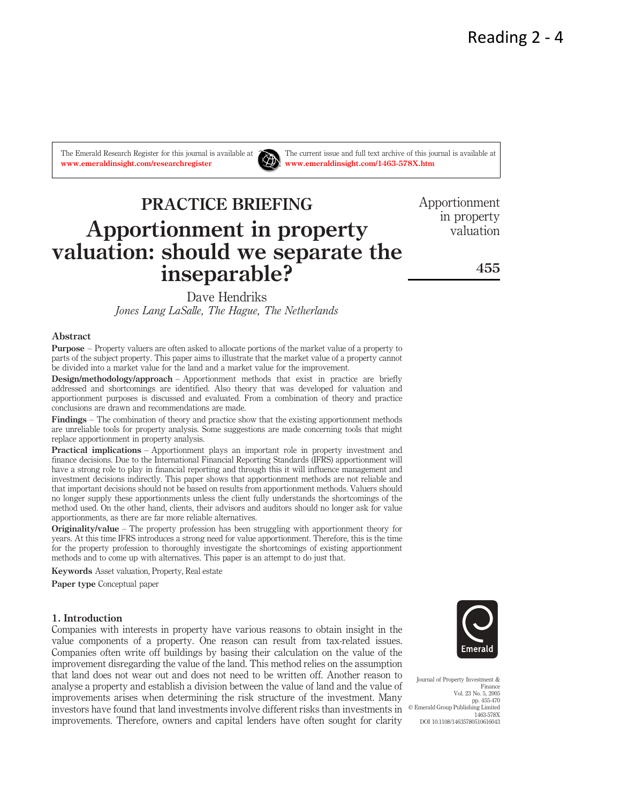The Emerald Research Register for this journal is available at The current issue and full text archive of this journal is available at <www.emeraldinsight.com/researchregister><www.emeraldinsight.com/1463-578X.htm>



# PRACTICE BRIEFING Apportionment in property valuation: should we separate the inseparable?

Dave Hendriks Jones Lang LaSalle, The Hague, The Netherlands

# Abstract

Purpose – Property valuers are often asked to allocate portions of the market value of a property to parts of the subject property. This paper aims to illustrate that the market value of a property cannot be divided into a market value for the land and a market value for the improvement.

Design/methodology/approach – Apportionment methods that exist in practice are briefly addressed and shortcomings are identified. Also theory that was developed for valuation and apportionment purposes is discussed and evaluated. From a combination of theory and practice conclusions are drawn and recommendations are made.

Findings – The combination of theory and practice show that the existing apportionment methods are unreliable tools for property analysis. Some suggestions are made concerning tools that might replace apportionment in property analysis.

Practical implications – Apportionment plays an important role in property investment and finance decisions. Due to the International Financial Reporting Standards (IFRS) apportionment will have a strong role to play in financial reporting and through this it will influence management and investment decisions indirectly. This paper shows that apportionment methods are not reliable and that important decisions should not be based on results from apportionment methods. Valuers should no longer supply these apportionments unless the client fully understands the shortcomings of the method used. On the other hand, clients, their advisors and auditors should no longer ask for value apportionments, as there are far more reliable alternatives.

Originality/value – The property profession has been struggling with apportionment theory for years. At this time IFRS introduces a strong need for value apportionment. Therefore, this is the time for the property profession to thoroughly investigate the shortcomings of existing apportionment methods and to come up with alternatives. This paper is an attempt to do just that.

Keywords Asset valuation, Property, Real estate

Paper type Conceptual paper

# 1. Introduction

Companies with interests in property have various reasons to obtain insight in the value components of a property. One reason can result from tax-related issues. Companies often write off buildings by basing their calculation on the value of the improvement disregarding the value of the land. This method relies on the assumption that land does not wear out and does not need to be written off. Another reason to analyse a property and establish a division between the value of land and the value of improvements arises when determining the risk structure of the investment. Many investors have found that land investments involve different risks than investments in improvements. Therefore, owners and capital lenders have often sought for clarity



Journal of Property Investment & Finance Vol. 23 No. 5, 2005 pp. 455-470  $\degree$  Emerald Group Publishing Limited 1463-578X DOI 10.1108/14635780510616043

Apportionment in property valuation

455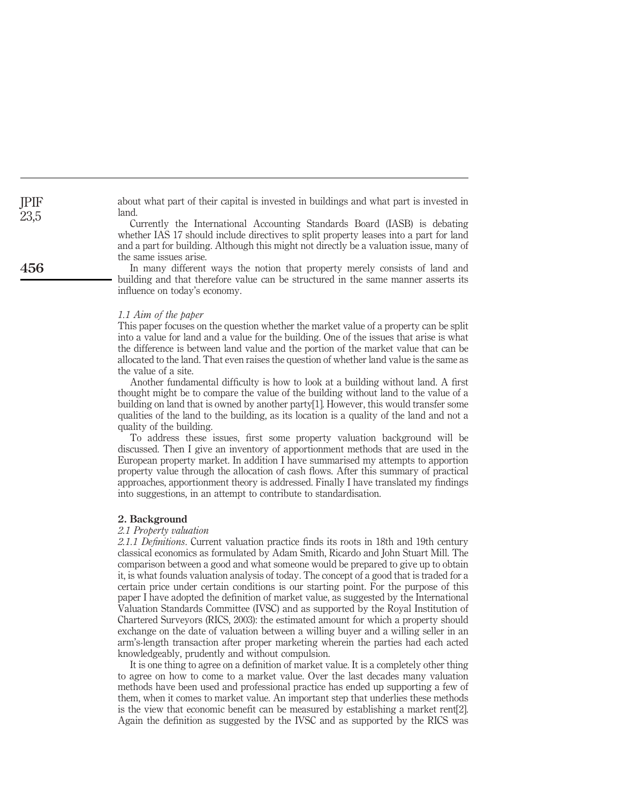about what part of their capital is invested in buildings and what part is invested in land.

Currently the International Accounting Standards Board (IASB) is debating whether IAS 17 should include directives to split property leases into a part for land and a part for building. Although this might not directly be a valuation issue, many of the same issues arise.

In many different ways the notion that property merely consists of land and building and that therefore value can be structured in the same manner asserts its influence on today's economy.

#### 1.1 Aim of the paper

This paper focuses on the question whether the market value of a property can be split into a value for land and a value for the building. One of the issues that arise is what the difference is between land value and the portion of the market value that can be allocated to the land. That even raises the question of whether land value is the same as the value of a site.

Another fundamental difficulty is how to look at a building without land. A first thought might be to compare the value of the building without land to the value of a building on land that is owned by another party[1]. However, this would transfer some qualities of the land to the building, as its location is a quality of the land and not a quality of the building.

To address these issues, first some property valuation background will be discussed. Then I give an inventory of apportionment methods that are used in the European property market. In addition I have summarised my attempts to apportion property value through the allocation of cash flows. After this summary of practical approaches, apportionment theory is addressed. Finally I have translated my findings into suggestions, in an attempt to contribute to standardisation.

# 2. Background

# 2.1 Property valuation

2.1.1 Definitions. Current valuation practice finds its roots in 18th and 19th century classical economics as formulated by Adam Smith, Ricardo and John Stuart Mill. The comparison between a good and what someone would be prepared to give up to obtain it, is what founds valuation analysis of today. The concept of a good that is traded for a certain price under certain conditions is our starting point. For the purpose of this paper I have adopted the definition of market value, as suggested by the International Valuation Standards Committee (IVSC) and as supported by the Royal Institution of Chartered Surveyors (RICS, 2003): the estimated amount for which a property should exchange on the date of valuation between a willing buyer and a willing seller in an arm's-length transaction after proper marketing wherein the parties had each acted knowledgeably, prudently and without compulsion.

It is one thing to agree on a definition of market value. It is a completely other thing to agree on how to come to a market value. Over the last decades many valuation methods have been used and professional practice has ended up supporting a few of them, when it comes to market value. An important step that underlies these methods is the view that economic benefit can be measured by establishing a market rent[2]. Again the definition as suggested by the IVSC and as supported by the RICS was

456

JPIF 23,5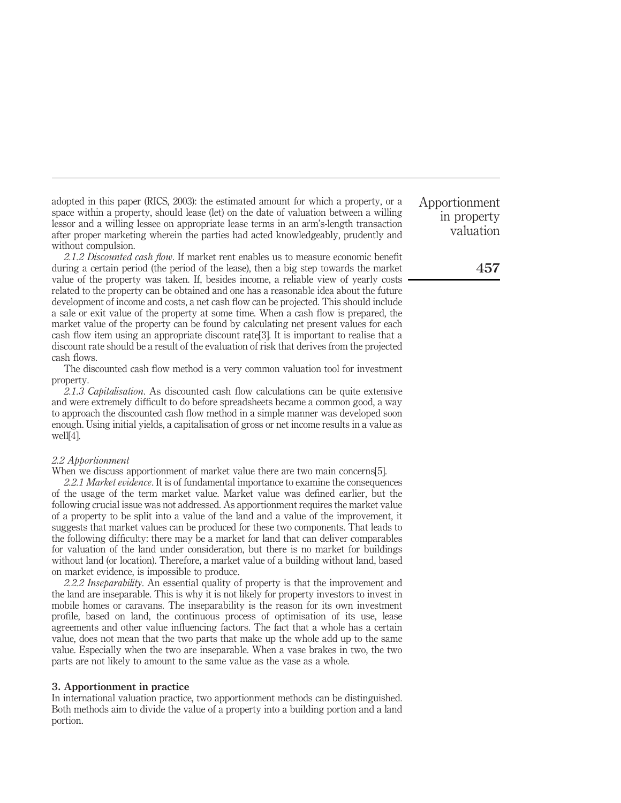adopted in this paper (RICS, 2003): the estimated amount for which a property, or a space within a property, should lease (let) on the date of valuation between a willing lessor and a willing lessee on appropriate lease terms in an arm's-length transaction after proper marketing wherein the parties had acted knowledgeably, prudently and without compulsion.

2.1.2 Discounted cash flow. If market rent enables us to measure economic benefit during a certain period (the period of the lease), then a big step towards the market value of the property was taken. If, besides income, a reliable view of yearly costs related to the property can be obtained and one has a reasonable idea about the future development of income and costs, a net cash flow can be projected. This should include a sale or exit value of the property at some time. When a cash flow is prepared, the market value of the property can be found by calculating net present values for each cash flow item using an appropriate discount rate[3]. It is important to realise that a discount rate should be a result of the evaluation of risk that derives from the projected cash flows.

The discounted cash flow method is a very common valuation tool for investment property.

2.1.3 Capitalisation. As discounted cash flow calculations can be quite extensive and were extremely difficult to do before spreadsheets became a common good, a way to approach the discounted cash flow method in a simple manner was developed soon enough. Using initial yields, a capitalisation of gross or net income results in a value as well[4].

# 2.2 Apportionment

When we discuss apportionment of market value there are two main concerns[5].

2.2.1 Market evidence. It is of fundamental importance to examine the consequences of the usage of the term market value. Market value was defined earlier, but the following crucial issue was not addressed. As apportionment requires the market value of a property to be split into a value of the land and a value of the improvement, it suggests that market values can be produced for these two components. That leads to the following difficulty: there may be a market for land that can deliver comparables for valuation of the land under consideration, but there is no market for buildings without land (or location). Therefore, a market value of a building without land, based on market evidence, is impossible to produce.

2.2.2 Inseparability. An essential quality of property is that the improvement and the land are inseparable. This is why it is not likely for property investors to invest in mobile homes or caravans. The inseparability is the reason for its own investment profile, based on land, the continuous process of optimisation of its use, lease agreements and other value influencing factors. The fact that a whole has a certain value, does not mean that the two parts that make up the whole add up to the same value. Especially when the two are inseparable. When a vase brakes in two, the two parts are not likely to amount to the same value as the vase as a whole.

# 3. Apportionment in practice

In international valuation practice, two apportionment methods can be distinguished. Both methods aim to divide the value of a property into a building portion and a land portion.

Apportionment in property valuation

457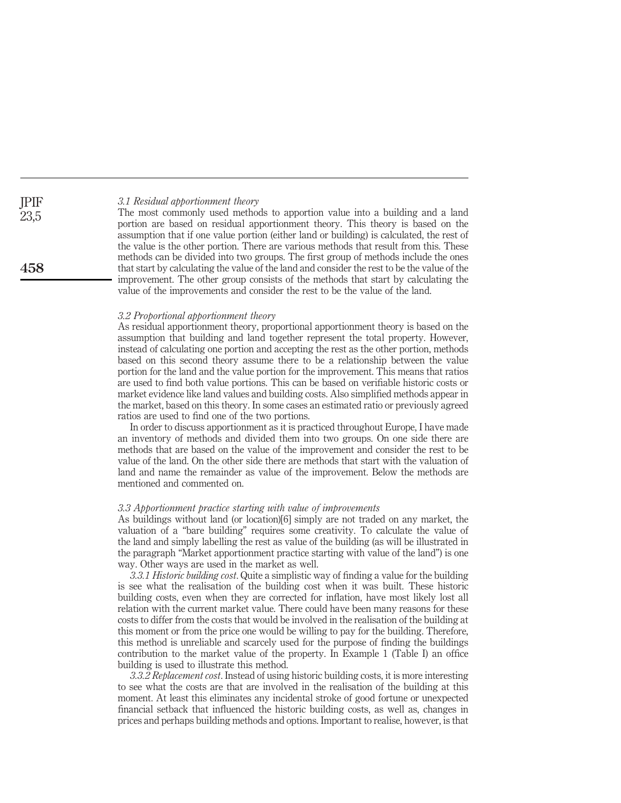#### 3.1 Residual apportionment theory

The most commonly used methods to apportion value into a building and a land portion are based on residual apportionment theory. This theory is based on the assumption that if one value portion (either land or building) is calculated, the rest of the value is the other portion. There are various methods that result from this. These methods can be divided into two groups. The first group of methods include the ones that start by calculating the value of the land and consider the rest to be the value of the improvement. The other group consists of the methods that start by calculating the value of the improvements and consider the rest to be the value of the land.

## 3.2 Proportional apportionment theory

As residual apportionment theory, proportional apportionment theory is based on the assumption that building and land together represent the total property. However, instead of calculating one portion and accepting the rest as the other portion, methods based on this second theory assume there to be a relationship between the value portion for the land and the value portion for the improvement. This means that ratios are used to find both value portions. This can be based on verifiable historic costs or market evidence like land values and building costs. Also simplified methods appear in the market, based on this theory. In some cases an estimated ratio or previously agreed ratios are used to find one of the two portions.

In order to discuss apportionment as it is practiced throughout Europe, I have made an inventory of methods and divided them into two groups. On one side there are methods that are based on the value of the improvement and consider the rest to be value of the land. On the other side there are methods that start with the valuation of land and name the remainder as value of the improvement. Below the methods are mentioned and commented on.

#### 3.3 Apportionment practice starting with value of improvements

As buildings without land (or location)[6] simply are not traded on any market, the valuation of a "bare building" requires some creativity. To calculate the value of the land and simply labelling the rest as value of the building (as will be illustrated in the paragraph "Market apportionment practice starting with value of the land") is one way. Other ways are used in the market as well.

3.3.1 Historic building cost. Quite a simplistic way of finding a value for the building is see what the realisation of the building cost when it was built. These historic building costs, even when they are corrected for inflation, have most likely lost all relation with the current market value. There could have been many reasons for these costs to differ from the costs that would be involved in the realisation of the building at this moment or from the price one would be willing to pay for the building. Therefore, this method is unreliable and scarcely used for the purpose of finding the buildings contribution to the market value of the property. In Example 1 (Table I) an office building is used to illustrate this method.

3.3.2 Replacement cost. Instead of using historic building costs, it is more interesting to see what the costs are that are involved in the realisation of the building at this moment. At least this eliminates any incidental stroke of good fortune or unexpected financial setback that influenced the historic building costs, as well as, changes in prices and perhaps building methods and options. Important to realise, however, is that

23,5

458

JPIF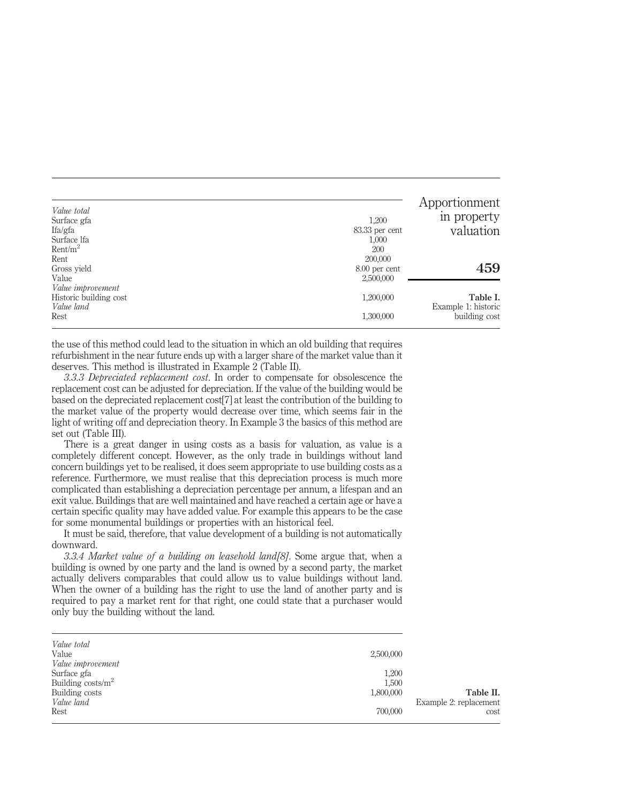| Value total<br>Surface gfa<br>Ifa/gfa<br>Surface lfa<br>Rent/m <sup>2</sup> | 1.200<br>83.33 per cent<br>1,000<br>200 | Apportionment<br>in property<br>valuation        |
|-----------------------------------------------------------------------------|-----------------------------------------|--------------------------------------------------|
| Rent<br>Gross yield<br>Value                                                | 200,000<br>$8.00$ per cent<br>2,500,000 | 459                                              |
| Value improvement<br>Historic building cost<br>Value land<br>Rest           | 1,200,000<br>1,300,000                  | Table I.<br>Example 1: historic<br>building cost |

the use of this method could lead to the situation in which an old building that requires refurbishment in the near future ends up with a larger share of the market value than it deserves. This method is illustrated in Example 2 (Table II).

3.3.3 Depreciated replacement cost. In order to compensate for obsolescence the replacement cost can be adjusted for depreciation. If the value of the building would be based on the depreciated replacement cost[7] at least the contribution of the building to the market value of the property would decrease over time, which seems fair in the light of writing off and depreciation theory. In Example 3 the basics of this method are set out (Table III).

There is a great danger in using costs as a basis for valuation, as value is a completely different concept. However, as the only trade in buildings without land concern buildings yet to be realised, it does seem appropriate to use building costs as a reference. Furthermore, we must realise that this depreciation process is much more complicated than establishing a depreciation percentage per annum, a lifespan and an exit value. Buildings that are well maintained and have reached a certain age or have a certain specific quality may have added value. For example this appears to be the case for some monumental buildings or properties with an historical feel.

It must be said, therefore, that value development of a building is not automatically downward.

3.3.4 Market value of a building on leasehold land[8]. Some argue that, when a building is owned by one party and the land is owned by a second party, the market actually delivers comparables that could allow us to value buildings without land. When the owner of a building has the right to use the land of another party and is required to pay a market rent for that right, one could state that a purchaser would only buy the building without the land.

| Value total<br>Value<br>Value improvement             | 2,500,000                   |                                |
|-------------------------------------------------------|-----------------------------|--------------------------------|
| Surface gfa<br>Building costs/ $m2$<br>Building costs | 1.200<br>1.500<br>1,800,000 | Table II.                      |
| Value land<br>Rest                                    | 700,000                     | Example 2: replacement<br>cost |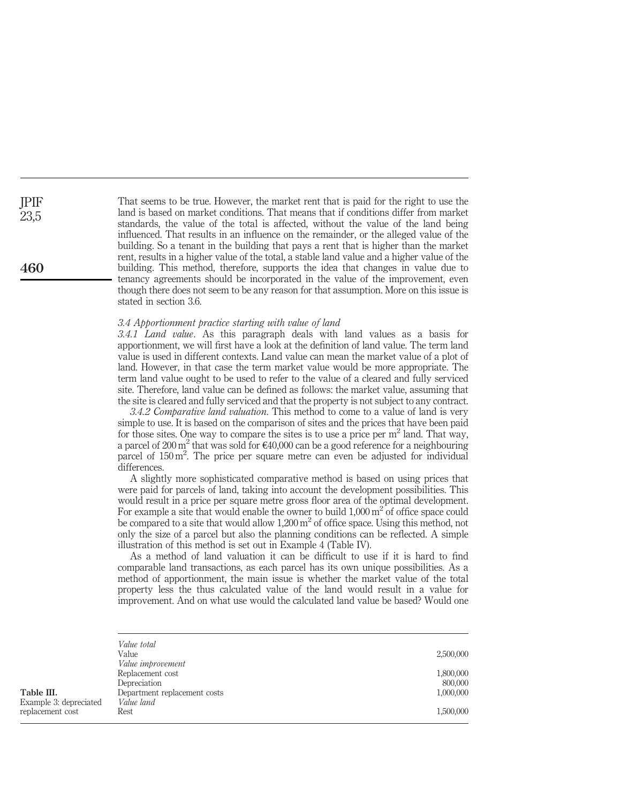That seems to be true. However, the market rent that is paid for the right to use the land is based on market conditions. That means that if conditions differ from market standards, the value of the total is affected, without the value of the land being influenced. That results in an influence on the remainder, or the alleged value of the building. So a tenant in the building that pays a rent that is higher than the market rent, results in a higher value of the total, a stable land value and a higher value of the building. This method, therefore, supports the idea that changes in value due to tenancy agreements should be incorporated in the value of the improvement, even though there does not seem to be any reason for that assumption. More on this issue is stated in section 3.6.

# 3.4 Apportionment practice starting with value of land

3.4.1 Land value. As this paragraph deals with land values as a basis for apportionment, we will first have a look at the definition of land value. The term land value is used in different contexts. Land value can mean the market value of a plot of land. However, in that case the term market value would be more appropriate. The term land value ought to be used to refer to the value of a cleared and fully serviced site. Therefore, land value can be defined as follows: the market value, assuming that the site is cleared and fully serviced and that the property is not subject to any contract.

3.4.2 Comparative land valuation. This method to come to a value of land is very simple to use. It is based on the comparison of sites and the prices that have been paid for those sites. One way to compare the sites is to use a price per  $m<sup>2</sup>$  land. That way, a parcel of 200 m<sup>2</sup> that was sold for  $\epsilon$ 40,000 can be a good reference for a neighbouring parcel of 150 m<sup>2</sup>. The price per square metre can even be adjusted for individual differences.

A slightly more sophisticated comparative method is based on using prices that were paid for parcels of land, taking into account the development possibilities. This would result in a price per square metre gross floor area of the optimal development. For example a site that would enable the owner to build  $1,000 \text{ m}^2$  of office space could be compared to a site that would allow  $1,200 \text{ m}^2$  of office space. Using this method, not only the size of a parcel but also the planning conditions can be reflected. A simple illustration of this method is set out in Example 4 (Table IV).

As a method of land valuation it can be difficult to use if it is hard to find comparable land transactions, as each parcel has its own unique possibilities. As a method of apportionment, the main issue is whether the market value of the total property less the thus calculated value of the land would result in a value for improvement. And on what use would the calculated land value be based? Would one

|                                            | Value total<br>Value<br>Value improvement                        | 2,500,000                         |
|--------------------------------------------|------------------------------------------------------------------|-----------------------------------|
| Table III.                                 | Replacement cost<br>Depreciation<br>Department replacement costs | 1,800,000<br>800,000<br>1,000,000 |
| Example 3: depreciated<br>replacement cost | Value land<br>Rest                                               | 1,500,000                         |

460

JPIF 23,5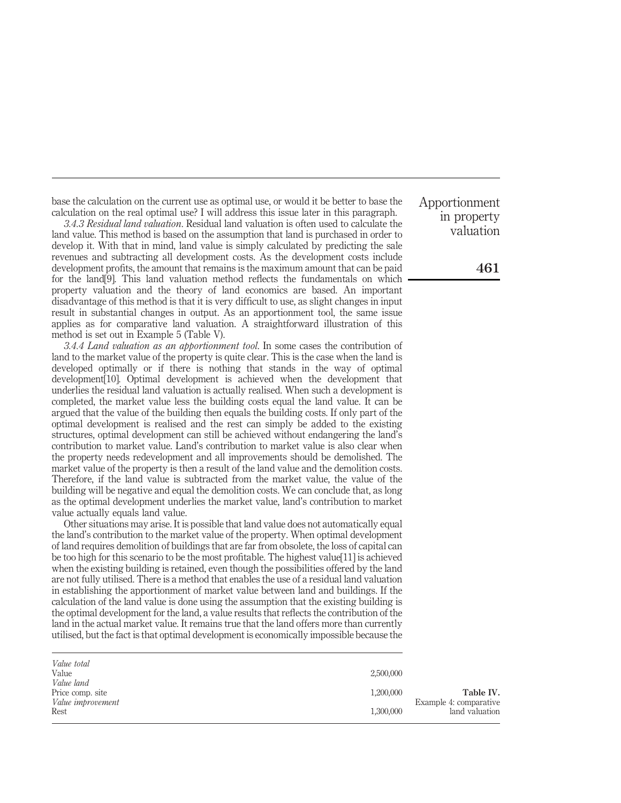base the calculation on the current use as optimal use, or would it be better to base the calculation on the real optimal use? I will address this issue later in this paragraph.

3.4.3 Residual land valuation. Residual land valuation is often used to calculate the land value. This method is based on the assumption that land is purchased in order to develop it. With that in mind, land value is simply calculated by predicting the sale revenues and subtracting all development costs. As the development costs include development profits, the amount that remains is the maximum amount that can be paid for the land[9]. This land valuation method reflects the fundamentals on which property valuation and the theory of land economics are based. An important disadvantage of this method is that it is very difficult to use, as slight changes in input result in substantial changes in output. As an apportionment tool, the same issue applies as for comparative land valuation. A straightforward illustration of this method is set out in Example 5 (Table V).

3.4.4 Land valuation as an apportionment tool. In some cases the contribution of land to the market value of the property is quite clear. This is the case when the land is developed optimally or if there is nothing that stands in the way of optimal development[10]. Optimal development is achieved when the development that underlies the residual land valuation is actually realised. When such a development is completed, the market value less the building costs equal the land value. It can be argued that the value of the building then equals the building costs. If only part of the optimal development is realised and the rest can simply be added to the existing structures, optimal development can still be achieved without endangering the land's contribution to market value. Land's contribution to market value is also clear when the property needs redevelopment and all improvements should be demolished. The market value of the property is then a result of the land value and the demolition costs. Therefore, if the land value is subtracted from the market value, the value of the building will be negative and equal the demolition costs. We can conclude that, as long as the optimal development underlies the market value, land's contribution to market value actually equals land value.

Other situations may arise. It is possible that land value does not automatically equal the land's contribution to the market value of the property. When optimal development of land requires demolition of buildings that are far from obsolete, the loss of capital can be too high for this scenario to be the most profitable. The highest value[11] is achieved when the existing building is retained, even though the possibilities offered by the land are not fully utilised. There is a method that enables the use of a residual land valuation in establishing the apportionment of market value between land and buildings. If the calculation of the land value is done using the assumption that the existing building is the optimal development for the land, a value results that reflects the contribution of the land in the actual market value. It remains true that the land offers more than currently utilised, but the fact is that optimal development is economically impossible because the

| Value total       |           |                        |
|-------------------|-----------|------------------------|
| Value             | 2,500,000 |                        |
| Value land        |           |                        |
| Price comp. site  | 1,200,000 | Table IV.              |
| Value improvement |           | Example 4: comparative |
| Rest              | 1.300,000 | land valuation         |
|                   |           |                        |

Apportionment in property valuation

461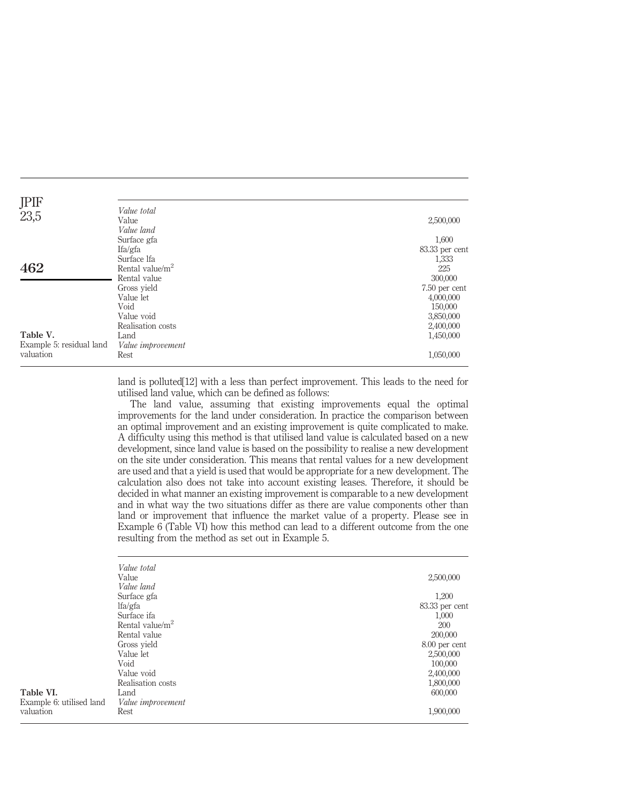| JPIF                     | Value total                 |                |
|--------------------------|-----------------------------|----------------|
| 23,5                     | Value                       | 2,500,000      |
|                          | Value land                  |                |
|                          |                             | 1,600          |
|                          | Surface gfa                 |                |
|                          | Ifa/gfa                     | 83.33 per cent |
|                          | Surface Ifa                 | 1,333          |
| 462                      | Rental value/m <sup>2</sup> | 225            |
|                          | Rental value                | 300,000        |
|                          | Gross vield                 | 7.50 per cent  |
|                          | Value let                   | 4,000,000      |
|                          | Void                        | 150,000        |
|                          | Value void                  | 3,850,000      |
|                          | Realisation costs           | 2,400,000      |
| Table V.                 | Land                        | 1,450,000      |
| Example 5: residual land | Value improvement           |                |
| valuation                | Rest                        | 1,050,000      |

land is polluted[12] with a less than perfect improvement. This leads to the need for utilised land value, which can be defined as follows:

The land value, assuming that existing improvements equal the optimal improvements for the land under consideration. In practice the comparison between an optimal improvement and an existing improvement is quite complicated to make. A difficulty using this method is that utilised land value is calculated based on a new development, since land value is based on the possibility to realise a new development on the site under consideration. This means that rental values for a new development are used and that a yield is used that would be appropriate for a new development. The calculation also does not take into account existing leases. Therefore, it should be decided in what manner an existing improvement is comparable to a new development and in what way the two situations differ as there are value components other than land or improvement that influence the market value of a property. Please see in Example 6 (Table VI) how this method can lead to a different outcome from the one resulting from the method as set out in Example 5.

|                          | Value total                 |                 |
|--------------------------|-----------------------------|-----------------|
|                          | Value                       | 2,500,000       |
|                          | Value land                  |                 |
|                          | Surface gfa                 | 1,200           |
|                          | lfa/gfa                     | 83.33 per cent  |
|                          | Surface ifa                 | 1,000           |
|                          | Rental value/m <sup>2</sup> | 200             |
|                          | Rental value                | 200,000         |
|                          | Gross vield                 | $8.00$ per cent |
|                          | Value let                   | 2,500,000       |
|                          | Void                        | 100,000         |
|                          | Value void                  | 2,400,000       |
|                          | Realisation costs           | 1,800,000       |
| Table VI.                | Land                        | 600,000         |
| Example 6: utilised land | Value improvement           |                 |
| valuation                | Rest                        | 1,900,000       |
|                          |                             |                 |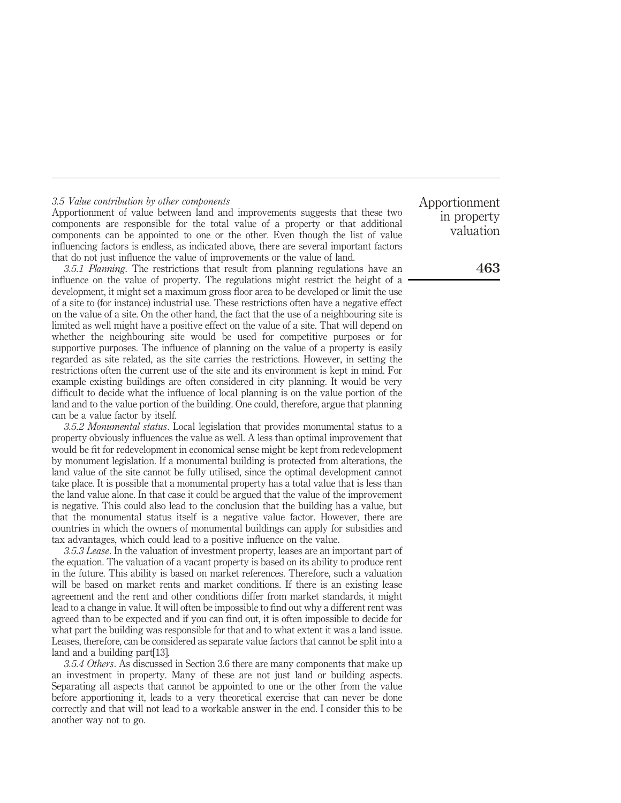## 3.5 Value contribution by other components

Apportionment of value between land and improvements suggests that these two components are responsible for the total value of a property or that additional components can be appointed to one or the other. Even though the list of value influencing factors is endless, as indicated above, there are several important factors that do not just influence the value of improvements or the value of land.

3.5.1 Planning. The restrictions that result from planning regulations have an influence on the value of property. The regulations might restrict the height of a development, it might set a maximum gross floor area to be developed or limit the use of a site to (for instance) industrial use. These restrictions often have a negative effect on the value of a site. On the other hand, the fact that the use of a neighbouring site is limited as well might have a positive effect on the value of a site. That will depend on whether the neighbouring site would be used for competitive purposes or for supportive purposes. The influence of planning on the value of a property is easily regarded as site related, as the site carries the restrictions. However, in setting the restrictions often the current use of the site and its environment is kept in mind. For example existing buildings are often considered in city planning. It would be very difficult to decide what the influence of local planning is on the value portion of the land and to the value portion of the building. One could, therefore, argue that planning can be a value factor by itself.

3.5.2 Monumental status. Local legislation that provides monumental status to a property obviously influences the value as well. A less than optimal improvement that would be fit for redevelopment in economical sense might be kept from redevelopment by monument legislation. If a monumental building is protected from alterations, the land value of the site cannot be fully utilised, since the optimal development cannot take place. It is possible that a monumental property has a total value that is less than the land value alone. In that case it could be argued that the value of the improvement is negative. This could also lead to the conclusion that the building has a value, but that the monumental status itself is a negative value factor. However, there are countries in which the owners of monumental buildings can apply for subsidies and tax advantages, which could lead to a positive influence on the value.

3.5.3 Lease. In the valuation of investment property, leases are an important part of the equation. The valuation of a vacant property is based on its ability to produce rent in the future. This ability is based on market references. Therefore, such a valuation will be based on market rents and market conditions. If there is an existing lease agreement and the rent and other conditions differ from market standards, it might lead to a change in value. It will often be impossible to find out why a different rent was agreed than to be expected and if you can find out, it is often impossible to decide for what part the building was responsible for that and to what extent it was a land issue. Leases, therefore, can be considered as separate value factors that cannot be split into a land and a building part[13].

3.5.4 Others. As discussed in Section 3.6 there are many components that make up an investment in property. Many of these are not just land or building aspects. Separating all aspects that cannot be appointed to one or the other from the value before apportioning it, leads to a very theoretical exercise that can never be done correctly and that will not lead to a workable answer in the end. I consider this to be another way not to go.

Apportionment in property valuation

463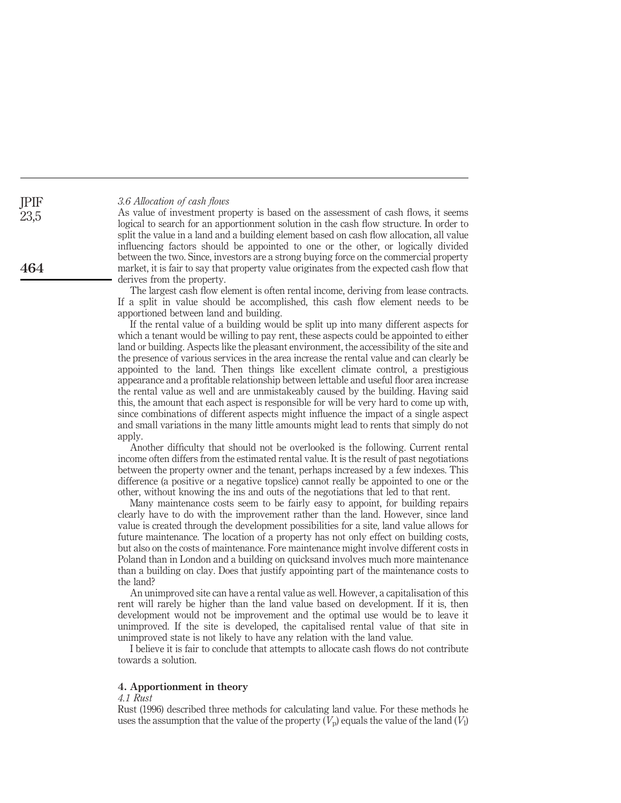3.6 Allocation of cash flows

As value of investment property is based on the assessment of cash flows, it seems logical to search for an apportionment solution in the cash flow structure. In order to split the value in a land and a building element based on cash flow allocation, all value influencing factors should be appointed to one or the other, or logically divided between the two. Since, investors are a strong buying force on the commercial property market, it is fair to say that property value originates from the expected cash flow that derives from the property.

The largest cash flow element is often rental income, deriving from lease contracts. If a split in value should be accomplished, this cash flow element needs to be apportioned between land and building.

If the rental value of a building would be split up into many different aspects for which a tenant would be willing to pay rent, these aspects could be appointed to either land or building. Aspects like the pleasant environment, the accessibility of the site and the presence of various services in the area increase the rental value and can clearly be appointed to the land. Then things like excellent climate control, a prestigious appearance and a profitable relationship between lettable and useful floor area increase the rental value as well and are unmistakeably caused by the building. Having said this, the amount that each aspect is responsible for will be very hard to come up with, since combinations of different aspects might influence the impact of a single aspect and small variations in the many little amounts might lead to rents that simply do not apply.

Another difficulty that should not be overlooked is the following. Current rental income often differs from the estimated rental value. It is the result of past negotiations between the property owner and the tenant, perhaps increased by a few indexes. This difference (a positive or a negative topslice) cannot really be appointed to one or the other, without knowing the ins and outs of the negotiations that led to that rent.

Many maintenance costs seem to be fairly easy to appoint, for building repairs clearly have to do with the improvement rather than the land. However, since land value is created through the development possibilities for a site, land value allows for future maintenance. The location of a property has not only effect on building costs, but also on the costs of maintenance. Fore maintenance might involve different costs in Poland than in London and a building on quicksand involves much more maintenance than a building on clay. Does that justify appointing part of the maintenance costs to the land?

An unimproved site can have a rental value as well. However, a capitalisation of this rent will rarely be higher than the land value based on development. If it is, then development would not be improvement and the optimal use would be to leave it unimproved. If the site is developed, the capitalised rental value of that site in unimproved state is not likely to have any relation with the land value.

I believe it is fair to conclude that attempts to allocate cash flows do not contribute towards a solution.

### 4. Apportionment in theory

#### 4.1 Rust

Rust (1996) described three methods for calculating land value. For these methods he uses the assumption that the value of the property  $(V_p)$  equals the value of the land  $(V_l)$ 

464

JPIF 23,5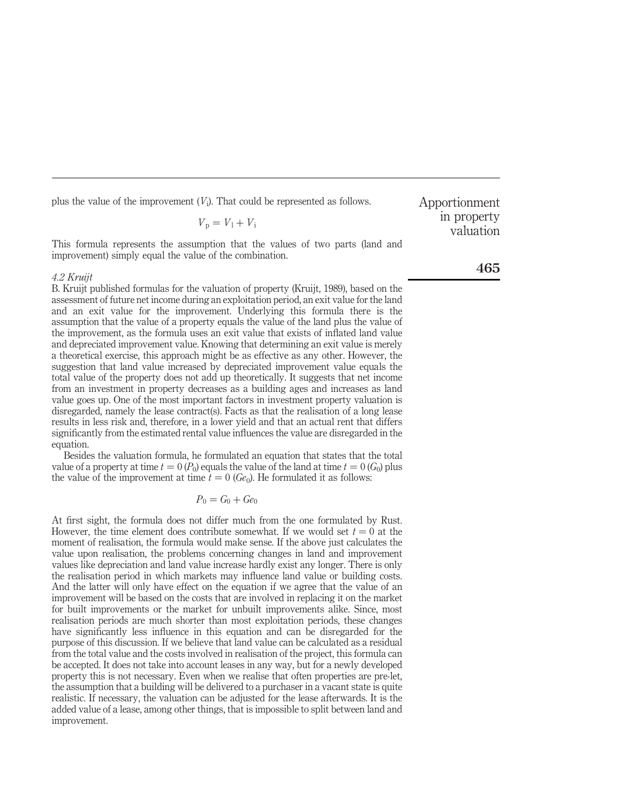plus the value of the improvement  $(V_i)$ . That could be represented as follows.

 $V_{\rm p} = V_1 + V_{\rm i}$ 

This formula represents the assumption that the values of two parts (land and improvement) simply equal the value of the combination.

### 4.2 Kruijt

B. Kruijt published formulas for the valuation of property (Kruijt, 1989), based on the assessment of future net income during an exploitation period, an exit value for the land and an exit value for the improvement. Underlying this formula there is the assumption that the value of a property equals the value of the land plus the value of the improvement, as the formula uses an exit value that exists of inflated land value and depreciated improvement value. Knowing that determining an exit value is merely a theoretical exercise, this approach might be as effective as any other. However, the suggestion that land value increased by depreciated improvement value equals the total value of the property does not add up theoretically. It suggests that net income from an investment in property decreases as a building ages and increases as land value goes up. One of the most important factors in investment property valuation is disregarded, namely the lease contract(s). Facts as that the realisation of a long lease results in less risk and, therefore, in a lower yield and that an actual rent that differs significantly from the estimated rental value influences the value are disregarded in the equation.

Besides the valuation formula, he formulated an equation that states that the total value of a property at time  $t = 0 (P_0)$  equals the value of the land at time  $t = 0 (G_0)$  plus the value of the improvement at time  $t = 0$  (Ge<sub>0</sub>). He formulated it as follows:

# $P_0 = G_0 + Ge_0$

At first sight, the formula does not differ much from the one formulated by Rust. However, the time element does contribute somewhat. If we would set  $t = 0$  at the moment of realisation, the formula would make sense. If the above just calculates the value upon realisation, the problems concerning changes in land and improvement values like depreciation and land value increase hardly exist any longer. There is only the realisation period in which markets may influence land value or building costs. And the latter will only have effect on the equation if we agree that the value of an improvement will be based on the costs that are involved in replacing it on the market for built improvements or the market for unbuilt improvements alike. Since, most realisation periods are much shorter than most exploitation periods, these changes have significantly less influence in this equation and can be disregarded for the purpose of this discussion. If we believe that land value can be calculated as a residual from the total value and the costs involved in realisation of the project, this formula can be accepted. It does not take into account leases in any way, but for a newly developed property this is not necessary. Even when we realise that often properties are pre-let, the assumption that a building will be delivered to a purchaser in a vacant state is quite realistic. If necessary, the valuation can be adjusted for the lease afterwards. It is the added value of a lease, among other things, that is impossible to split between land and improvement.

Apportionment in property valuation

465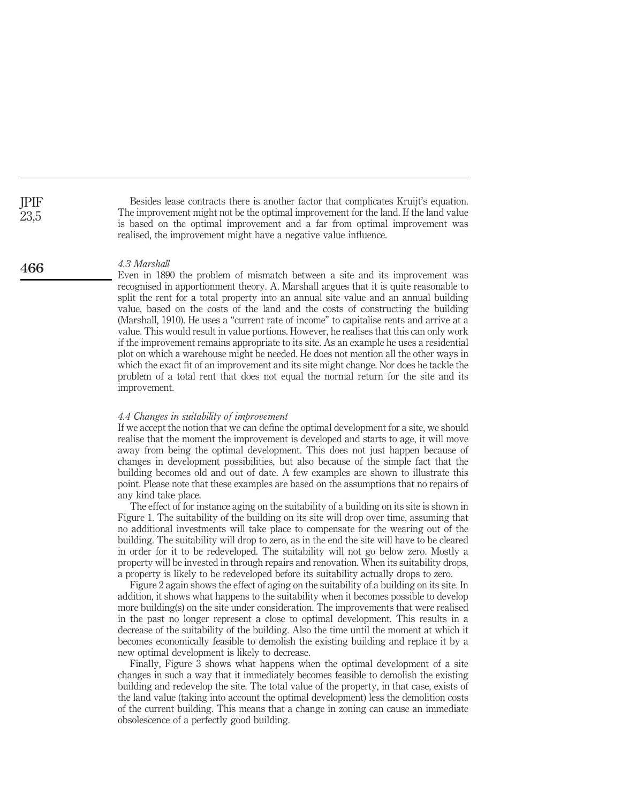Besides lease contracts there is another factor that complicates Kruijt's equation. The improvement might not be the optimal improvement for the land. If the land value is based on the optimal improvement and a far from optimal improvement was realised, the improvement might have a negative value influence.

### 4.3 Marshall

Even in 1890 the problem of mismatch between a site and its improvement was recognised in apportionment theory. A. Marshall argues that it is quite reasonable to split the rent for a total property into an annual site value and an annual building value, based on the costs of the land and the costs of constructing the building (Marshall, 1910). He uses a "current rate of income" to capitalise rents and arrive at a value. This would result in value portions. However, he realises that this can only work if the improvement remains appropriate to its site. As an example he uses a residential plot on which a warehouse might be needed. He does not mention all the other ways in which the exact fit of an improvement and its site might change. Nor does he tackle the problem of a total rent that does not equal the normal return for the site and its improvement.

### 4.4 Changes in suitability of improvement

If we accept the notion that we can define the optimal development for a site, we should realise that the moment the improvement is developed and starts to age, it will move away from being the optimal development. This does not just happen because of changes in development possibilities, but also because of the simple fact that the building becomes old and out of date. A few examples are shown to illustrate this point. Please note that these examples are based on the assumptions that no repairs of any kind take place.

The effect of for instance aging on the suitability of a building on its site is shown in Figure 1. The suitability of the building on its site will drop over time, assuming that no additional investments will take place to compensate for the wearing out of the building. The suitability will drop to zero, as in the end the site will have to be cleared in order for it to be redeveloped. The suitability will not go below zero. Mostly a property will be invested in through repairs and renovation. When its suitability drops, a property is likely to be redeveloped before its suitability actually drops to zero.

Figure 2 again shows the effect of aging on the suitability of a building on its site. In addition, it shows what happens to the suitability when it becomes possible to develop more building(s) on the site under consideration. The improvements that were realised in the past no longer represent a close to optimal development. This results in a decrease of the suitability of the building. Also the time until the moment at which it becomes economically feasible to demolish the existing building and replace it by a new optimal development is likely to decrease.

Finally, Figure 3 shows what happens when the optimal development of a site changes in such a way that it immediately becomes feasible to demolish the existing building and redevelop the site. The total value of the property, in that case, exists of the land value (taking into account the optimal development) less the demolition costs of the current building. This means that a change in zoning can cause an immediate obsolescence of a perfectly good building.

466

JPIF 23,5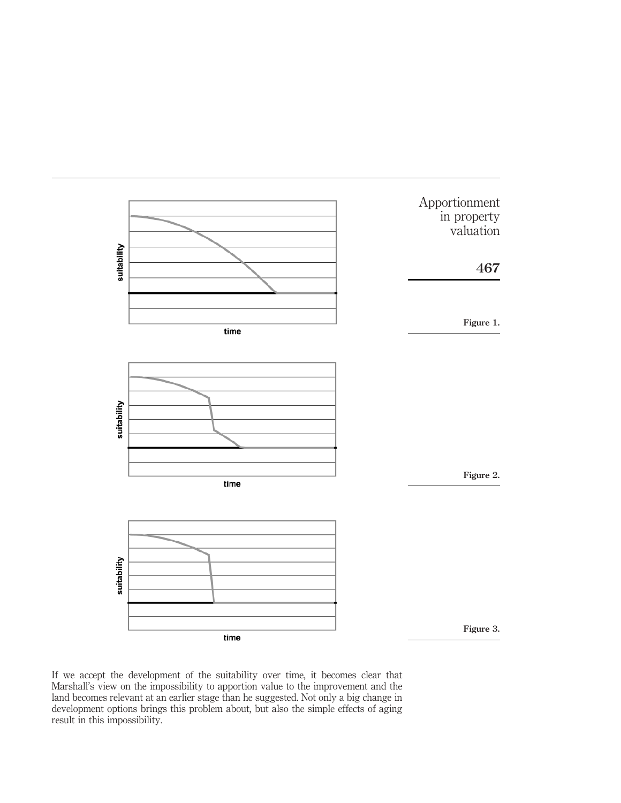

If we accept the development of the suitability over time, it becomes clear that Marshall's view on the impossibility to apportion value to the improvement and the land becomes relevant at an earlier stage than he suggested. Not only a big change in development options brings this problem about, but also the simple effects of aging result in this impossibility.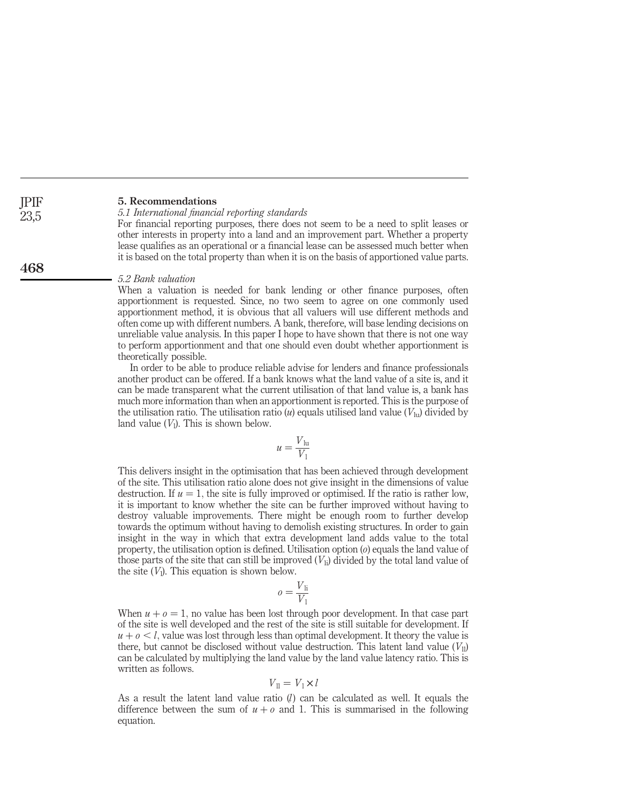### 5. Recommendations

## 5.1 International financial reporting standards

For financial reporting purposes, there does not seem to be a need to split leases or other interests in property into a land and an improvement part. Whether a property lease qualifies as an operational or a financial lease can be assessed much better when it is based on the total property than when it is on the basis of apportioned value parts.

#### 5.2 Bank valuation

When a valuation is needed for bank lending or other finance purposes, often apportionment is requested. Since, no two seem to agree on one commonly used apportionment method, it is obvious that all valuers will use different methods and often come up with different numbers. A bank, therefore, will base lending decisions on unreliable value analysis. In this paper I hope to have shown that there is not one way to perform apportionment and that one should even doubt whether apportionment is theoretically possible.

In order to be able to produce reliable advise for lenders and finance professionals another product can be offered. If a bank knows what the land value of a site is, and it can be made transparent what the current utilisation of that land value is, a bank has much more information than when an apportionment is reported. This is the purpose of the utilisation ratio. The utilisation ratio (*u*) equals utilised land value ( $V<sub>lu</sub>$ ) divided by land value  $(V<sub>1</sub>)$ . This is shown below.

$$
u = \frac{V_{\text{lu}}}{V_1}
$$

This delivers insight in the optimisation that has been achieved through development of the site. This utilisation ratio alone does not give insight in the dimensions of value destruction. If  $u = 1$ , the site is fully improved or optimised. If the ratio is rather low, it is important to know whether the site can be further improved without having to destroy valuable improvements. There might be enough room to further develop towards the optimum without having to demolish existing structures. In order to gain insight in the way in which that extra development land adds value to the total property, the utilisation option is defined. Utilisation option (o) equals the land value of those parts of the site that can still be improved  $(V_{\rm ii})$  divided by the total land value of the site  $(V<sub>1</sub>)$ . This equation is shown below.

$$
o = \frac{V_{\text{li}}}{V_1}
$$

When  $u + o = 1$ , no value has been lost through poor development. In that case part of the site is well developed and the rest of the site is still suitable for development. If  $u + o \lt l$ , value was lost through less than optimal development. It theory the value is there, but cannot be disclosed without value destruction. This latent land value  $(V_{\parallel})$ can be calculated by multiplying the land value by the land value latency ratio. This is written as follows.

$$
V_{\rm ll} = V_{\rm l} \times l
$$

As a result the latent land value ratio  $(l)$  can be calculated as well. It equals the difference between the sum of  $u + o$  and 1. This is summarised in the following equation.

468

JPIF 23,5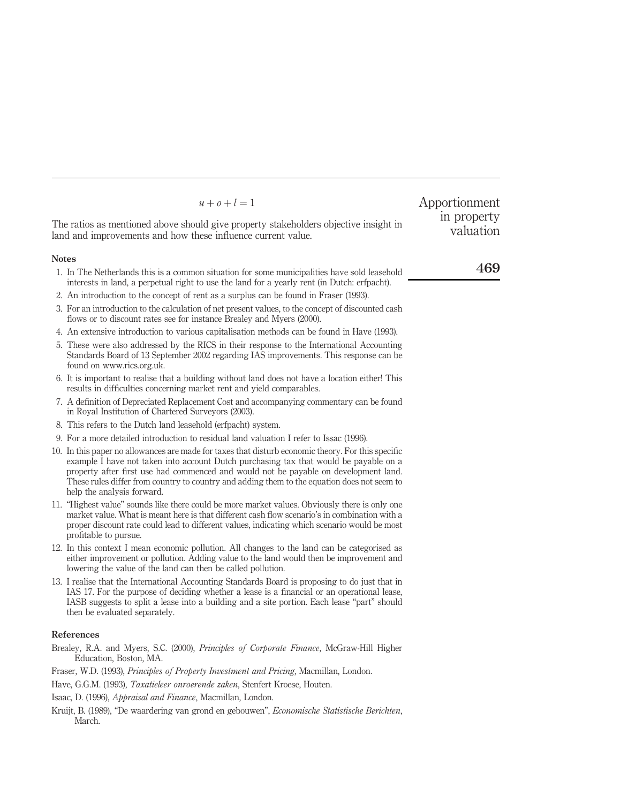|                                                                                                                                                                                  | $u + o + l = 1$                                                                                                                                                                                                                                                                                                                                                                                                  | Apportionment |
|----------------------------------------------------------------------------------------------------------------------------------------------------------------------------------|------------------------------------------------------------------------------------------------------------------------------------------------------------------------------------------------------------------------------------------------------------------------------------------------------------------------------------------------------------------------------------------------------------------|---------------|
| in property<br>The ratios as mentioned above should give property stakeholders objective insight in<br>valuation<br>land and improvements and how these influence current value. |                                                                                                                                                                                                                                                                                                                                                                                                                  |               |
|                                                                                                                                                                                  | <b>Notes</b>                                                                                                                                                                                                                                                                                                                                                                                                     |               |
|                                                                                                                                                                                  | 1. In The Netherlands this is a common situation for some municipalities have sold leasehold<br>interests in land, a perpetual right to use the land for a yearly rent (in Dutch: erfpacht).                                                                                                                                                                                                                     | 469           |
|                                                                                                                                                                                  | 2. An introduction to the concept of rent as a surplus can be found in Fraser (1993).                                                                                                                                                                                                                                                                                                                            |               |
|                                                                                                                                                                                  | 3. For an introduction to the calculation of net present values, to the concept of discounted cash<br>flows or to discount rates see for instance Brealey and Myers (2000).                                                                                                                                                                                                                                      |               |
|                                                                                                                                                                                  | 4. An extensive introduction to various capitalisation methods can be found in Have (1993).                                                                                                                                                                                                                                                                                                                      |               |
|                                                                                                                                                                                  | 5. These were also addressed by the RICS in their response to the International Accounting<br>Standards Board of 13 September 2002 regarding IAS improvements. This response can be<br>found on www.rics.org.uk.                                                                                                                                                                                                 |               |
|                                                                                                                                                                                  | 6. It is important to realise that a building without land does not have a location either! This<br>results in difficulties concerning market rent and yield comparables.                                                                                                                                                                                                                                        |               |
|                                                                                                                                                                                  | 7. A definition of Depreciated Replacement Cost and accompanying commentary can be found<br>in Royal Institution of Chartered Surveyors (2003).                                                                                                                                                                                                                                                                  |               |
|                                                                                                                                                                                  | 8. This refers to the Dutch land leasehold (erfpacht) system.                                                                                                                                                                                                                                                                                                                                                    |               |
|                                                                                                                                                                                  | 9. For a more detailed introduction to residual land valuation I refer to Issac (1996).                                                                                                                                                                                                                                                                                                                          |               |
|                                                                                                                                                                                  | 10. In this paper no allowances are made for taxes that disturb economic theory. For this specific<br>example I have not taken into account Dutch purchasing tax that would be payable on a<br>property after first use had commenced and would not be payable on development land.<br>These rules differ from country to country and adding them to the equation does not seem to<br>help the analysis forward. |               |
|                                                                                                                                                                                  | 11. "Highest value" sounds like there could be more market values. Obviously there is only one<br>market value. What is meant here is that different cash flow scenario's in combination with a<br>proper discount rate could lead to different values, indicating which scenario would be most<br>profitable to pursue.                                                                                         |               |
|                                                                                                                                                                                  | 12. In this context I mean economic pollution. All changes to the land can be categorised as<br>either improvement or pollution. Adding value to the land would then be improvement and<br>lowering the value of the land can then be called pollution.                                                                                                                                                          |               |
|                                                                                                                                                                                  | 13. I realise that the International Accounting Standards Board is proposing to do just that in<br>IAS 17. For the purpose of deciding whether a lease is a financial or an operational lease,<br>IASB suggests to split a lease into a building and a site portion. Each lease "part" should<br>then be evaluated separately.                                                                                   |               |
|                                                                                                                                                                                  | References                                                                                                                                                                                                                                                                                                                                                                                                       |               |
|                                                                                                                                                                                  | Brealey, R.A. and Myers, S.C. (2000), <i>Principles of Corporate Finance</i> , McGraw-Hill Higher<br>Education, Boston, MA.                                                                                                                                                                                                                                                                                      |               |
|                                                                                                                                                                                  | Fraser, W.D. (1993), Principles of Property Investment and Pricing, Macmillan, London.                                                                                                                                                                                                                                                                                                                           |               |
| Have, G.G.M. (1993), <i>Taxatieleer onroerende zaken</i> , Stenfert Kroese, Houten.                                                                                              |                                                                                                                                                                                                                                                                                                                                                                                                                  |               |
| Isaac, D. (1996), <i>Appraisal and Finance</i> , Macmillan, London.                                                                                                              |                                                                                                                                                                                                                                                                                                                                                                                                                  |               |
|                                                                                                                                                                                  | Kruijt, B. (1989), "De waardering van grond en gebouwen", <i>Economische Statistische Berichten</i> ,<br>March.                                                                                                                                                                                                                                                                                                  |               |